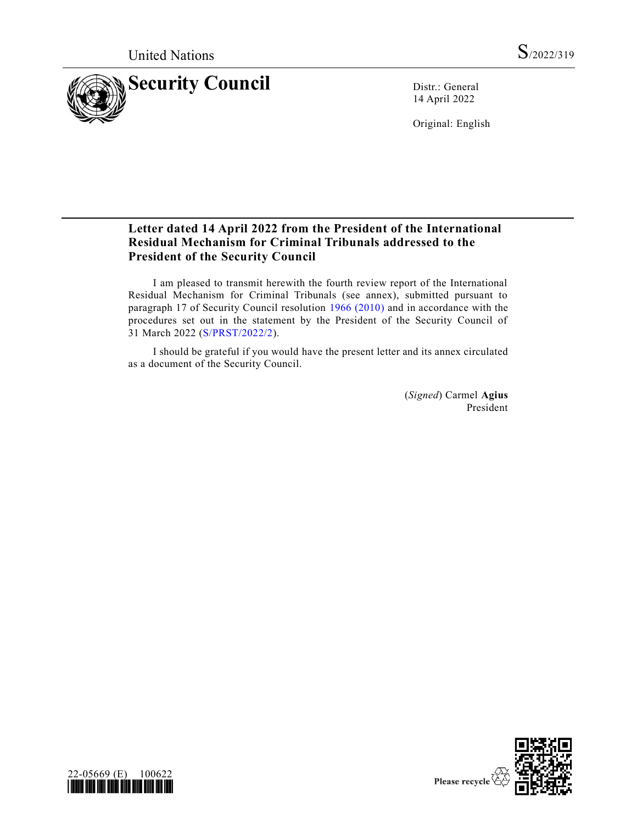

14 April 2022

Original: English

# **Letter dated 14 April 2022 from the President of the International Residual Mechanism for Criminal Tribunals addressed to the President of the Security Council**

I am pleased to transmit herewith the fourth review report of the International Residual Mechanism for Criminal Tribunals (see annex), submitted pursuant to paragraph 17 of Security Council resolution [1966 \(2010\)](https://undocs.org/en/S/RES/1966(2010)) and in accordance with the procedures set out in the statement by the President of the Security Council of 31 March 2022 [\(S/PRST/2022/2\)](https://undocs.org/en/S/PRST/2022/2).

I should be grateful if you would have the present letter and its annex circulated as a document of the Security Council.

> (*Signed*) Carmel **Agius** President



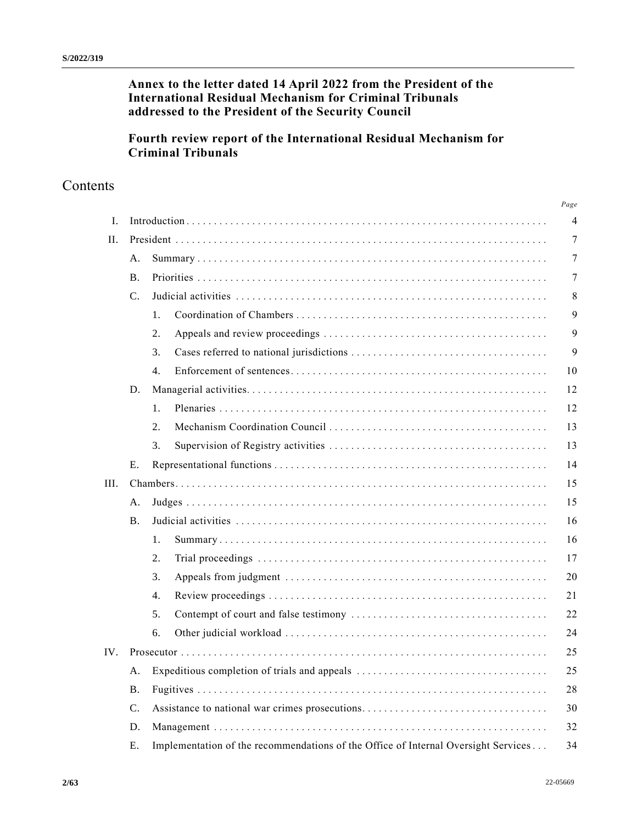# **Annex to the letter dated 14 April 2022 from the President of the International Residual Mechanism for Criminal Tribunals addressed to the President of the Security Council**

# **Fourth review report of the International Residual Mechanism for Criminal Tribunals**

# Contents

|      |                |                                                                                    | Page           |
|------|----------------|------------------------------------------------------------------------------------|----------------|
| Ι.   |                |                                                                                    | $\overline{4}$ |
| II.  |                |                                                                                    | 7              |
|      | A.             |                                                                                    | 7              |
|      | <b>B</b> .     |                                                                                    | 7              |
|      | $\mathbf{C}$ . |                                                                                    | 8              |
|      |                | 1.                                                                                 | 9              |
|      |                | 2.                                                                                 | 9              |
|      |                | 3.                                                                                 | 9              |
|      |                | 4.                                                                                 | 10             |
|      | D.             |                                                                                    | 12             |
|      |                | 1.                                                                                 | 12             |
|      |                | 2.                                                                                 | 13             |
|      |                | 3.                                                                                 | 13             |
|      | Е.             |                                                                                    | 14             |
| III. |                |                                                                                    | 15             |
|      | A.             |                                                                                    | 15             |
|      | <b>B</b> .     |                                                                                    | 16             |
|      |                | 1.                                                                                 | 16             |
|      |                | 2.                                                                                 | 17             |
|      |                | 3.                                                                                 | 20             |
|      |                | 4.                                                                                 | 21             |
|      |                | 5.                                                                                 | 22             |
|      |                | 6.                                                                                 | 24             |
| IV.  |                |                                                                                    | 25             |
|      | Α.             |                                                                                    | 25             |
|      | <b>B.</b>      |                                                                                    | 28             |
|      | $\mathbf{C}$ . | Assistance to national war crimes prosecutions                                     | 30             |
|      | D.             |                                                                                    | 32             |
|      | Ε.             | Implementation of the recommendations of the Office of Internal Oversight Services | 34             |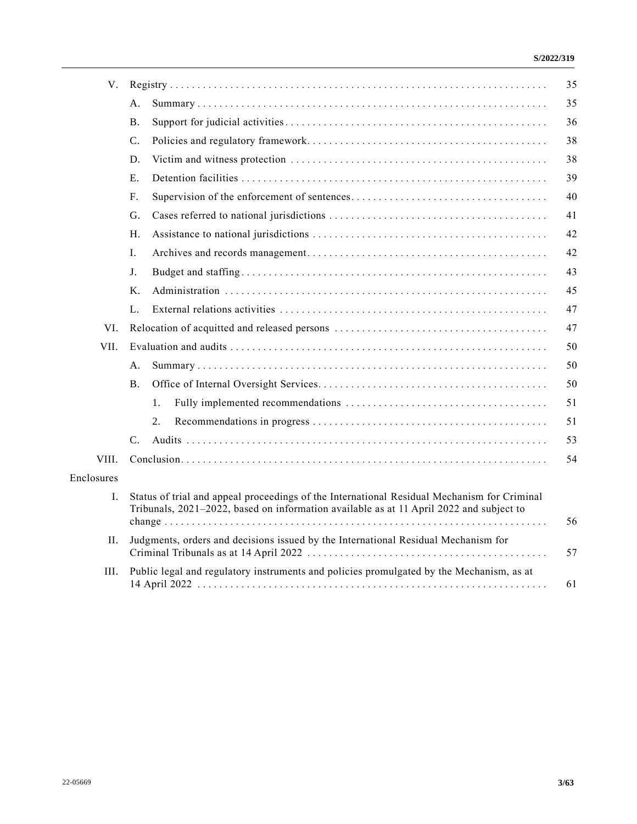| V.         |                 |                                                                                                                                                                                        | 35 |
|------------|-----------------|----------------------------------------------------------------------------------------------------------------------------------------------------------------------------------------|----|
|            | А.              |                                                                                                                                                                                        | 35 |
|            | Β.              |                                                                                                                                                                                        | 36 |
|            | C.              |                                                                                                                                                                                        | 38 |
|            | D.              |                                                                                                                                                                                        | 38 |
|            | Ε.              |                                                                                                                                                                                        | 39 |
|            | F.              |                                                                                                                                                                                        | 40 |
|            | G.              |                                                                                                                                                                                        | 41 |
|            | Η.              |                                                                                                                                                                                        | 42 |
|            | L.              |                                                                                                                                                                                        | 42 |
|            | J.              |                                                                                                                                                                                        | 43 |
|            | Κ.              |                                                                                                                                                                                        | 45 |
|            | L.              |                                                                                                                                                                                        | 47 |
| VI.        |                 |                                                                                                                                                                                        | 47 |
| VII.       |                 |                                                                                                                                                                                        | 50 |
|            | А.              |                                                                                                                                                                                        | 50 |
|            | <b>B.</b>       |                                                                                                                                                                                        | 50 |
|            | 1.              |                                                                                                                                                                                        | 51 |
|            | 2.              |                                                                                                                                                                                        | 51 |
|            | $\mathcal{C}$ . |                                                                                                                                                                                        | 53 |
| VIII.      |                 |                                                                                                                                                                                        | 54 |
| Enclosures |                 |                                                                                                                                                                                        |    |
| Ι.         |                 | Status of trial and appeal proceedings of the International Residual Mechanism for Criminal<br>Tribunals, 2021-2022, based on information available as at 11 April 2022 and subject to | 56 |
| П.         |                 | Judgments, orders and decisions issued by the International Residual Mechanism for                                                                                                     | 57 |
| III.       |                 | Public legal and regulatory instruments and policies promulgated by the Mechanism, as at                                                                                               | 61 |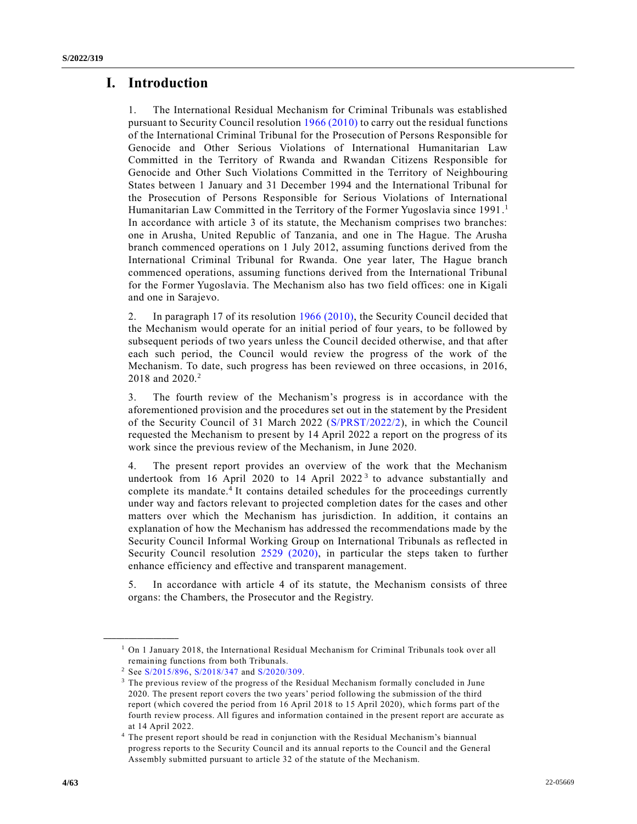# **I. Introduction**

1. The International Residual Mechanism for Criminal Tribunals was established pursuant to Security Council resolution [1966 \(2010\)](https://undocs.org/en/S/RES/1966(2010)) to carry out the residual functions of the International Criminal Tribunal for the Prosecution of Persons Responsible for Genocide and Other Serious Violations of International Humanitarian Law Committed in the Territory of Rwanda and Rwandan Citizens Responsible for Genocide and Other Such Violations Committed in the Territory of Neighbouring States between 1 January and 31 December 1994 and the International Tribunal for the Prosecution of Persons Responsible for Serious Violations of International Humanitarian Law Committed in the Territory of the Former Yugoslavia since 1991.<sup>1</sup> In accordance with article 3 of its statute, the Mechanism comprises two branches: one in Arusha, United Republic of Tanzania, and one in The Hague. The Arusha branch commenced operations on 1 July 2012, assuming functions derived from the International Criminal Tribunal for Rwanda. One year later, The Hague branch commenced operations, assuming functions derived from the International Tribunal for the Former Yugoslavia. The Mechanism also has two field offices: one in Kigali and one in Sarajevo.

2. In paragraph 17 of its resolution [1966 \(2010\),](https://undocs.org/en/S/RES/1966(2010)) the Security Council decided that the Mechanism would operate for an initial period of four years, to be followed by subsequent periods of two years unless the Council decided otherwise, and that after each such period, the Council would review the progress of the work of the Mechanism. To date, such progress has been reviewed on three occasions, in 2016, 2018 and 2020.<sup>2</sup>

3. The fourth review of the Mechanism's progress is in accordance with the aforementioned provision and the procedures set out in the statement by the President of the Security Council of 31 March 2022 [\(S/PRST/2022/2\)](https://undocs.org/en/S/PRST/2022/2), in which the Council requested the Mechanism to present by 14 April 2022 a report on the progress of its work since the previous review of the Mechanism, in June 2020.

4. The present report provides an overview of the work that the Mechanism undertook from 16 April 2020 to 14 April 2022<sup>3</sup> to advance substantially and complete its mandate.<sup>4</sup> It contains detailed schedules for the proceedings currently under way and factors relevant to projected completion dates for the cases and other matters over which the Mechanism has jurisdiction. In addition, it contains an explanation of how the Mechanism has addressed the recommendations made by the Security Council Informal Working Group on International Tribunals as reflected in Security Council resolution [2529 \(2020\),](https://undocs.org/en/S/RES/2529(2020)) in particular the steps taken to further enhance efficiency and effective and transparent management.

5. In accordance with article 4 of its statute, the Mechanism consists of three organs: the Chambers, the Prosecutor and the Registry.

 $<sup>1</sup>$  On 1 January 2018, the International Residual Mechanism for Criminal Tribunals took over all</sup> remaining functions from both Tribunals.

<sup>2</sup> See [S/2015/896,](https://undocs.org/en/S/2015/896) [S/2018/347](https://undocs.org/en/S/2018/347) and [S/2020/309.](https://undocs.org/en/S/2020/309)

<sup>3</sup> The previous review of the progress of the Residual Mechanism formally concluded in June 2020. The present report covers the two years' period following the submission of the third report (which covered the period from 16 April 2018 to 15 April 2020), whic h forms part of the fourth review process. All figures and information contained in the present report are accurate as at 14 April 2022.

<sup>4</sup> The present report should be read in conjunction with the Residual Mechanism's biannual progress reports to the Security Council and its annual reports to the Council and the General Assembly submitted pursuant to article 32 of the statute of the Mechanism.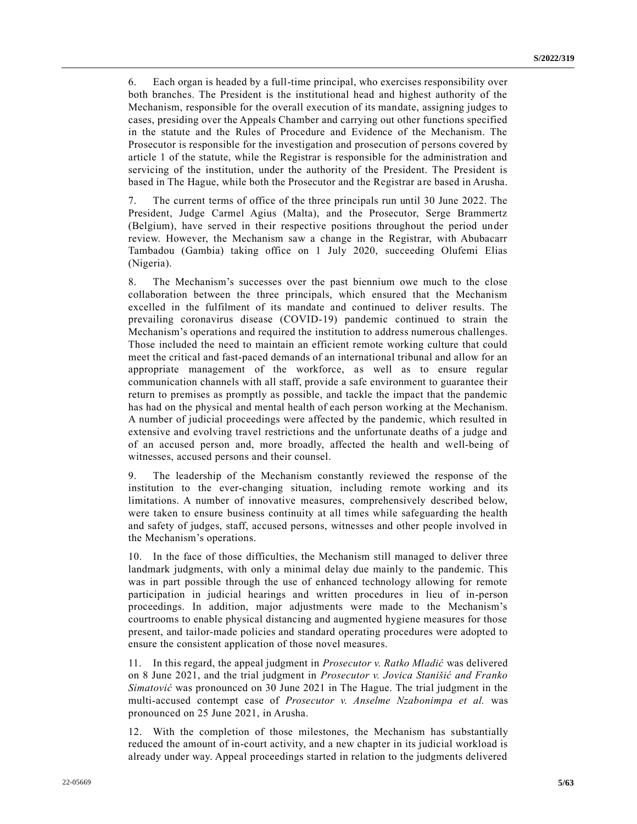6. Each organ is headed by a full-time principal, who exercises responsibility over both branches. The President is the institutional head and highest authority of the Mechanism, responsible for the overall execution of its mandate, assigning judges to cases, presiding over the Appeals Chamber and carrying out other functions specified in the statute and the Rules of Procedure and Evidence of the Mechanism. The Prosecutor is responsible for the investigation and prosecution of persons covered by article 1 of the statute, while the Registrar is responsible for the administration and servicing of the institution, under the authority of the President. The President is based in The Hague, while both the Prosecutor and the Registrar are based in Arusha.

7. The current terms of office of the three principals run until 30 June 2022. The President, Judge Carmel Agius (Malta), and the Prosecutor, Serge Brammertz (Belgium), have served in their respective positions throughout the period under review. However, the Mechanism saw a change in the Registrar, with Abubacarr Tambadou (Gambia) taking office on 1 July 2020, succeeding Olufemi Elias (Nigeria).

8. The Mechanism's successes over the past biennium owe much to the close collaboration between the three principals, which ensured that the Mechanism excelled in the fulfilment of its mandate and continued to deliver results. The prevailing coronavirus disease (COVID-19) pandemic continued to strain the Mechanism's operations and required the institution to address numerous challenges. Those included the need to maintain an efficient remote working culture that could meet the critical and fast-paced demands of an international tribunal and allow for an appropriate management of the workforce, as well as to ensure regular communication channels with all staff, provide a safe environment to guarantee their return to premises as promptly as possible, and tackle the impact that the pandemic has had on the physical and mental health of each person working at the Mechanism. A number of judicial proceedings were affected by the pandemic, which resulted in extensive and evolving travel restrictions and the unfortunate deaths of a judge and of an accused person and, more broadly, affected the health and well-being of witnesses, accused persons and their counsel.

9. The leadership of the Mechanism constantly reviewed the response of the institution to the ever-changing situation, including remote working and its limitations. A number of innovative measures, comprehensively described below, were taken to ensure business continuity at all times while safeguarding the health and safety of judges, staff, accused persons, witnesses and other people involved in the Mechanism's operations.

10. In the face of those difficulties, the Mechanism still managed to deliver three landmark judgments, with only a minimal delay due mainly to the pandemic. This was in part possible through the use of enhanced technology allowing for remote participation in judicial hearings and written procedures in lieu of in-person proceedings. In addition, major adjustments were made to the Mechanism's courtrooms to enable physical distancing and augmented hygiene measures for those present, and tailor-made policies and standard operating procedures were adopted to ensure the consistent application of those novel measures.

11. In this regard, the appeal judgment in *Prosecutor v. Ratko Mladić* was delivered on 8 June 2021, and the trial judgment in *Prosecutor v. Jovica Stanišić and Franko Simatović* was pronounced on 30 June 2021 in The Hague. The trial judgment in the multi-accused contempt case of *Prosecutor v. Anselme Nzabonimpa et al.* was pronounced on 25 June 2021, in Arusha.

12. With the completion of those milestones, the Mechanism has substantially reduced the amount of in-court activity, and a new chapter in its judicial workload is already under way. Appeal proceedings started in relation to the judgments delivered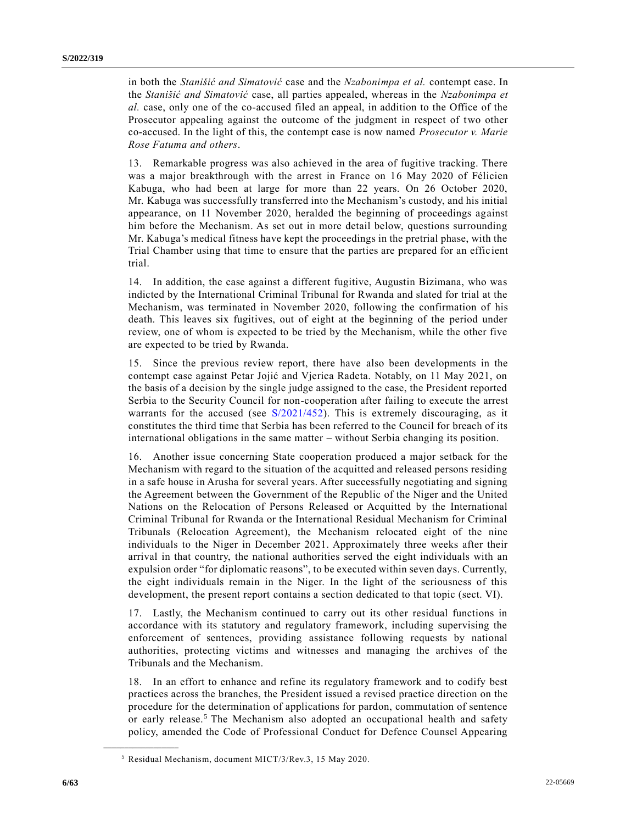in both the *Stanišić and Simatović* case and the *Nzabonimpa et al.* contempt case. In the *Stanišić and Simatović* case, all parties appealed, whereas in the *Nzabonimpa et al.* case, only one of the co-accused filed an appeal, in addition to the Office of the Prosecutor appealing against the outcome of the judgment in respect of two other co-accused. In the light of this, the contempt case is now named *Prosecutor v. Marie Rose Fatuma and others*.

13. Remarkable progress was also achieved in the area of fugitive tracking. There was a major breakthrough with the arrest in France on 16 May 2020 of Félicien Kabuga, who had been at large for more than 22 years. On 26 October 2020, Mr. Kabuga was successfully transferred into the Mechanism's custody, and his initial appearance, on 11 November 2020, heralded the beginning of proceedings against him before the Mechanism. As set out in more detail below, questions surrounding Mr. Kabuga's medical fitness have kept the proceedings in the pretrial phase, with the Trial Chamber using that time to ensure that the parties are prepared for an effic ient trial.

14. In addition, the case against a different fugitive, Augustin Bizimana, who was indicted by the International Criminal Tribunal for Rwanda and slated for trial at the Mechanism, was terminated in November 2020, following the confirmation of his death. This leaves six fugitives, out of eight at the beginning of the period under review, one of whom is expected to be tried by the Mechanism, while the other five are expected to be tried by Rwanda.

15. Since the previous review report, there have also been developments in the contempt case against Petar Jojić and Vjerica Radeta. Notably, on 11 May 2021, on the basis of a decision by the single judge assigned to the case, the President reported Serbia to the Security Council for non-cooperation after failing to execute the arrest warrants for the accused (see [S/2021/452\)](https://undocs.org/en/S/2021/452). This is extremely discouraging, as it constitutes the third time that Serbia has been referred to the Council for breach of its international obligations in the same matter – without Serbia changing its position.

16. Another issue concerning State cooperation produced a major setback for the Mechanism with regard to the situation of the acquitted and released persons residing in a safe house in Arusha for several years. After successfully negotiating and signing the Agreement between the Government of the Republic of the Niger and the United Nations on the Relocation of Persons Released or Acquitted by the International Criminal Tribunal for Rwanda or the International Residual Mechanism for Criminal Tribunals (Relocation Agreement), the Mechanism relocated eight of the nine individuals to the Niger in December 2021. Approximately three weeks after their arrival in that country, the national authorities served the eight individuals with an expulsion order "for diplomatic reasons", to be executed within seven days. Currently, the eight individuals remain in the Niger. In the light of the seriousness of this development, the present report contains a section dedicated to that topic (sect. VI).

17. Lastly, the Mechanism continued to carry out its other residual functions in accordance with its statutory and regulatory framework, including supervising the enforcement of sentences, providing assistance following requests by national authorities, protecting victims and witnesses and managing the archives of the Tribunals and the Mechanism.

18. In an effort to enhance and refine its regulatory framework and to codify best practices across the branches, the President issued a revised practice direction on the procedure for the determination of applications for pardon, commutation of sentence or early release.<sup>5</sup> The Mechanism also adopted an occupational health and safety policy, amended the Code of Professional Conduct for Defence Counsel Appearing

<sup>5</sup> Residual Mechanism, document MICT/3/Rev.3, 15 May 2020.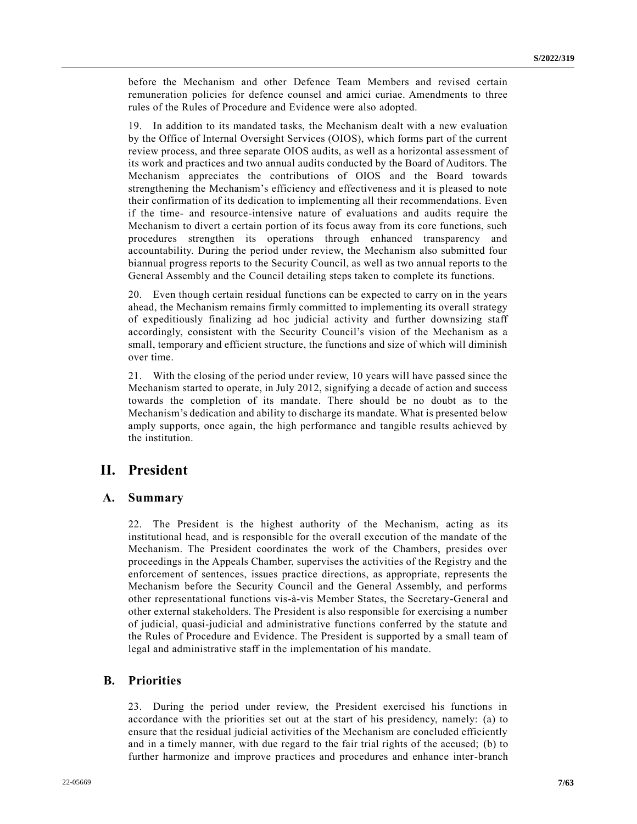before the Mechanism and other Defence Team Members and revised certain remuneration policies for defence counsel and amici curiae. Amendments to three rules of the Rules of Procedure and Evidence were also adopted.

19. In addition to its mandated tasks, the Mechanism dealt with a new evaluation by the Office of Internal Oversight Services (OIOS), which forms part of the current review process, and three separate OIOS audits, as well as a horizontal assessment of its work and practices and two annual audits conducted by the Board of Auditors. The Mechanism appreciates the contributions of OIOS and the Board towards strengthening the Mechanism's efficiency and effectiveness and it is pleased to note their confirmation of its dedication to implementing all their recommendations. Even if the time- and resource-intensive nature of evaluations and audits require the Mechanism to divert a certain portion of its focus away from its core functions, such procedures strengthen its operations through enhanced transparency and accountability. During the period under review, the Mechanism also submitted four biannual progress reports to the Security Council, as well as two annual reports to the General Assembly and the Council detailing steps taken to complete its functions.

20. Even though certain residual functions can be expected to carry on in the years ahead, the Mechanism remains firmly committed to implementing its overall strategy of expeditiously finalizing ad hoc judicial activity and further downsizing staff accordingly, consistent with the Security Council's vision of the Mechanism as a small, temporary and efficient structure, the functions and size of which will diminish over time.

21. With the closing of the period under review, 10 years will have passed since the Mechanism started to operate, in July 2012, signifying a decade of action and success towards the completion of its mandate. There should be no doubt as to the Mechanism's dedication and ability to discharge its mandate. What is presented below amply supports, once again, the high performance and tangible results achieved by the institution.

# **II. President**

## **A. Summary**

22. The President is the highest authority of the Mechanism, acting as its institutional head, and is responsible for the overall execution of the mandate of the Mechanism. The President coordinates the work of the Chambers, presides over proceedings in the Appeals Chamber, supervises the activities of the Registry and the enforcement of sentences, issues practice directions, as appropriate, represents the Mechanism before the Security Council and the General Assembly, and performs other representational functions vis-à-vis Member States, the Secretary-General and other external stakeholders. The President is also responsible for exercising a number of judicial, quasi-judicial and administrative functions conferred by the statute and the Rules of Procedure and Evidence. The President is supported by a small team of legal and administrative staff in the implementation of his mandate.

## **B. Priorities**

23. During the period under review, the President exercised his functions in accordance with the priorities set out at the start of his presidency, namely: (a) to ensure that the residual judicial activities of the Mechanism are concluded efficiently and in a timely manner, with due regard to the fair trial rights of the accused; (b) to further harmonize and improve practices and procedures and enhance inter-branch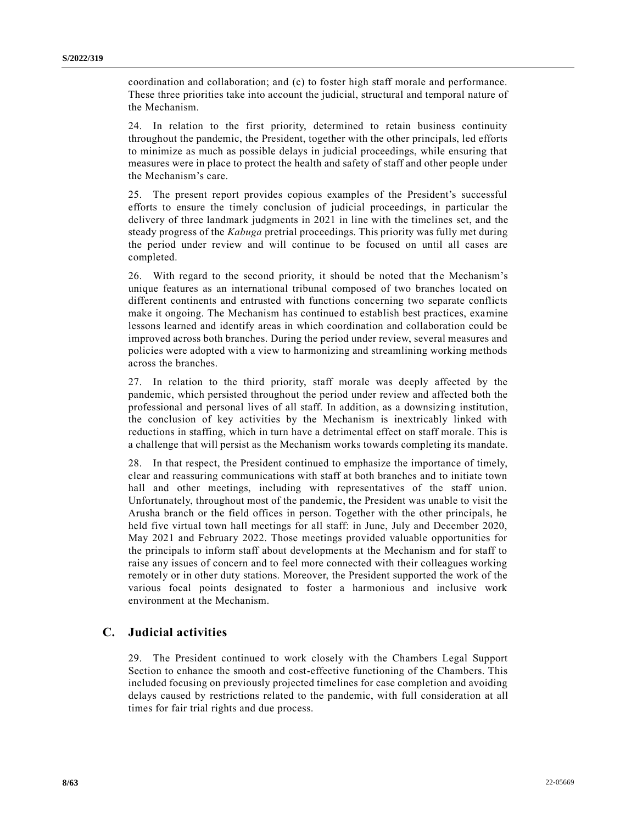coordination and collaboration; and (c) to foster high staff morale and performance. These three priorities take into account the judicial, structural and temporal nature of the Mechanism.

24. In relation to the first priority, determined to retain business continuity throughout the pandemic, the President, together with the other principals, led efforts to minimize as much as possible delays in judicial proceedings, while ensuring that measures were in place to protect the health and safety of staff and other people under the Mechanism's care.

25. The present report provides copious examples of the President's successful efforts to ensure the timely conclusion of judicial proceedings, in particular the delivery of three landmark judgments in 2021 in line with the timelines set, and the steady progress of the *Kabuga* pretrial proceedings. This priority was fully met during the period under review and will continue to be focused on until all cases are completed.

26. With regard to the second priority, it should be noted that the Mechanism's unique features as an international tribunal composed of two branches located on different continents and entrusted with functions concerning two separate conflicts make it ongoing. The Mechanism has continued to establish best practices, examine lessons learned and identify areas in which coordination and collaboration could be improved across both branches. During the period under review, several measures and policies were adopted with a view to harmonizing and streamlining working methods across the branches.

27. In relation to the third priority, staff morale was deeply affected by the pandemic, which persisted throughout the period under review and affected both the professional and personal lives of all staff. In addition, as a downsizing institution, the conclusion of key activities by the Mechanism is inextricably linked with reductions in staffing, which in turn have a detrimental effect on staff morale. This is a challenge that will persist as the Mechanism works towards completing its mandate.

28. In that respect, the President continued to emphasize the importance of timely, clear and reassuring communications with staff at both branches and to initiate town hall and other meetings, including with representatives of the staff union. Unfortunately, throughout most of the pandemic, the President was unable to visit the Arusha branch or the field offices in person. Together with the other principals, he held five virtual town hall meetings for all staff: in June, July and December 2020, May 2021 and February 2022. Those meetings provided valuable opportunities for the principals to inform staff about developments at the Mechanism and for staff to raise any issues of concern and to feel more connected with their colleagues working remotely or in other duty stations. Moreover, the President supported the work of the various focal points designated to foster a harmonious and inclusive work environment at the Mechanism.

# **C. Judicial activities**

29. The President continued to work closely with the Chambers Legal Support Section to enhance the smooth and cost-effective functioning of the Chambers. This included focusing on previously projected timelines for case completion and avoiding delays caused by restrictions related to the pandemic, with full consideration at all times for fair trial rights and due process.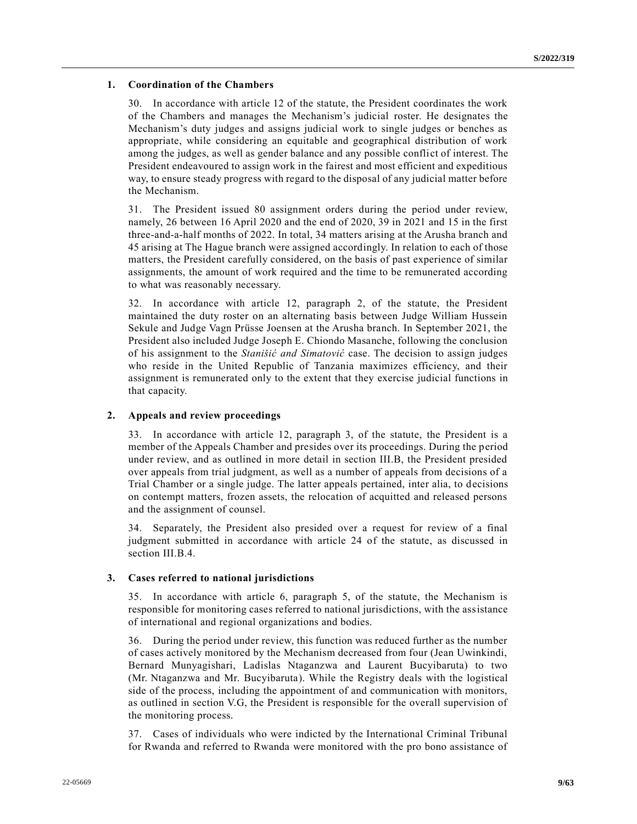### **1. Coordination of the Chambers**

30. In accordance with article 12 of the statute, the President coordinates the work of the Chambers and manages the Mechanism's judicial roster. He designates the Mechanism's duty judges and assigns judicial work to single judges or benches as appropriate, while considering an equitable and geographical distribution of work among the judges, as well as gender balance and any possible conflict of interest. The President endeavoured to assign work in the fairest and most efficient and expeditious way, to ensure steady progress with regard to the disposal of any judicial matter before the Mechanism.

31. The President issued 80 assignment orders during the period under review, namely, 26 between 16 April 2020 and the end of 2020, 39 in 2021 and 15 in the first three-and-a-half months of 2022. In total, 34 matters arising at the Arusha branch and 45 arising at The Hague branch were assigned accordingly. In relation to each of those matters, the President carefully considered, on the basis of past experience of similar assignments, the amount of work required and the time to be remunerated according to what was reasonably necessary.

32. In accordance with article 12, paragraph 2, of the statute, the President maintained the duty roster on an alternating basis between Judge William Hussein Sekule and Judge Vagn Prüsse Joensen at the Arusha branch. In September 2021, the President also included Judge Joseph E. Chiondo Masanche, following the conclusion of his assignment to the *Stanišić and Simatović* case. The decision to assign judges who reside in the United Republic of Tanzania maximizes efficiency, and their assignment is remunerated only to the extent that they exercise judicial functions in that capacity.

### **2. Appeals and review proceedings**

33. In accordance with article 12, paragraph 3, of the statute, the President is a member of the Appeals Chamber and presides over its proceedings. During the period under review, and as outlined in more detail in section III.B, the President presided over appeals from trial judgment, as well as a number of appeals from decisions of a Trial Chamber or a single judge. The latter appeals pertained, inter alia, to decisions on contempt matters, frozen assets, the relocation of acquitted and released persons and the assignment of counsel.

34. Separately, the President also presided over a request for review of a final judgment submitted in accordance with article 24 of the statute, as discussed in section III.B.4.

#### **3. Cases referred to national jurisdictions**

35. In accordance with article 6, paragraph 5, of the statute, the Mechanism is responsible for monitoring cases referred to national jurisdictions, with the assistance of international and regional organizations and bodies.

36. During the period under review, this function was reduced further as the number of cases actively monitored by the Mechanism decreased from four (Jean Uwinkindi, Bernard Munyagishari, Ladislas Ntaganzwa and Laurent Bucyibaruta) to two (Mr. Ntaganzwa and Mr. Bucyibaruta). While the Registry deals with the logistical side of the process, including the appointment of and communication with monitors, as outlined in section V.G, the President is responsible for the overall supervision of the monitoring process.

37. Cases of individuals who were indicted by the International Criminal Tribunal for Rwanda and referred to Rwanda were monitored with the pro bono assistance of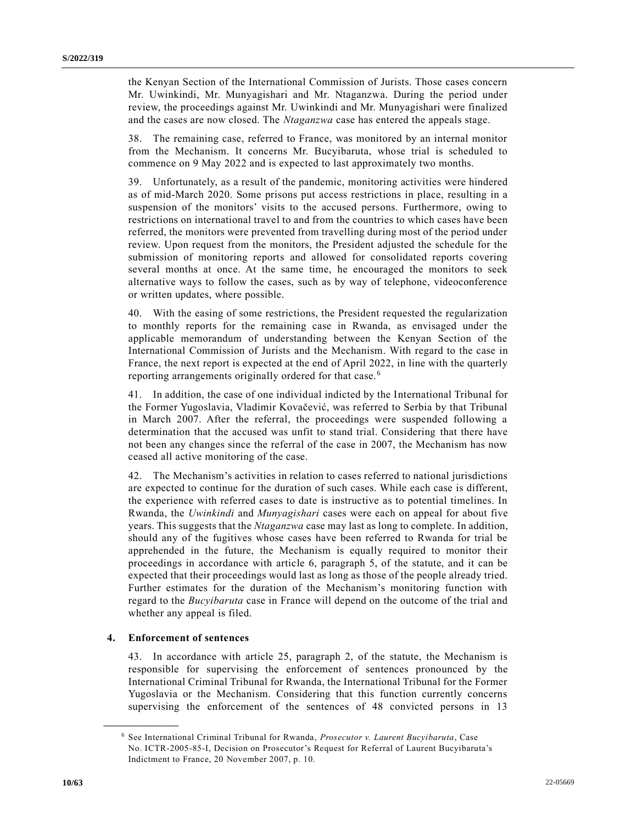the Kenyan Section of the International Commission of Jurists. Those cases concern Mr. Uwinkindi, Mr. Munyagishari and Mr. Ntaganzwa. During the period under review, the proceedings against Mr. Uwinkindi and Mr. Munyagishari were finalized and the cases are now closed. The *Ntaganzwa* case has entered the appeals stage.

38. The remaining case, referred to France, was monitored by an internal monitor from the Mechanism. It concerns Mr. Bucyibaruta, whose trial is scheduled to commence on 9 May 2022 and is expected to last approximately two months.

39. Unfortunately, as a result of the pandemic, monitoring activities were hindered as of mid-March 2020. Some prisons put access restrictions in place, resulting in a suspension of the monitors' visits to the accused persons. Furthermore, owing to restrictions on international travel to and from the countries to which cases have been referred, the monitors were prevented from travelling during most of the period under review. Upon request from the monitors, the President adjusted the schedule for the submission of monitoring reports and allowed for consolidated reports covering several months at once. At the same time, he encouraged the monitors to seek alternative ways to follow the cases, such as by way of telephone, videoconference or written updates, where possible.

40. With the easing of some restrictions, the President requested the regularization to monthly reports for the remaining case in Rwanda, as envisaged under the applicable memorandum of understanding between the Kenyan Section of the International Commission of Jurists and the Mechanism. With regard to the case in France, the next report is expected at the end of April 2022, in line with the quarterly reporting arrangements originally ordered for that case. <sup>6</sup>

41. In addition, the case of one individual indicted by the International Tribunal for the Former Yugoslavia, Vladimir Kovačević, was referred to Serbia by that Tribunal in March 2007. After the referral, the proceedings were suspended following a determination that the accused was unfit to stand trial. Considering that there have not been any changes since the referral of the case in 2007, the Mechanism has now ceased all active monitoring of the case.

42. The Mechanism's activities in relation to cases referred to national jurisdictions are expected to continue for the duration of such cases. While each case is different, the experience with referred cases to date is instructive as to potential timelines. In Rwanda, the *Uwinkindi* and *Munyagishari* cases were each on appeal for about five years. This suggests that the *Ntaganzwa* case may last as long to complete. In addition, should any of the fugitives whose cases have been referred to Rwanda for trial be apprehended in the future, the Mechanism is equally required to monitor their proceedings in accordance with article 6, paragraph 5, of the statute, and it can be expected that their proceedings would last as long as those of the people already tried. Further estimates for the duration of the Mechanism's monitoring function with regard to the *Bucyibaruta* case in France will depend on the outcome of the trial and whether any appeal is filed.

#### **4. Enforcement of sentences**

**\_\_\_\_\_\_\_\_\_\_\_\_\_\_\_\_\_\_**

43. In accordance with article 25, paragraph 2, of the statute, the Mechanism is responsible for supervising the enforcement of sentences pronounced by the International Criminal Tribunal for Rwanda, the International Tribunal for the Former Yugoslavia or the Mechanism. Considering that this function currently concerns supervising the enforcement of the sentences of 48 convicted persons in 13

<sup>6</sup> See International Criminal Tribunal for Rwanda, *Prosecutor v. Laurent Bucyibaruta*, Case No. ICTR-2005-85-I, Decision on Prosecutor's Request for Referral of Laurent Bucyibaruta's Indictment to France, 20 November 2007, p. 10.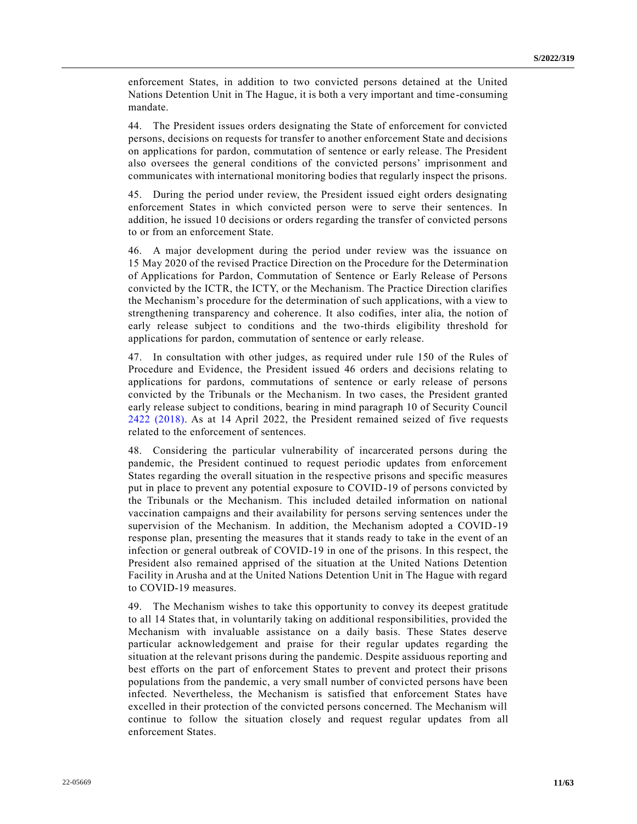enforcement States, in addition to two convicted persons detained at the United Nations Detention Unit in The Hague, it is both a very important and time-consuming mandate.

44. The President issues orders designating the State of enforcement for convicted persons, decisions on requests for transfer to another enforcement State and decisions on applications for pardon, commutation of sentence or early release. The President also oversees the general conditions of the convicted persons' imprisonment and communicates with international monitoring bodies that regularly inspect the prisons.

45. During the period under review, the President issued eight orders designating enforcement States in which convicted person were to serve their sentences. In addition, he issued 10 decisions or orders regarding the transfer of convicted persons to or from an enforcement State.

46. A major development during the period under review was the issuance on 15 May 2020 of the revised Practice Direction on the Procedure for the Determination of Applications for Pardon, Commutation of Sentence or Early Release of Persons convicted by the ICTR, the ICTY, or the Mechanism. The Practice Direction clarifies the Mechanism's procedure for the determination of such applications, with a view to strengthening transparency and coherence. It also codifies, inter alia, the notion of early release subject to conditions and the two-thirds eligibility threshold for applications for pardon, commutation of sentence or early release.

47. In consultation with other judges, as required under rule 150 of the Rules of Procedure and Evidence, the President issued 46 orders and decisions relating to applications for pardons, commutations of sentence or early release of persons convicted by the Tribunals or the Mechanism. In two cases, the President granted early release subject to conditions, bearing in mind paragraph 10 of Security Council [2422 \(2018\).](https://undocs.org/en/S/RES/2422(2018)) As at 14 April 2022, the President remained seized of five requests related to the enforcement of sentences.

48. Considering the particular vulnerability of incarcerated persons during the pandemic, the President continued to request periodic updates from enforcement States regarding the overall situation in the respective prisons and specific measures put in place to prevent any potential exposure to COVID-19 of persons convicted by the Tribunals or the Mechanism. This included detailed information on national vaccination campaigns and their availability for persons serving sentences under the supervision of the Mechanism. In addition, the Mechanism adopted a COVID-19 response plan, presenting the measures that it stands ready to take in the event of an infection or general outbreak of COVID-19 in one of the prisons. In this respect, the President also remained apprised of the situation at the United Nations Detention Facility in Arusha and at the United Nations Detention Unit in The Hague with regard to COVID-19 measures.

49. The Mechanism wishes to take this opportunity to convey its deepest gratitude to all 14 States that, in voluntarily taking on additional responsibilities, provided the Mechanism with invaluable assistance on a daily basis. These States deserve particular acknowledgement and praise for their regular updates regarding the situation at the relevant prisons during the pandemic. Despite assiduous reporting and best efforts on the part of enforcement States to prevent and protect their prisons populations from the pandemic, a very small number of convicted persons have been infected. Nevertheless, the Mechanism is satisfied that enforcement States have excelled in their protection of the convicted persons concerned. The Mechanism will continue to follow the situation closely and request regular updates from all enforcement States.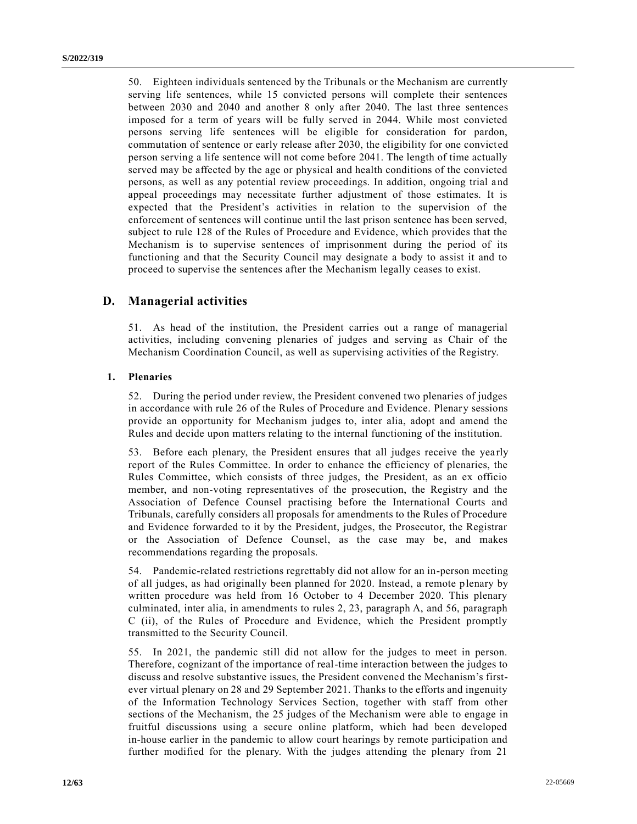50. Eighteen individuals sentenced by the Tribunals or the Mechanism are currently serving life sentences, while 15 convicted persons will complete their sentences between 2030 and 2040 and another 8 only after 2040. The last three sentences imposed for a term of years will be fully served in 2044. While most convicted persons serving life sentences will be eligible for consideration for pardon, commutation of sentence or early release after 2030, the eligibility for one convict ed person serving a life sentence will not come before 2041. The length of time actually served may be affected by the age or physical and health conditions of the convicted persons, as well as any potential review proceedings. In addition, ongoing trial and appeal proceedings may necessitate further adjustment of those estimates. It is expected that the President's activities in relation to the supervision of the enforcement of sentences will continue until the last prison sentence has been served, subject to rule 128 of the Rules of Procedure and Evidence, which provides that the Mechanism is to supervise sentences of imprisonment during the period of its functioning and that the Security Council may designate a body to assist it and to proceed to supervise the sentences after the Mechanism legally ceases to exist.

# **D. Managerial activities**

51. As head of the institution, the President carries out a range of managerial activities, including convening plenaries of judges and serving as Chair of the Mechanism Coordination Council, as well as supervising activities of the Registry.

#### **1. Plenaries**

52. During the period under review, the President convened two plenaries of judges in accordance with rule 26 of the Rules of Procedure and Evidence. Plenary sessions provide an opportunity for Mechanism judges to, inter alia, adopt and amend the Rules and decide upon matters relating to the internal functioning of the institution.

53. Before each plenary, the President ensures that all judges receive the yearly report of the Rules Committee. In order to enhance the efficiency of plenaries, the Rules Committee, which consists of three judges, the President, as an ex officio member, and non-voting representatives of the prosecution, the Registry and the Association of Defence Counsel practising before the International Courts and Tribunals, carefully considers all proposals for amendments to the Rules of Procedure and Evidence forwarded to it by the President, judges, the Prosecutor, the Registrar or the Association of Defence Counsel, as the case may be, and makes recommendations regarding the proposals.

54. Pandemic-related restrictions regrettably did not allow for an in-person meeting of all judges, as had originally been planned for 2020. Instead, a remote plenary by written procedure was held from 16 October to 4 December 2020. This plenary culminated, inter alia, in amendments to rules 2, 23, paragraph A, and 56, paragraph C (ii), of the Rules of Procedure and Evidence, which the President promptly transmitted to the Security Council.

55. In 2021, the pandemic still did not allow for the judges to meet in person. Therefore, cognizant of the importance of real-time interaction between the judges to discuss and resolve substantive issues, the President convened the Mechanism's firstever virtual plenary on 28 and 29 September 2021. Thanks to the efforts and ingenuity of the Information Technology Services Section, together with staff from other sections of the Mechanism, the 25 judges of the Mechanism were able to engage in fruitful discussions using a secure online platform, which had been developed in-house earlier in the pandemic to allow court hearings by remote participation and further modified for the plenary. With the judges attending the plenary from 21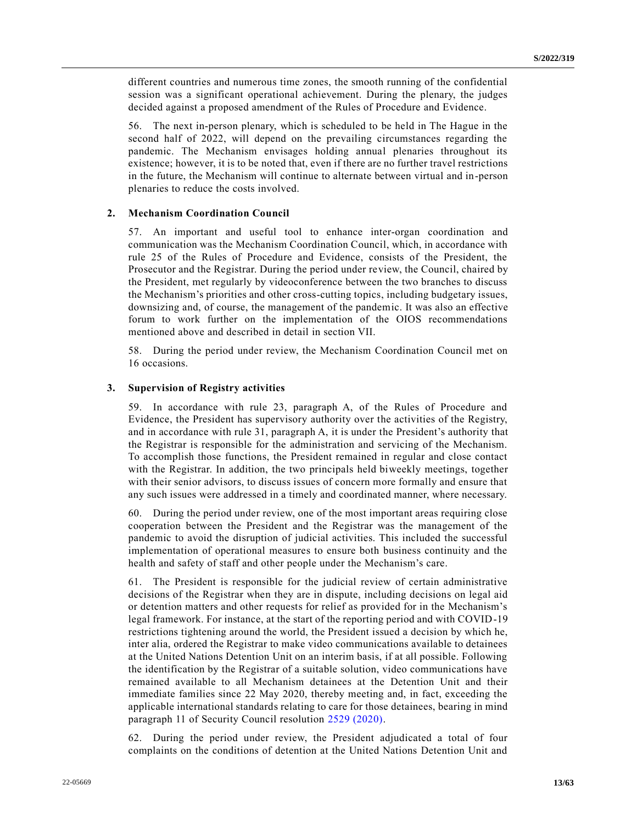different countries and numerous time zones, the smooth running of the confidential session was a significant operational achievement. During the plenary, the judges decided against a proposed amendment of the Rules of Procedure and Evidence.

56. The next in-person plenary, which is scheduled to be held in The Hague in the second half of 2022, will depend on the prevailing circumstances regarding the pandemic. The Mechanism envisages holding annual plenaries throughout its existence; however, it is to be noted that, even if there are no further travel restrictions in the future, the Mechanism will continue to alternate between virtual and in-person plenaries to reduce the costs involved.

### **2. Mechanism Coordination Council**

57. An important and useful tool to enhance inter-organ coordination and communication was the Mechanism Coordination Council, which, in accordance with rule 25 of the Rules of Procedure and Evidence, consists of the President, the Prosecutor and the Registrar. During the period under review, the Council, chaired by the President, met regularly by videoconference between the two branches to discuss the Mechanism's priorities and other cross-cutting topics, including budgetary issues, downsizing and, of course, the management of the pandemic. It was also an effective forum to work further on the implementation of the OIOS recommendations mentioned above and described in detail in section VII.

58. During the period under review, the Mechanism Coordination Council met on 16 occasions.

#### **3. Supervision of Registry activities**

59. In accordance with rule 23, paragraph A, of the Rules of Procedure and Evidence, the President has supervisory authority over the activities of the Registry, and in accordance with rule 31, paragraph A, it is under the President's authority that the Registrar is responsible for the administration and servicing of the Mechanism. To accomplish those functions, the President remained in regular and close contact with the Registrar. In addition, the two principals held biweekly meetings, together with their senior advisors, to discuss issues of concern more formally and ensure that any such issues were addressed in a timely and coordinated manner, where necessary.

60. During the period under review, one of the most important areas requiring close cooperation between the President and the Registrar was the management of the pandemic to avoid the disruption of judicial activities. This included the successful implementation of operational measures to ensure both business continuity and the health and safety of staff and other people under the Mechanism's care.

61. The President is responsible for the judicial review of certain administrative decisions of the Registrar when they are in dispute, including decisions on legal aid or detention matters and other requests for relief as provided for in the Mechanism's legal framework. For instance, at the start of the reporting period and with COVID-19 restrictions tightening around the world, the President issued a decision by which he, inter alia, ordered the Registrar to make video communications available to detainees at the United Nations Detention Unit on an interim basis, if at all possible. Following the identification by the Registrar of a suitable solution, video communications have remained available to all Mechanism detainees at the Detention Unit and their immediate families since 22 May 2020, thereby meeting and, in fact, exceeding the applicable international standards relating to care for those detainees, bearing in mind paragraph 11 of Security Council resolution [2529 \(2020\).](https://undocs.org/en/S/RES/2529(2020))

62. During the period under review, the President adjudicated a total of four complaints on the conditions of detention at the United Nations Detention Unit and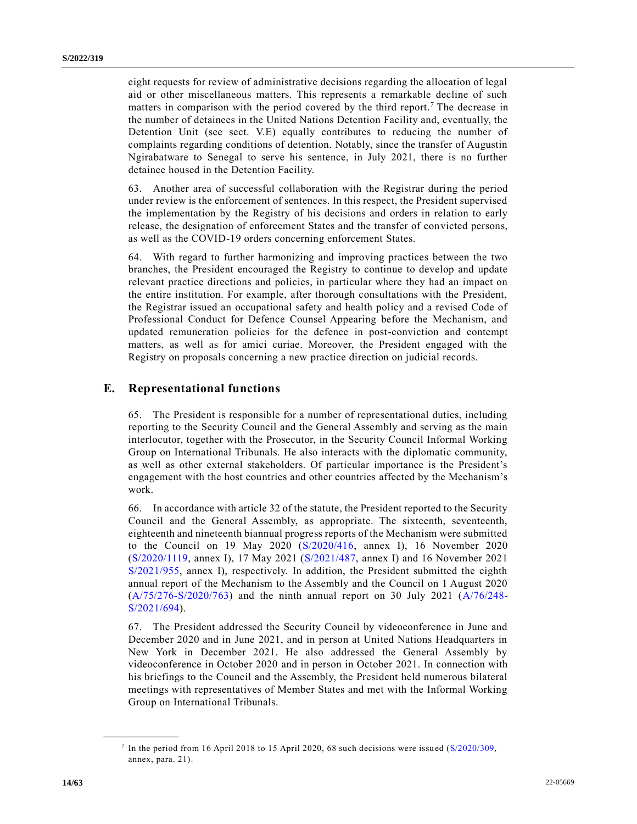eight requests for review of administrative decisions regarding the allocation of legal aid or other miscellaneous matters. This represents a remarkable decline of such matters in comparison with the period covered by the third report.<sup>7</sup> The decrease in the number of detainees in the United Nations Detention Facility and, eventually, the Detention Unit (see sect. V.E) equally contributes to reducing the number of complaints regarding conditions of detention. Notably, since the transfer of Augustin Ngirabatware to Senegal to serve his sentence, in July 2021, there is no further detainee housed in the Detention Facility.

63. Another area of successful collaboration with the Registrar during the period under review is the enforcement of sentences. In this respect, the President supervised the implementation by the Registry of his decisions and orders in relation to early release, the designation of enforcement States and the transfer of convicted persons, as well as the COVID-19 orders concerning enforcement States.

64. With regard to further harmonizing and improving practices between the two branches, the President encouraged the Registry to continue to develop and update relevant practice directions and policies, in particular where they had an impact on the entire institution. For example, after thorough consultations with the President, the Registrar issued an occupational safety and health policy and a revised Code of Professional Conduct for Defence Counsel Appearing before the Mechanism, and updated remuneration policies for the defence in post-conviction and contempt matters, as well as for amici curiae. Moreover, the President engaged with the Registry on proposals concerning a new practice direction on judicial records.

# **E. Representational functions**

65. The President is responsible for a number of representational duties, including reporting to the Security Council and the General Assembly and serving as the main interlocutor, together with the Prosecutor, in the Security Council Informal Working Group on International Tribunals. He also interacts with the diplomatic community, as well as other external stakeholders. Of particular importance is the President's engagement with the host countries and other countries affected by the Mechanism's work.

66. In accordance with article 32 of the statute, the President reported to the Security Council and the General Assembly, as appropriate. The sixteenth, seventeenth, eighteenth and nineteenth biannual progress reports of the Mechanism were submitted to the Council on 19 May 2020 [\(S/2020/416,](https://undocs.org/en/S/2020/416) annex I), 16 November 2020 [\(S/2020/1119,](https://undocs.org/en/S/2020/1119) annex I), 17 May 2021 [\(S/2021/487,](https://undocs.org/en/S/2021/487) annex I) and 16 November 2021 [S/2021/955,](https://undocs.org/en/S/2021/955) annex I), respectively. In addition, the President submitted the eighth annual report of the Mechanism to the Assembly and the Council on 1 August 2020 [\(A/75/276-S/2020/763\)](https://undocs.org/en/A/75/276) and the ninth annual report on 30 July 2021 [\(A/76/248-](https://undocs.org/en/A/76/248) [S/2021/694\)](https://undocs.org/en/A/76/248).

67. The President addressed the Security Council by videoconference in June and December 2020 and in June 2021, and in person at United Nations Headquarters in New York in December 2021. He also addressed the General Assembly by videoconference in October 2020 and in person in October 2021. In connection with his briefings to the Council and the Assembly, the President held numerous bilateral meetings with representatives of Member States and met with the Informal Working Group on International Tribunals.

<sup>&</sup>lt;sup>7</sup> In the period from 16 April 2018 to 15 April 2020, 68 such decisions were issued [\(S/2020/309,](https://undocs.org/en/S/2020/309) annex, para. 21).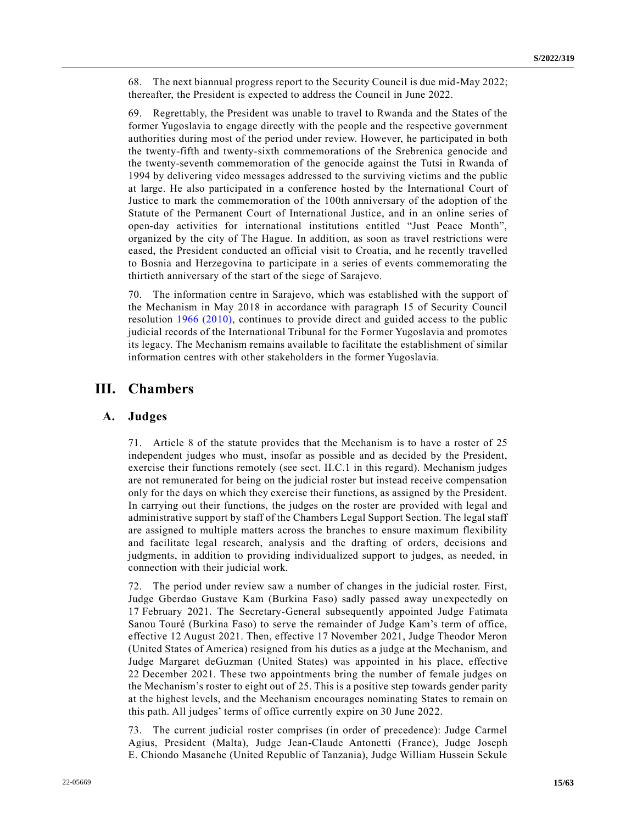68. The next biannual progress report to the Security Council is due mid-May 2022; thereafter, the President is expected to address the Council in June 2022.

69. Regrettably, the President was unable to travel to Rwanda and the States of the former Yugoslavia to engage directly with the people and the respective government authorities during most of the period under review. However, he participated in both the twenty-fifth and twenty-sixth commemorations of the Srebrenica genocide and the twenty-seventh commemoration of the genocide against the Tutsi in Rwanda of 1994 by delivering video messages addressed to the surviving victims and the public at large. He also participated in a conference hosted by the International Court of Justice to mark the commemoration of the 100th anniversary of the adoption of the Statute of the Permanent Court of International Justice, and in an online series of open-day activities for international institutions entitled "Just Peace Month", organized by the city of The Hague. In addition, as soon as travel restrictions were eased, the President conducted an official visit to Croatia, and he recently travelled to Bosnia and Herzegovina to participate in a series of events commemorating the thirtieth anniversary of the start of the siege of Sarajevo.

70. The information centre in Sarajevo, which was established with the support of the Mechanism in May 2018 in accordance with paragraph 15 of Security Council resolution [1966 \(2010\),](https://undocs.org/en/S/RES/1966(2010)) continues to provide direct and guided access to the public judicial records of the International Tribunal for the Former Yugoslavia and promotes its legacy. The Mechanism remains available to facilitate the establishment of similar information centres with other stakeholders in the former Yugoslavia.

# **III. Chambers**

## **A. Judges**

71. Article 8 of the statute provides that the Mechanism is to have a roster of 25 independent judges who must, insofar as possible and as decided by the President, exercise their functions remotely (see sect. II.C.1 in this regard). Mechanism judges are not remunerated for being on the judicial roster but instead receive compensation only for the days on which they exercise their functions, as assigned by the President. In carrying out their functions, the judges on the roster are provided with legal and administrative support by staff of the Chambers Legal Support Section. The legal staff are assigned to multiple matters across the branches to ensure maximum flexibility and facilitate legal research, analysis and the drafting of orders, decisions and judgments, in addition to providing individualized support to judges, as needed, in connection with their judicial work.

72. The period under review saw a number of changes in the judicial roster. First, Judge Gberdao Gustave Kam (Burkina Faso) sadly passed away unexpectedly on 17 February 2021. The Secretary-General subsequently appointed Judge Fatimata Sanou Touré (Burkina Faso) to serve the remainder of Judge Kam's term of office, effective 12 August 2021. Then, effective 17 November 2021, Judge Theodor Meron (United States of America) resigned from his duties as a judge at the Mechanism, and Judge Margaret deGuzman (United States) was appointed in his place, effective 22 December 2021. These two appointments bring the number of female judges on the Mechanism's roster to eight out of 25. This is a positive step towards gender parity at the highest levels, and the Mechanism encourages nominating States to remain on this path. All judges' terms of office currently expire on 30 June 2022.

73. The current judicial roster comprises (in order of precedence): Judge Carmel Agius, President (Malta), Judge Jean-Claude Antonetti (France), Judge Joseph E. Chiondo Masanche (United Republic of Tanzania), Judge William Hussein Sekule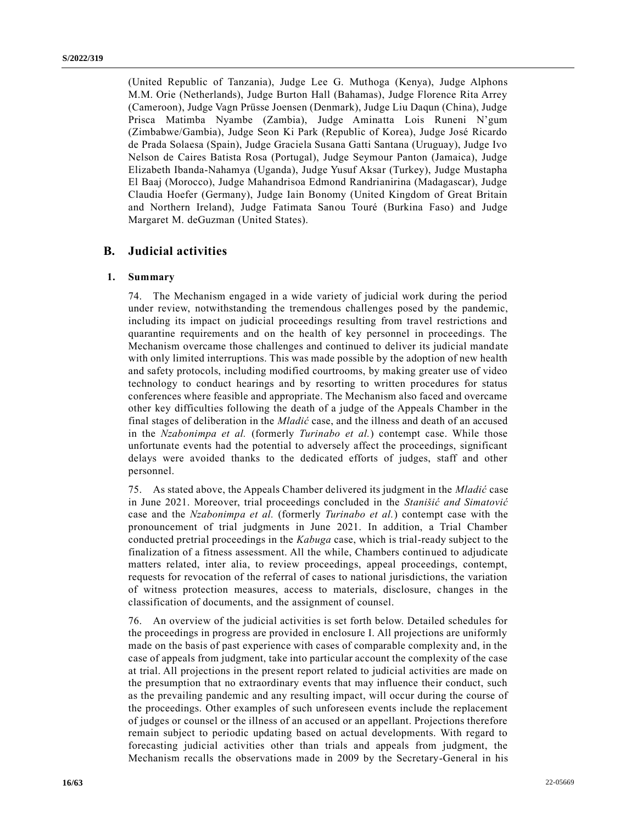(United Republic of Tanzania), Judge Lee G. Muthoga (Kenya), Judge Alphons M.M. Orie (Netherlands), Judge Burton Hall (Bahamas), Judge Florence Rita Arrey (Cameroon), Judge Vagn Prüsse Joensen (Denmark), Judge Liu Daqun (China), Judge Prisca Matimba Nyambe (Zambia), Judge Aminatta Lois Runeni N'gum (Zimbabwe/Gambia), Judge Seon Ki Park (Republic of Korea), Judge José Ricardo de Prada Solaesa (Spain), Judge Graciela Susana Gatti Santana (Uruguay), Judge Ivo Nelson de Caires Batista Rosa (Portugal), Judge Seymour Panton (Jamaica), Judge Elizabeth Ibanda-Nahamya (Uganda), Judge Yusuf Aksar (Turkey), Judge Mustapha El Baaj (Morocco), Judge Mahandrisoa Edmond Randrianirina (Madagascar), Judge Claudia Hoefer (Germany), Judge Iain Bonomy (United Kingdom of Great Britain and Northern Ireland), Judge Fatimata Sanou Touré (Burkina Faso) and Judge Margaret M. deGuzman (United States).

# **B. Judicial activities**

#### **1. Summary**

74. The Mechanism engaged in a wide variety of judicial work during the period under review, notwithstanding the tremendous challenges posed by the pandemic, including its impact on judicial proceedings resulting from travel restrictions and quarantine requirements and on the health of key personnel in proceedings. The Mechanism overcame those challenges and continued to deliver its judicial mandate with only limited interruptions. This was made possible by the adoption of new health and safety protocols, including modified courtrooms, by making greater use of video technology to conduct hearings and by resorting to written procedures for status conferences where feasible and appropriate. The Mechanism also faced and overcame other key difficulties following the death of a judge of the Appeals Chamber in the final stages of deliberation in the *Mladić* case, and the illness and death of an accused in the *Nzabonimpa et al.* (formerly *Turinabo et al.*) contempt case. While those unfortunate events had the potential to adversely affect the proceedings, significant delays were avoided thanks to the dedicated efforts of judges, staff and other personnel.

75. As stated above, the Appeals Chamber delivered its judgment in the *Mladić* case in June 2021. Moreover, trial proceedings concluded in the *Stanišić and Simatović* case and the *Nzabonimpa et al.* (formerly *Turinabo et al.*) contempt case with the pronouncement of trial judgments in June 2021. In addition, a Trial Chamber conducted pretrial proceedings in the *Kabuga* case, which is trial-ready subject to the finalization of a fitness assessment. All the while, Chambers continued to adjudicate matters related, inter alia, to review proceedings, appeal proceedings, contempt, requests for revocation of the referral of cases to national jurisdictions, the variation of witness protection measures, access to materials, disclosure, changes in the classification of documents, and the assignment of counsel.

76. An overview of the judicial activities is set forth below. Detailed schedules for the proceedings in progress are provided in enclosure I. All projections are uniformly made on the basis of past experience with cases of comparable complexity and, in the case of appeals from judgment, take into particular account the complexity of the case at trial. All projections in the present report related to judicial activities are made on the presumption that no extraordinary events that may influence their conduct, such as the prevailing pandemic and any resulting impact, will occur during the course of the proceedings. Other examples of such unforeseen events include the replacement of judges or counsel or the illness of an accused or an appellant. Projections therefore remain subject to periodic updating based on actual developments. With regard to forecasting judicial activities other than trials and appeals from judgment, the Mechanism recalls the observations made in 2009 by the Secretary-General in his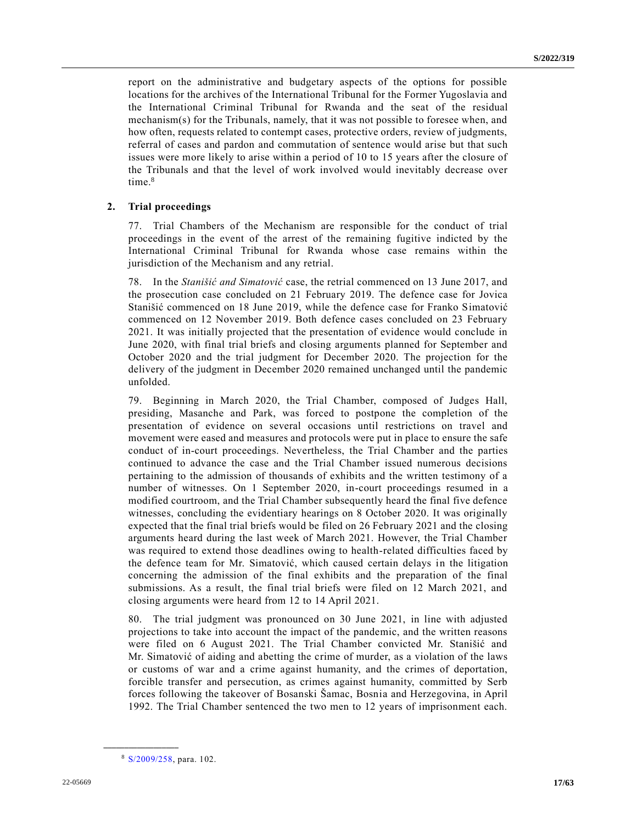report on the administrative and budgetary aspects of the options for possible locations for the archives of the International Tribunal for the Former Yugoslavia and the International Criminal Tribunal for Rwanda and the seat of the residual mechanism(s) for the Tribunals, namely, that it was not possible to foresee when, and how often, requests related to contempt cases, protective orders, review of judgments, referral of cases and pardon and commutation of sentence would arise but that such issues were more likely to arise within a period of 10 to 15 years after the closure of the Tribunals and that the level of work involved would inevitably decrease over time.<sup>8</sup>

#### **2. Trial proceedings**

77. Trial Chambers of the Mechanism are responsible for the conduct of trial proceedings in the event of the arrest of the remaining fugitive indicted by the International Criminal Tribunal for Rwanda whose case remains within the jurisdiction of the Mechanism and any retrial.

78. In the *Stanišić and Simatović* case, the retrial commenced on 13 June 2017, and the prosecution case concluded on 21 February 2019. The defence case for Jovica Stanišić commenced on 18 June 2019, while the defence case for Franko Simatović commenced on 12 November 2019. Both defence cases concluded on 23 February 2021. It was initially projected that the presentation of evidence would conclude in June 2020, with final trial briefs and closing arguments planned for September and October 2020 and the trial judgment for December 2020. The projection for the delivery of the judgment in December 2020 remained unchanged until the pandemic unfolded.

79. Beginning in March 2020, the Trial Chamber, composed of Judges Hall, presiding, Masanche and Park, was forced to postpone the completion of the presentation of evidence on several occasions until restrictions on travel and movement were eased and measures and protocols were put in place to ensure the safe conduct of in-court proceedings. Nevertheless, the Trial Chamber and the parties continued to advance the case and the Trial Chamber issued numerous decisions pertaining to the admission of thousands of exhibits and the written testimony of a number of witnesses. On 1 September 2020, in-court proceedings resumed in a modified courtroom, and the Trial Chamber subsequently heard the final five defence witnesses, concluding the evidentiary hearings on 8 October 2020. It was originally expected that the final trial briefs would be filed on 26 February 2021 and the closing arguments heard during the last week of March 2021. However, the Trial Chamber was required to extend those deadlines owing to health-related difficulties faced by the defence team for Mr. Simatović, which caused certain delays in the litigation concerning the admission of the final exhibits and the preparation of the final submissions. As a result, the final trial briefs were filed on 12 March 2021, and closing arguments were heard from 12 to 14 April 2021.

80. The trial judgment was pronounced on 30 June 2021, in line with adjusted projections to take into account the impact of the pandemic, and the written reasons were filed on 6 August 2021. The Trial Chamber convicted Mr. Stanišić and Mr. Simatović of aiding and abetting the crime of murder, as a violation of the laws or customs of war and a crime against humanity, and the crimes of deportation, forcible transfer and persecution, as crimes against humanity, committed by Serb forces following the takeover of Bosanski Šamac, Bosnia and Herzegovina, in April 1992. The Trial Chamber sentenced the two men to 12 years of imprisonment each.

<sup>8</sup> [S/2009/258,](https://undocs.org/en/S/2009/258) para. 102.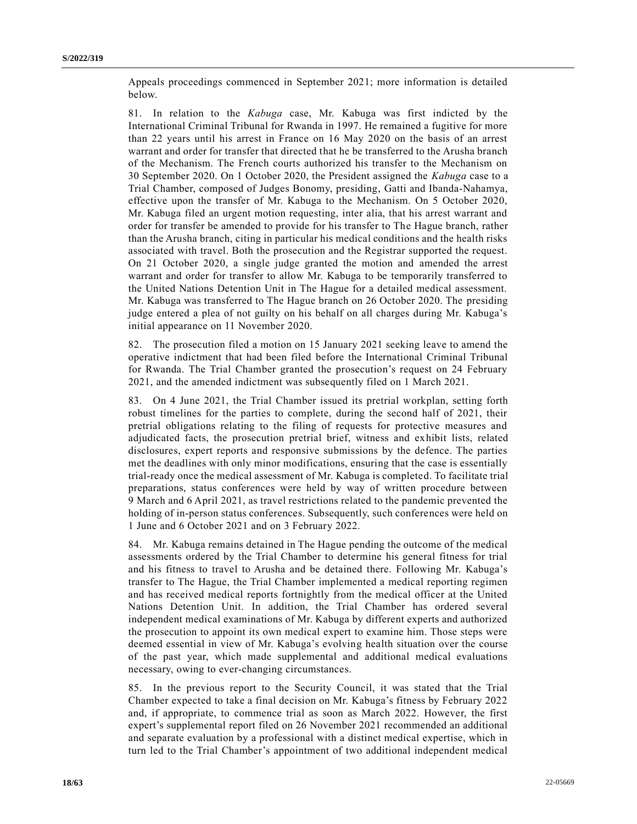Appeals proceedings commenced in September 2021; more information is detailed below.

81. In relation to the *Kabuga* case, Mr. Kabuga was first indicted by the International Criminal Tribunal for Rwanda in 1997. He remained a fugitive for more than 22 years until his arrest in France on 16 May 2020 on the basis of an arrest warrant and order for transfer that directed that he be transferred to the Arusha branch of the Mechanism. The French courts authorized his transfer to the Mechanism on 30 September 2020. On 1 October 2020, the President assigned the *Kabuga* case to a Trial Chamber, composed of Judges Bonomy, presiding, Gatti and Ibanda-Nahamya, effective upon the transfer of Mr. Kabuga to the Mechanism. On 5 October 2020, Mr. Kabuga filed an urgent motion requesting, inter alia, that his arrest warrant and order for transfer be amended to provide for his transfer to The Hague branch, rather than the Arusha branch, citing in particular his medical conditions and the health risks associated with travel. Both the prosecution and the Registrar supported the request. On 21 October 2020, a single judge granted the motion and amended the arrest warrant and order for transfer to allow Mr. Kabuga to be temporarily transferred to the United Nations Detention Unit in The Hague for a detailed medical assessment. Mr. Kabuga was transferred to The Hague branch on 26 October 2020. The presiding judge entered a plea of not guilty on his behalf on all charges during Mr. Kabuga's initial appearance on 11 November 2020.

82. The prosecution filed a motion on 15 January 2021 seeking leave to amend the operative indictment that had been filed before the International Criminal Tribunal for Rwanda. The Trial Chamber granted the prosecution's request on 24 February 2021, and the amended indictment was subsequently filed on 1 March 2021.

83. On 4 June 2021, the Trial Chamber issued its pretrial workplan, setting forth robust timelines for the parties to complete, during the second half of 2021, their pretrial obligations relating to the filing of requests for protective measures and adjudicated facts, the prosecution pretrial brief, witness and exhibit lists, related disclosures, expert reports and responsive submissions by the defence. The parties met the deadlines with only minor modifications, ensuring that the case is essentially trial-ready once the medical assessment of Mr. Kabuga is completed. To facilitate trial preparations, status conferences were held by way of written procedure between 9 March and 6 April 2021, as travel restrictions related to the pandemic prevented the holding of in-person status conferences. Subsequently, such conferences were held on 1 June and 6 October 2021 and on 3 February 2022.

84. Mr. Kabuga remains detained in The Hague pending the outcome of the medical assessments ordered by the Trial Chamber to determine his general fitness for trial and his fitness to travel to Arusha and be detained there. Following Mr. Kabuga's transfer to The Hague, the Trial Chamber implemented a medical reporting regimen and has received medical reports fortnightly from the medical officer at the United Nations Detention Unit. In addition, the Trial Chamber has ordered several independent medical examinations of Mr. Kabuga by different experts and authorized the prosecution to appoint its own medical expert to examine him. Those steps were deemed essential in view of Mr. Kabuga's evolving health situation over the course of the past year, which made supplemental and additional medical evaluations necessary, owing to ever-changing circumstances.

85. In the previous report to the Security Council, it was stated that the Trial Chamber expected to take a final decision on Mr. Kabuga's fitness by February 2022 and, if appropriate, to commence trial as soon as March 2022. However, the first expert's supplemental report filed on 26 November 2021 recommended an additional and separate evaluation by a professional with a distinct medical expertise, which in turn led to the Trial Chamber's appointment of two additional independent medical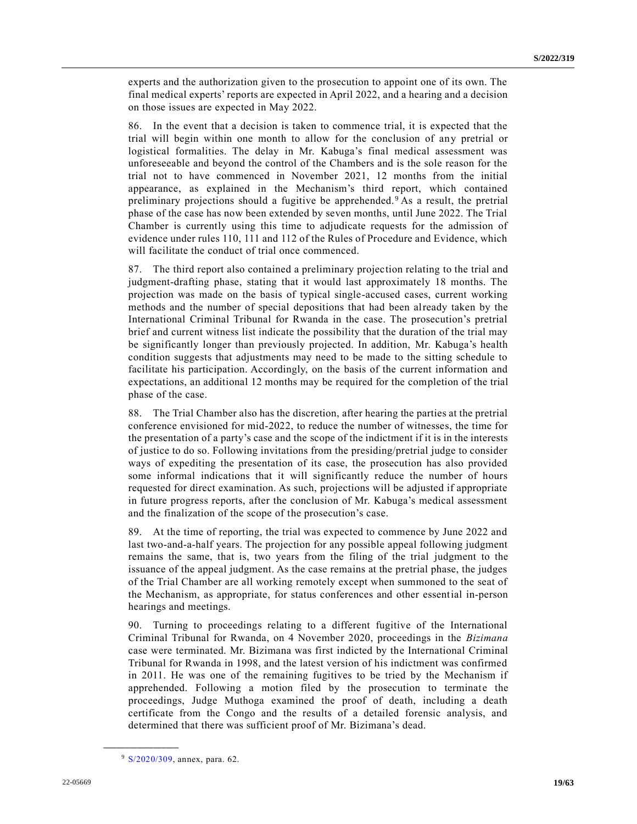experts and the authorization given to the prosecution to appoint one of its own. The final medical experts' reports are expected in April 2022, and a hearing and a decision on those issues are expected in May 2022.

86. In the event that a decision is taken to commence trial, it is expected that the trial will begin within one month to allow for the conclusion of any pretrial or logistical formalities. The delay in Mr. Kabuga's final medical assessment was unforeseeable and beyond the control of the Chambers and is the sole reason for the trial not to have commenced in November 2021, 12 months from the initial appearance, as explained in the Mechanism's third report, which contained preliminary projections should a fugitive be apprehended. <sup>9</sup> As a result, the pretrial phase of the case has now been extended by seven months, until June 2022. The Trial Chamber is currently using this time to adjudicate requests for the admission of evidence under rules 110, 111 and 112 of the Rules of Procedure and Evidence, which will facilitate the conduct of trial once commenced.

87. The third report also contained a preliminary projection relating to the trial and judgment-drafting phase, stating that it would last approximately 18 months. The projection was made on the basis of typical single-accused cases, current working methods and the number of special depositions that had been already taken by the International Criminal Tribunal for Rwanda in the case. The prosecution's pretrial brief and current witness list indicate the possibility that the duration of the trial may be significantly longer than previously projected. In addition, Mr. Kabuga's health condition suggests that adjustments may need to be made to the sitting schedule to facilitate his participation. Accordingly, on the basis of the current information and expectations, an additional 12 months may be required for the completion of the trial phase of the case.

88. The Trial Chamber also has the discretion, after hearing the parties at the pretrial conference envisioned for mid-2022, to reduce the number of witnesses, the time for the presentation of a party's case and the scope of the indictment if it is in the interests of justice to do so. Following invitations from the presiding/pretrial judge to consider ways of expediting the presentation of its case, the prosecution has also provided some informal indications that it will significantly reduce the number of hours requested for direct examination. As such, projections will be adjusted if appropriate in future progress reports, after the conclusion of Mr. Kabuga's medical assessment and the finalization of the scope of the prosecution's case.

89. At the time of reporting, the trial was expected to commence by June 2022 and last two-and-a-half years. The projection for any possible appeal following judgment remains the same, that is, two years from the filing of the trial judgment to the issuance of the appeal judgment. As the case remains at the pretrial phase, the judges of the Trial Chamber are all working remotely except when summoned to the seat of the Mechanism, as appropriate, for status conferences and other essential in-person hearings and meetings.

90. Turning to proceedings relating to a different fugitive of the International Criminal Tribunal for Rwanda, on 4 November 2020, proceedings in the *Bizimana* case were terminated. Mr. Bizimana was first indicted by the International Criminal Tribunal for Rwanda in 1998, and the latest version of his indictment was confirmed in 2011. He was one of the remaining fugitives to be tried by the Mechanism if apprehended. Following a motion filed by the prosecution to terminate the proceedings, Judge Muthoga examined the proof of death, including a death certificate from the Congo and the results of a detailed forensic analysis, and determined that there was sufficient proof of Mr. Bizimana's dead.

<sup>&</sup>lt;sup>9</sup> [S/2020/309,](https://undocs.org/en/S/2020/309) annex, para. 62.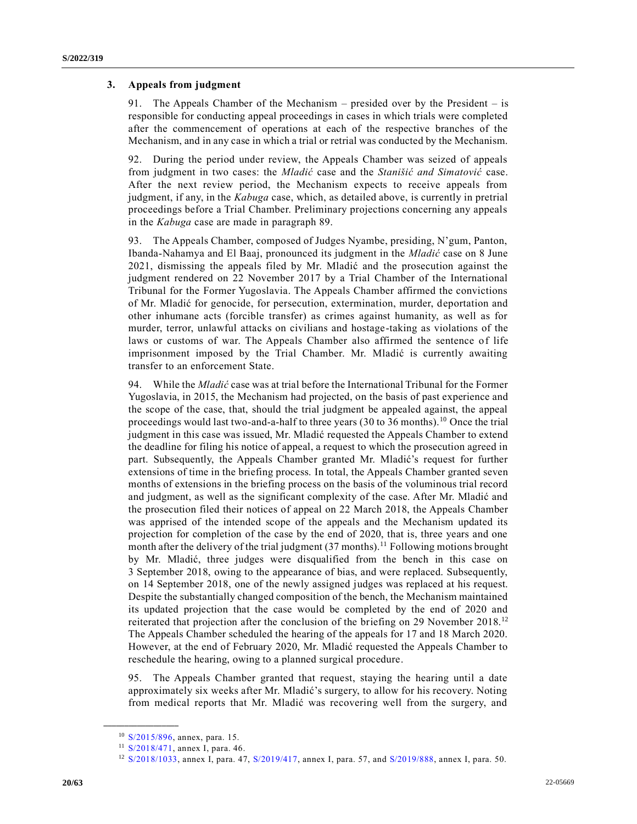### **3. Appeals from judgment**

91. The Appeals Chamber of the Mechanism – presided over by the President – is responsible for conducting appeal proceedings in cases in which trials were completed after the commencement of operations at each of the respective branches of the Mechanism, and in any case in which a trial or retrial was conducted by the Mechanism.

92. During the period under review, the Appeals Chamber was seized of appeals from judgment in two cases: the *Mladić* case and the *Stanišić and Simatović* case. After the next review period, the Mechanism expects to receive appeals from judgment, if any, in the *Kabuga* case, which, as detailed above, is currently in pretrial proceedings before a Trial Chamber. Preliminary projections concerning any appeals in the *Kabuga* case are made in paragraph 89.

93. The Appeals Chamber, composed of Judges Nyambe, presiding, N'gum, Panton, Ibanda-Nahamya and El Baaj, pronounced its judgment in the *Mladić* case on 8 June 2021, dismissing the appeals filed by Mr. Mladić and the prosecution against the judgment rendered on 22 November 2017 by a Trial Chamber of the International Tribunal for the Former Yugoslavia. The Appeals Chamber affirmed the convictions of Mr. Mladić for genocide, for persecution, extermination, murder, deportation and other inhumane acts (forcible transfer) as crimes against humanity, as well as for murder, terror, unlawful attacks on civilians and hostage-taking as violations of the laws or customs of war. The Appeals Chamber also affirmed the sentence of life imprisonment imposed by the Trial Chamber. Mr. Mladić is currently awaiting transfer to an enforcement State.

94. While the *Mladić* case was at trial before the International Tribunal for the Former Yugoslavia, in 2015, the Mechanism had projected, on the basis of past experience and the scope of the case, that, should the trial judgment be appealed against, the appeal proceedings would last two-and-a-half to three years (30 to 36 months).<sup>10</sup> Once the trial judgment in this case was issued, Mr. Mladić requested the Appeals Chamber to extend the deadline for filing his notice of appeal, a request to which the prosecution agreed in part. Subsequently, the Appeals Chamber granted Mr. Mladić's request for further extensions of time in the briefing process. In total, the Appeals Chamber granted seven months of extensions in the briefing process on the basis of the voluminous trial record and judgment, as well as the significant complexity of the case. After Mr. Mladić and the prosecution filed their notices of appeal on 22 March 2018, the Appeals Chamber was apprised of the intended scope of the appeals and the Mechanism updated its projection for completion of the case by the end of 2020, that is, three years and one month after the delivery of the trial judgment  $(37 \text{ months})$ .<sup>11</sup> Following motions brought by Mr. Mladić, three judges were disqualified from the bench in this case on 3 September 2018, owing to the appearance of bias, and were replaced. Subsequently, on 14 September 2018, one of the newly assigned judges was replaced at his request. Despite the substantially changed composition of the bench, the Mechanism maintained its updated projection that the case would be completed by the end of 2020 and reiterated that projection after the conclusion of the briefing on 29 November 2018.<sup>12</sup> The Appeals Chamber scheduled the hearing of the appeals for 17 and 18 March 2020. However, at the end of February 2020, Mr. Mladić requested the Appeals Chamber to reschedule the hearing, owing to a planned surgical procedure.

95. The Appeals Chamber granted that request, staying the hearing until a date approximately six weeks after Mr. Mladić's surgery, to allow for his recovery. Noting from medical reports that Mr. Mladić was recovering well from the surgery, and

<sup>10</sup> [S/2015/896,](https://undocs.org/en/S/2015/896) annex, para. 15.

<sup>11</sup> [S/2018/471,](https://undocs.org/en/S/2018/471) annex I, para. 46.

<sup>12</sup> [S/2018/1033,](https://undocs.org/en/S/2018/1033) annex I, para. 47, [S/2019/417,](https://undocs.org/en/S/2019/417) annex I, para. 57, and [S/2019/888,](https://undocs.org/en/S/2019/888) annex I, para. 50.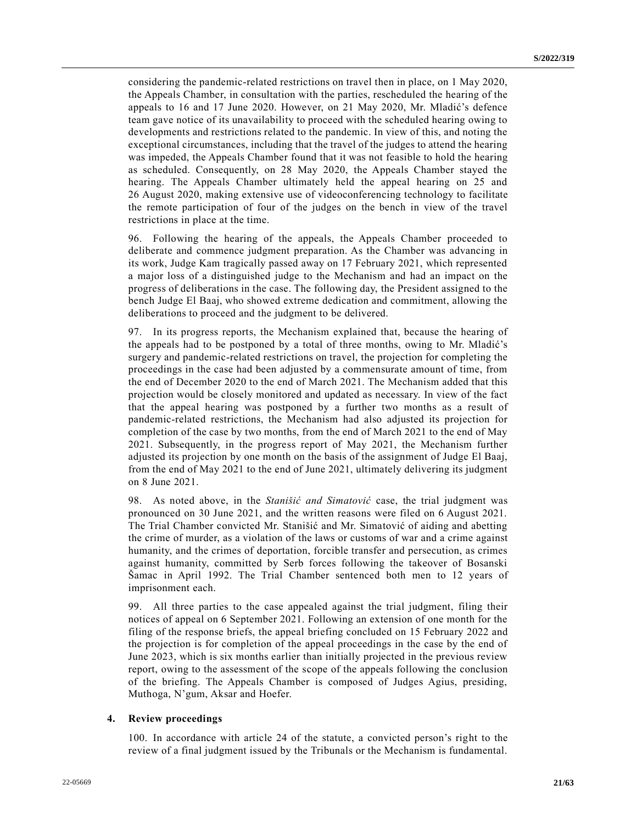considering the pandemic-related restrictions on travel then in place, on 1 May 2020, the Appeals Chamber, in consultation with the parties, rescheduled the hearing of the appeals to 16 and 17 June 2020. However, on 21 May 2020, Mr. Mladić's defence team gave notice of its unavailability to proceed with the scheduled hearing owing to developments and restrictions related to the pandemic. In view of this, and noting the exceptional circumstances, including that the travel of the judges to attend the hearing was impeded, the Appeals Chamber found that it was not feasible to hold the hearing as scheduled. Consequently, on 28 May 2020, the Appeals Chamber stayed the hearing. The Appeals Chamber ultimately held the appeal hearing on 25 and 26 August 2020, making extensive use of videoconferencing technology to facilitate the remote participation of four of the judges on the bench in view of the travel restrictions in place at the time.

96. Following the hearing of the appeals, the Appeals Chamber proceeded to deliberate and commence judgment preparation. As the Chamber was advancing in its work, Judge Kam tragically passed away on 17 February 2021, which represented a major loss of a distinguished judge to the Mechanism and had an impact on the progress of deliberations in the case. The following day, the President assigned to the bench Judge El Baaj, who showed extreme dedication and commitment, allowing the deliberations to proceed and the judgment to be delivered.

97. In its progress reports, the Mechanism explained that, because the hearing of the appeals had to be postponed by a total of three months, owing to Mr. Mladić's surgery and pandemic-related restrictions on travel, the projection for completing the proceedings in the case had been adjusted by a commensurate amount of time, from the end of December 2020 to the end of March 2021. The Mechanism added that this projection would be closely monitored and updated as necessary. In view of the fact that the appeal hearing was postponed by a further two months as a result of pandemic-related restrictions, the Mechanism had also adjusted its projection for completion of the case by two months, from the end of March 2021 to the end of May 2021. Subsequently, in the progress report of May 2021, the Mechanism further adjusted its projection by one month on the basis of the assignment of Judge El Baaj, from the end of May 2021 to the end of June 2021, ultimately delivering its judgment on 8 June 2021.

98. As noted above, in the *Stanišić and Simatović* case, the trial judgment was pronounced on 30 June 2021, and the written reasons were filed on 6 August 2021. The Trial Chamber convicted Mr. Stanišić and Mr. Simatović of aiding and abetting the crime of murder, as a violation of the laws or customs of war and a crime against humanity, and the crimes of deportation, forcible transfer and persecution, as crimes against humanity, committed by Serb forces following the takeover of Bosanski Šamac in April 1992. The Trial Chamber sentenced both men to 12 years of imprisonment each.

99. All three parties to the case appealed against the trial judgment, filing their notices of appeal on 6 September 2021. Following an extension of one month for the filing of the response briefs, the appeal briefing concluded on 15 February 2022 and the projection is for completion of the appeal proceedings in the case by the end of June 2023, which is six months earlier than initially projected in the previous review report, owing to the assessment of the scope of the appeals following the conclusion of the briefing. The Appeals Chamber is composed of Judges Agius, presiding, Muthoga, N'gum, Aksar and Hoefer.

#### **4. Review proceedings**

100. In accordance with article 24 of the statute, a convicted person's right to the review of a final judgment issued by the Tribunals or the Mechanism is fundamental.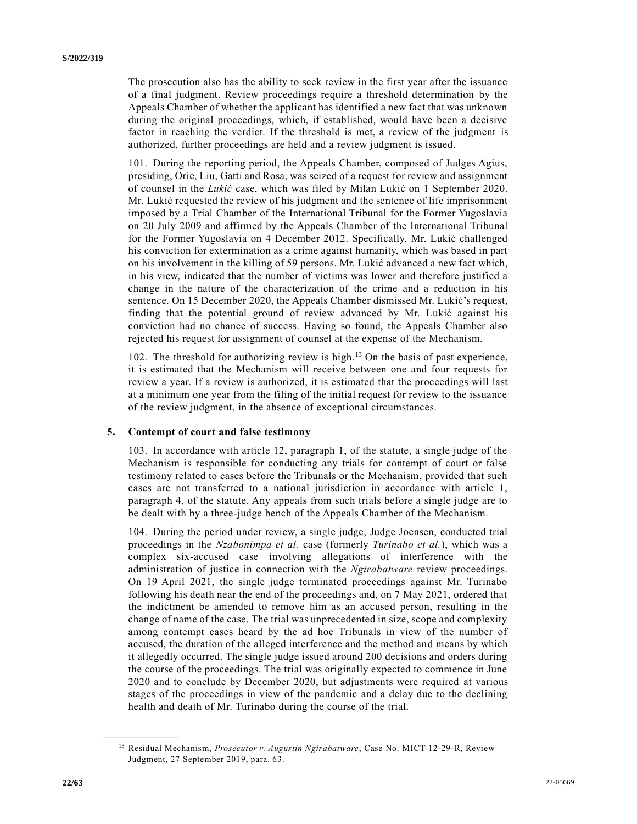The prosecution also has the ability to seek review in the first year after the issuance of a final judgment. Review proceedings require a threshold determination by the Appeals Chamber of whether the applicant has identified a new fact that was unknown during the original proceedings, which, if established, would have been a decisive factor in reaching the verdict. If the threshold is met, a review of the judgment is authorized, further proceedings are held and a review judgment is issued.

101. During the reporting period, the Appeals Chamber, composed of Judges Agius, presiding, Orie, Liu, Gatti and Rosa, was seized of a request for review and assignment of counsel in the *Lukić* case, which was filed by Milan Lukić on 1 September 2020. Mr. Lukić requested the review of his judgment and the sentence of life imprisonment imposed by a Trial Chamber of the International Tribunal for the Former Yugoslavia on 20 July 2009 and affirmed by the Appeals Chamber of the International Tribunal for the Former Yugoslavia on 4 December 2012. Specifically, Mr. Lukić challenged his conviction for extermination as a crime against humanity, which was based in part on his involvement in the killing of 59 persons. Mr. Lukić advanced a new fact which, in his view, indicated that the number of victims was lower and therefore justified a change in the nature of the characterization of the crime and a reduction in his sentence. On 15 December 2020, the Appeals Chamber dismissed Mr. Lukić's request, finding that the potential ground of review advanced by Mr. Lukić against his conviction had no chance of success. Having so found, the Appeals Chamber also rejected his request for assignment of counsel at the expense of the Mechanism.

102. The threshold for authorizing review is high.<sup>13</sup> On the basis of past experience, it is estimated that the Mechanism will receive between one and four requests for review a year. If a review is authorized, it is estimated that the proceedings will last at a minimum one year from the filing of the initial request for review to the issuance of the review judgment, in the absence of exceptional circumstances.

#### **5. Contempt of court and false testimony**

103. In accordance with article 12, paragraph 1, of the statute, a single judge of the Mechanism is responsible for conducting any trials for contempt of court or false testimony related to cases before the Tribunals or the Mechanism, provided that such cases are not transferred to a national jurisdiction in accordance with article 1, paragraph 4, of the statute. Any appeals from such trials before a single judge are to be dealt with by a three-judge bench of the Appeals Chamber of the Mechanism.

104. During the period under review, a single judge, Judge Joensen, conducted trial proceedings in the *Nzabonimpa et al.* case (formerly *Turinabo et al.*), which was a complex six-accused case involving allegations of interference with the administration of justice in connection with the *Ngirabatware* review proceedings. On 19 April 2021, the single judge terminated proceedings against Mr. Turinabo following his death near the end of the proceedings and, on 7 May 2021, ordered that the indictment be amended to remove him as an accused person, resulting in the change of name of the case. The trial was unprecedented in size, scope and complexity among contempt cases heard by the ad hoc Tribunals in view of the number of accused, the duration of the alleged interference and the method and means by which it allegedly occurred. The single judge issued around 200 decisions and orders during the course of the proceedings. The trial was originally expected to commence in June 2020 and to conclude by December 2020, but adjustments were required at various stages of the proceedings in view of the pandemic and a delay due to the declining health and death of Mr. Turinabo during the course of the trial.

<sup>13</sup> Residual Mechanism, *Prosecutor v. Augustin Ngirabatware*, Case No. MICT-12-29-R, Review Judgment, 27 September 2019, para. 63.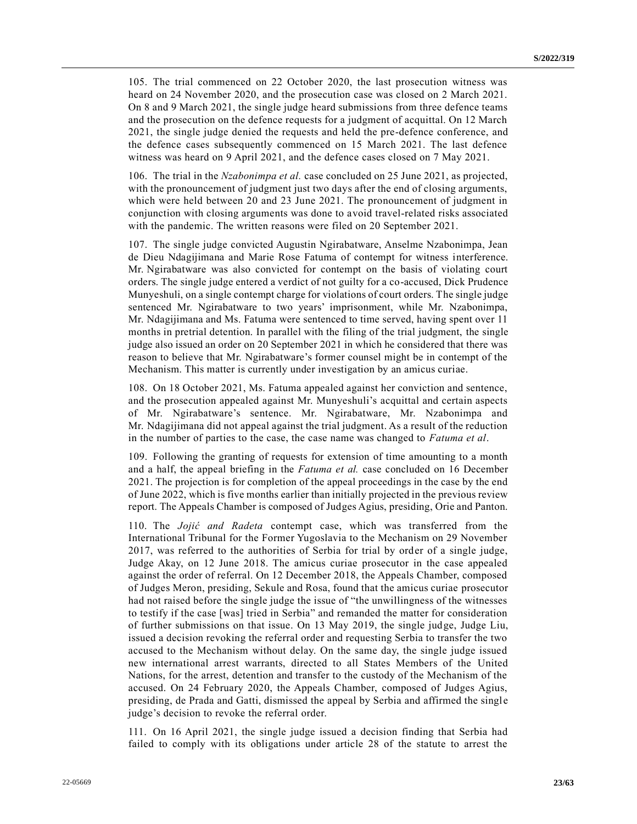105. The trial commenced on 22 October 2020, the last prosecution witness was heard on 24 November 2020, and the prosecution case was closed on 2 March 2021. On 8 and 9 March 2021, the single judge heard submissions from three defence teams and the prosecution on the defence requests for a judgment of acquittal. On 12 March 2021, the single judge denied the requests and held the pre-defence conference, and the defence cases subsequently commenced on 15 March 2021. The last defence witness was heard on 9 April 2021, and the defence cases closed on 7 May 2021.

106. The trial in the *Nzabonimpa et al.* case concluded on 25 June 2021, as projected, with the pronouncement of judgment just two days after the end of closing arguments, which were held between 20 and 23 June 2021. The pronouncement of judgment in conjunction with closing arguments was done to avoid travel-related risks associated with the pandemic. The written reasons were filed on 20 September 2021.

107. The single judge convicted Augustin Ngirabatware, Anselme Nzabonimpa, Jean de Dieu Ndagijimana and Marie Rose Fatuma of contempt for witness interference. Mr. Ngirabatware was also convicted for contempt on the basis of violating court orders. The single judge entered a verdict of not guilty for a co-accused, Dick Prudence Munyeshuli, on a single contempt charge for violations of court orders. The single judge sentenced Mr. Ngirabatware to two years' imprisonment, while Mr. Nzabonimpa, Mr. Ndagijimana and Ms. Fatuma were sentenced to time served, having spent over 11 months in pretrial detention. In parallel with the filing of the trial judgment, the single judge also issued an order on 20 September 2021 in which he considered that there was reason to believe that Mr. Ngirabatware's former counsel might be in contempt of the Mechanism. This matter is currently under investigation by an amicus curiae.

108. On 18 October 2021, Ms. Fatuma appealed against her conviction and sentence, and the prosecution appealed against Mr. Munyeshuli's acquittal and certain aspects of Mr. Ngirabatware's sentence. Mr. Ngirabatware, Mr. Nzabonimpa and Mr. Ndagijimana did not appeal against the trial judgment. As a result of the reduction in the number of parties to the case, the case name was changed to *Fatuma et al*.

109. Following the granting of requests for extension of time amounting to a month and a half, the appeal briefing in the *Fatuma et al.* case concluded on 16 December 2021. The projection is for completion of the appeal proceedings in the case by the end of June 2022, which is five months earlier than initially projected in the previous review report. The Appeals Chamber is composed of Judges Agius, presiding, Orie and Panton.

110. The *Jojić and Radeta* contempt case, which was transferred from the International Tribunal for the Former Yugoslavia to the Mechanism on 29 November 2017, was referred to the authorities of Serbia for trial by order of a single judge, Judge Akay, on 12 June 2018. The amicus curiae prosecutor in the case appealed against the order of referral. On 12 December 2018, the Appeals Chamber, composed of Judges Meron, presiding, Sekule and Rosa, found that the amicus curiae prosecutor had not raised before the single judge the issue of "the unwillingness of the witnesses to testify if the case [was] tried in Serbia" and remanded the matter for consideration of further submissions on that issue. On 13 May 2019, the single judge, Judge Liu, issued a decision revoking the referral order and requesting Serbia to transfer the two accused to the Mechanism without delay. On the same day, the single judge issued new international arrest warrants, directed to all States Members of the United Nations, for the arrest, detention and transfer to the custody of the Mechanism of the accused. On 24 February 2020, the Appeals Chamber, composed of Judges Agius, presiding, de Prada and Gatti, dismissed the appeal by Serbia and affirmed the single judge's decision to revoke the referral order.

111. On 16 April 2021, the single judge issued a decision finding that Serbia had failed to comply with its obligations under article 28 of the statute to arrest the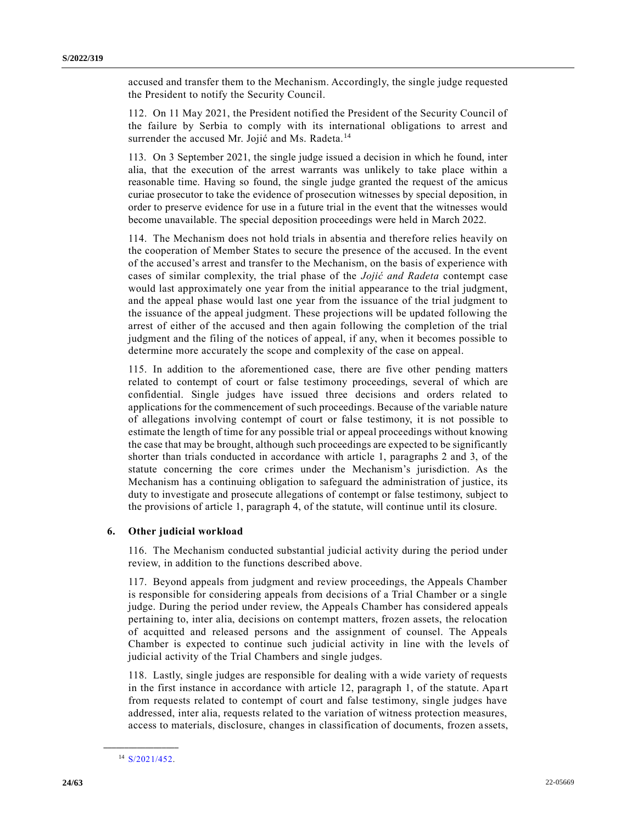accused and transfer them to the Mechanism. Accordingly, the single judge requested the President to notify the Security Council.

112. On 11 May 2021, the President notified the President of the Security Council of the failure by Serbia to comply with its international obligations to arrest and surrender the accused Mr. Jojić and Ms. Radeta.<sup>14</sup>

113. On 3 September 2021, the single judge issued a decision in which he found, inter alia, that the execution of the arrest warrants was unlikely to take place within a reasonable time. Having so found, the single judge granted the request of the amicus curiae prosecutor to take the evidence of prosecution witnesses by special deposition, in order to preserve evidence for use in a future trial in the event that the witnesses would become unavailable. The special deposition proceedings were held in March 2022.

114. The Mechanism does not hold trials in absentia and therefore relies heavily on the cooperation of Member States to secure the presence of the accused. In the event of the accused's arrest and transfer to the Mechanism, on the basis of experience with cases of similar complexity, the trial phase of the *Jojić and Radeta* contempt case would last approximately one year from the initial appearance to the trial judgment, and the appeal phase would last one year from the issuance of the trial judgment to the issuance of the appeal judgment. These projections will be updated following the arrest of either of the accused and then again following the completion of the trial judgment and the filing of the notices of appeal, if any, when it becomes possible to determine more accurately the scope and complexity of the case on appeal.

115. In addition to the aforementioned case, there are five other pending matters related to contempt of court or false testimony proceedings, several of which are confidential. Single judges have issued three decisions and orders related to applications for the commencement of such proceedings. Because of the variable nature of allegations involving contempt of court or false testimony, it is not possible to estimate the length of time for any possible trial or appeal proceedings without knowing the case that may be brought, although such proceedings are expected to be significantly shorter than trials conducted in accordance with article 1, paragraphs 2 and 3, of the statute concerning the core crimes under the Mechanism's jurisdiction. As the Mechanism has a continuing obligation to safeguard the administration of justice, its duty to investigate and prosecute allegations of contempt or false testimony, subject to the provisions of article 1, paragraph 4, of the statute, will continue until its closure.

#### **6. Other judicial workload**

116. The Mechanism conducted substantial judicial activity during the period under review, in addition to the functions described above.

117. Beyond appeals from judgment and review proceedings, the Appeals Chamber is responsible for considering appeals from decisions of a Trial Chamber or a single judge. During the period under review, the Appeals Chamber has considered appeals pertaining to, inter alia, decisions on contempt matters, frozen assets, the relocation of acquitted and released persons and the assignment of counsel. The Appeals Chamber is expected to continue such judicial activity in line with the levels of judicial activity of the Trial Chambers and single judges.

118. Lastly, single judges are responsible for dealing with a wide variety of requests in the first instance in accordance with article 12, paragraph 1, of the statute. Apart from requests related to contempt of court and false testimony, single judges have addressed, inter alia, requests related to the variation of witness protection measures, access to materials, disclosure, changes in classification of documents, frozen a ssets,

**\_\_\_\_\_\_\_\_\_\_\_\_\_\_\_\_\_\_** <sup>14</sup> [S/2021/452.](https://undocs.org/en/S/2021/452)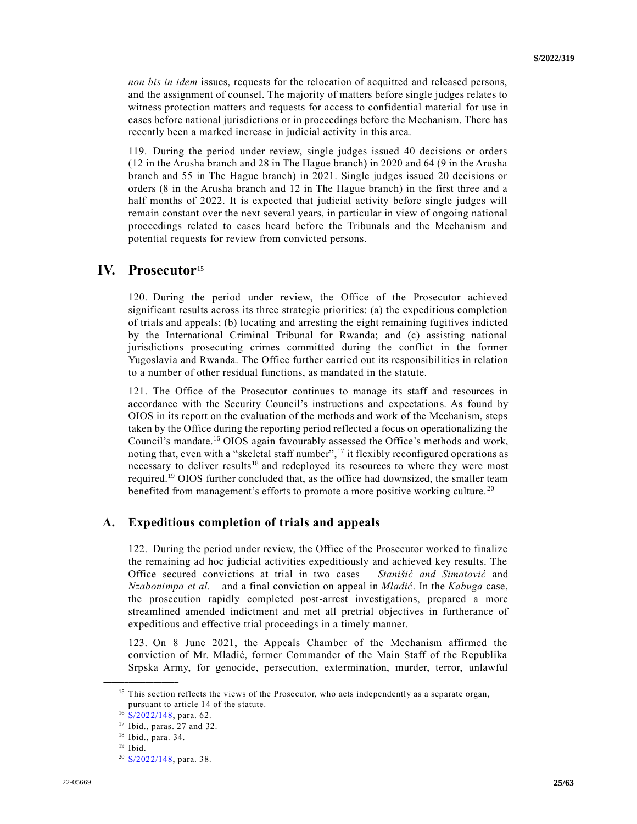*non bis in idem* issues, requests for the relocation of acquitted and released persons, and the assignment of counsel. The majority of matters before single judges relates to witness protection matters and requests for access to confidential material for use in cases before national jurisdictions or in proceedings before the Mechanism. There has recently been a marked increase in judicial activity in this area.

119. During the period under review, single judges issued 40 decisions or orders (12 in the Arusha branch and 28 in The Hague branch) in 2020 and 64 (9 in the Arusha branch and 55 in The Hague branch) in 2021. Single judges issued 20 decisions or orders (8 in the Arusha branch and 12 in The Hague branch) in the first three and a half months of 2022. It is expected that judicial activity before single judges will remain constant over the next several years, in particular in view of ongoing national proceedings related to cases heard before the Tribunals and the Mechanism and potential requests for review from convicted persons.

# **IV. Prosecutor**<sup>15</sup>

120. During the period under review, the Office of the Prosecutor achieved significant results across its three strategic priorities: (a) the expeditious completion of trials and appeals; (b) locating and arresting the eight remaining fugitives indicted by the International Criminal Tribunal for Rwanda; and (c) assisting national jurisdictions prosecuting crimes committed during the conflict in the former Yugoslavia and Rwanda. The Office further carried out its responsibilities in relation to a number of other residual functions, as mandated in the statute.

121. The Office of the Prosecutor continues to manage its staff and resources in accordance with the Security Council's instructions and expectations. As found by OIOS in its report on the evaluation of the methods and work of the Mechanism, steps taken by the Office during the reporting period reflected a focus on operationalizing the Council's mandate.<sup>16</sup> OIOS again favourably assessed the Office's methods and work, noting that, even with a "skeletal staff number", $\frac{17}{17}$  it flexibly reconfigured operations as necessary to deliver results<sup>18</sup> and redeployed its resources to where they were most required.<sup>19</sup> OIOS further concluded that, as the office had downsized, the smaller team benefited from management's efforts to promote a more positive working culture.<sup>20</sup>

# **A. Expeditious completion of trials and appeals**

122. During the period under review, the Office of the Prosecutor worked to finalize the remaining ad hoc judicial activities expeditiously and achieved key results. The Office secured convictions at trial in two cases – *Stanišić and Simatović* and *Nzabonimpa et al.* – and a final conviction on appeal in *Mladić*. In the *Kabuga* case, the prosecution rapidly completed post-arrest investigations, prepared a more streamlined amended indictment and met all pretrial objectives in furtherance of expeditious and effective trial proceedings in a timely manner.

123. On 8 June 2021, the Appeals Chamber of the Mechanism affirmed the conviction of Mr. Mladić, former Commander of the Main Staff of the Republika Srpska Army, for genocide, persecution, extermination, murder, terror, unlawful

<sup>&</sup>lt;sup>15</sup> This section reflects the views of the Prosecutor, who acts independently as a separate organ, pursuant to article 14 of the statute.

<sup>16</sup> [S/2022/148,](https://undocs.org/en/S/2022/148) para. 62.

<sup>17</sup> Ibid., paras. 27 and 32.

<sup>18</sup> Ibid., para. 34.

<sup>19</sup> Ibid.

<sup>20</sup> [S/2022/148,](https://undocs.org/en/S/2022/148) para. 38.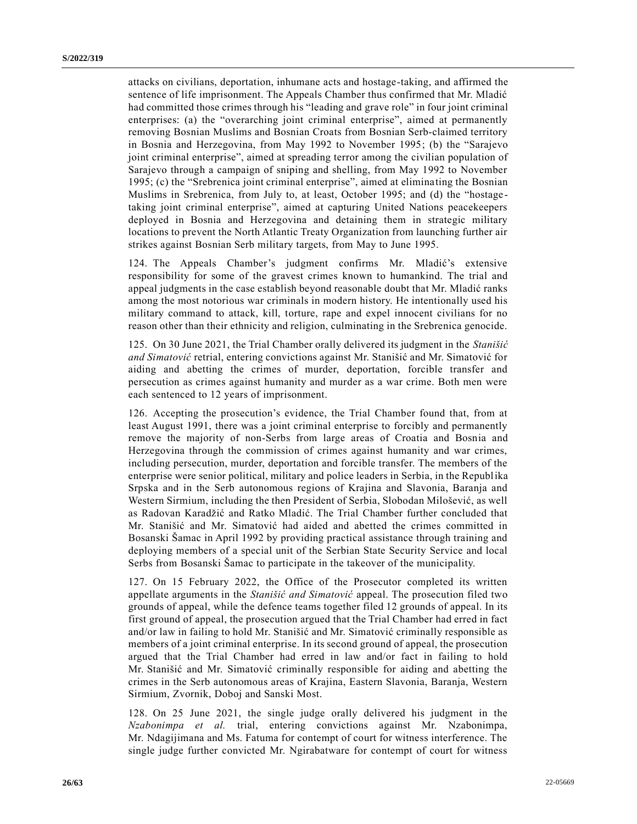attacks on civilians, deportation, inhumane acts and hostage-taking, and affirmed the sentence of life imprisonment. The Appeals Chamber thus confirmed that Mr. Mladić had committed those crimes through his "leading and grave role" in four joint criminal enterprises: (a) the "overarching joint criminal enterprise", aimed at permanently removing Bosnian Muslims and Bosnian Croats from Bosnian Serb‐claimed territory in Bosnia and Herzegovina, from May 1992 to November 1995; (b) the "Sarajevo joint criminal enterprise", aimed at spreading terror among the civilian population of Sarajevo through a campaign of sniping and shelling, from May 1992 to November 1995; (c) the "Srebrenica joint criminal enterprise", aimed at eliminating the Bosnian Muslims in Srebrenica, from July to, at least, October 1995; and (d) the "hostage taking joint criminal enterprise", aimed at capturing United Nations peacekeepers deployed in Bosnia and Herzegovina and detaining them in strategic military locations to prevent the North Atlantic Treaty Organization from launching further air strikes against Bosnian Serb military targets, from May to June 1995.

124. The Appeals Chamber's judgment confirms Mr. Mladić's extensive responsibility for some of the gravest crimes known to humankind. The trial and appeal judgments in the case establish beyond reasonable doubt that Mr. Mladić ranks among the most notorious war criminals in modern history. He intentionally used his military command to attack, kill, torture, rape and expel innocent civilians for no reason other than their ethnicity and religion, culminating in the Srebrenica genocide.

125. On 30 June 2021, the Trial Chamber orally delivered its judgment in the *Stanišić and Simatović* retrial, entering convictions against Mr. Stanišić and Mr. Simatović for aiding and abetting the crimes of murder, deportation, forcible transfer and persecution as crimes against humanity and murder as a war crime. Both men were each sentenced to 12 years of imprisonment.

126. Accepting the prosecution's evidence, the Trial Chamber found that, from at least August 1991, there was a joint criminal enterprise to forcibly and permanently remove the majority of non-Serbs from large areas of Croatia and Bosnia and Herzegovina through the commission of crimes against humanity and war crimes, including persecution, murder, deportation and forcible transfer. The members of the enterprise were senior political, military and police leaders in Serbia, in the Republika Srpska and in the Serb autonomous regions of Krajina and Slavonia, Baranja and Western Sirmium, including the then President of Serbia, Slobodan Milošević, as well as Radovan Karadžić and Ratko Mladić. The Trial Chamber further concluded that Mr. Stanišić and Mr. Simatović had aided and abetted the crimes committed in Bosanski Šamac in April 1992 by providing practical assistance through training and deploying members of a special unit of the Serbian State Security Service and local Serbs from Bosanski Šamac to participate in the takeover of the municipality.

127. On 15 February 2022, the Office of the Prosecutor completed its written appellate arguments in the *Stanišić and Simatović* appeal. The prosecution filed two grounds of appeal, while the defence teams together filed 12 grounds of appeal. In its first ground of appeal, the prosecution argued that the Trial Chamber had erred in fact and/or law in failing to hold Mr. Stanišić and Mr. Simatović criminally responsible as members of a joint criminal enterprise. In its second ground of appeal, the prosecution argued that the Trial Chamber had erred in law and/or fact in failing to hold Mr. Stanišić and Mr. Simatović criminally responsible for aiding and abetting the crimes in the Serb autonomous areas of Krajina, Eastern Slavonia, Baranja, Western Sirmium, Zvornik, Doboj and Sanski Most.

128. On 25 June 2021, the single judge orally delivered his judgment in the *Nzabonimpa et al.* trial, entering convictions against Mr. Nzabonimpa, Mr. Ndagijimana and Ms. Fatuma for contempt of court for witness interference. The single judge further convicted Mr. Ngirabatware for contempt of court for witness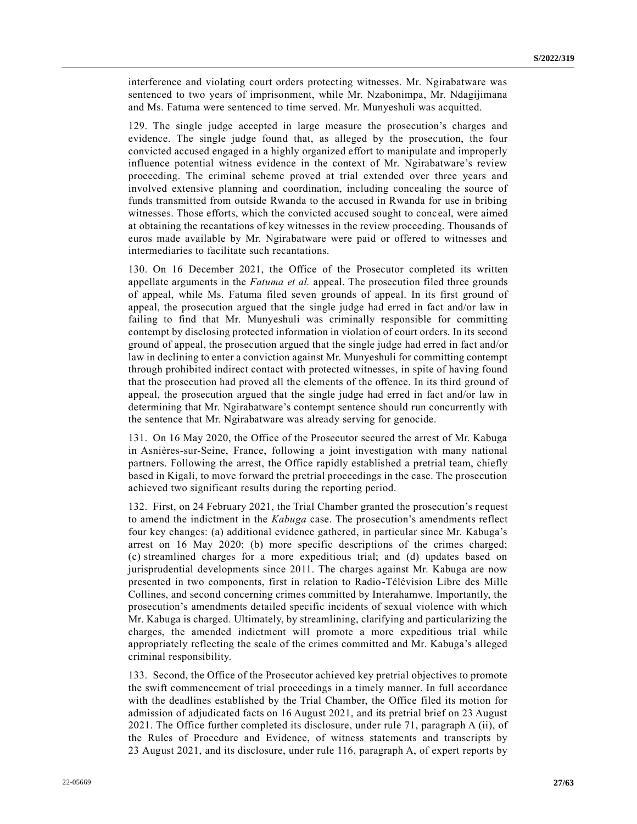interference and violating court orders protecting witnesses. Mr. Ngirabatware was sentenced to two years of imprisonment, while Mr. Nzabonimpa, Mr. Ndagijimana and Ms. Fatuma were sentenced to time served. Mr. Munyeshuli was acquitted.

129. The single judge accepted in large measure the prosecution's charges and evidence. The single judge found that, as alleged by the prosecution, the four convicted accused engaged in a highly organized effort to manipulate and improperly influence potential witness evidence in the context of Mr. Ngirabatware's review proceeding. The criminal scheme proved at trial extended over three years and involved extensive planning and coordination, including concealing the source of funds transmitted from outside Rwanda to the accused in Rwanda for use in bribing witnesses. Those efforts, which the convicted accused sought to conceal, were aimed at obtaining the recantations of key witnesses in the review proceeding. Thousands of euros made available by Mr. Ngirabatware were paid or offered to witnesses and intermediaries to facilitate such recantations.

130. On 16 December 2021, the Office of the Prosecutor completed its written appellate arguments in the *Fatuma et al.* appeal. The prosecution filed three grounds of appeal, while Ms. Fatuma filed seven grounds of appeal. In its first ground of appeal, the prosecution argued that the single judge had erred in fact and/or law in failing to find that Mr. Munyeshuli was criminally responsible for committing contempt by disclosing protected information in violation of court orders. In its second ground of appeal, the prosecution argued that the single judge had erred in fact and/or law in declining to enter a conviction against Mr. Munyeshuli for committing contempt through prohibited indirect contact with protected witnesses, in spite of having found that the prosecution had proved all the elements of the offence. In its third ground of appeal, the prosecution argued that the single judge had erred in fact and/or law in determining that Mr. Ngirabatware's contempt sentence should run concurrently with the sentence that Mr. Ngirabatware was already serving for genocide.

131. On 16 May 2020, the Office of the Prosecutor secured the arrest of Mr. Kabuga in Asnières-sur-Seine, France, following a joint investigation with many national partners. Following the arrest, the Office rapidly established a pretrial team, chiefly based in Kigali, to move forward the pretrial proceedings in the case. The prosecution achieved two significant results during the reporting period.

132. First, on 24 February 2021, the Trial Chamber granted the prosecution's request to amend the indictment in the *Kabuga* case. The prosecution's amendments reflect four key changes: (a) additional evidence gathered, in particular since Mr. Kabuga's arrest on 16 May 2020; (b) more specific descriptions of the crimes charged; (c) streamlined charges for a more expeditious trial; and (d) updates based on jurisprudential developments since 2011. The charges against Mr. Kabuga are now presented in two components, first in relation to Radio-Télévision Libre des Mille Collines, and second concerning crimes committed by Interahamwe. Importantly, the prosecution's amendments detailed specific incidents of sexual violence with which Mr. Kabuga is charged. Ultimately, by streamlining, clarifying and particularizing the charges, the amended indictment will promote a more expeditious trial while appropriately reflecting the scale of the crimes committed and Mr. Kabuga's alleged criminal responsibility.

133. Second, the Office of the Prosecutor achieved key pretrial objectives to promote the swift commencement of trial proceedings in a timely manner. In full accordance with the deadlines established by the Trial Chamber, the Office filed its motion for admission of adjudicated facts on 16 August 2021, and its pretrial brief on 23 August 2021. The Office further completed its disclosure, under rule 71, paragraph A (ii), of the Rules of Procedure and Evidence, of witness statements and transcripts by 23 August 2021, and its disclosure, under rule 116, paragraph A, of expert reports by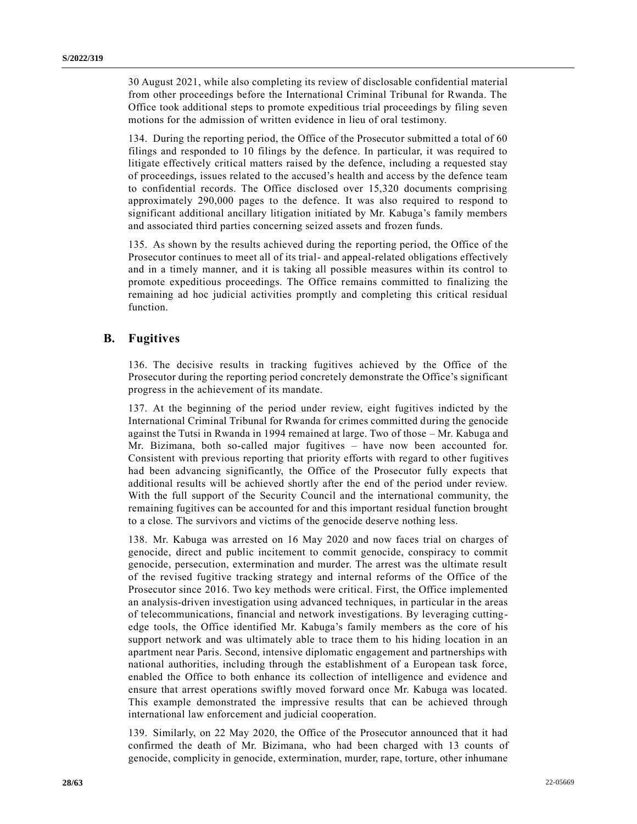30 August 2021, while also completing its review of disclosable confidential material from other proceedings before the International Criminal Tribunal for Rwanda. The Office took additional steps to promote expeditious trial proceedings by filing seven motions for the admission of written evidence in lieu of oral testimony.

134. During the reporting period, the Office of the Prosecutor submitted a total of 60 filings and responded to 10 filings by the defence. In particular, it was required to litigate effectively critical matters raised by the defence, including a requested stay of proceedings, issues related to the accused's health and access by the defence team to confidential records. The Office disclosed over 15,320 documents comprising approximately 290,000 pages to the defence. It was also required to respond to significant additional ancillary litigation initiated by Mr. Kabuga's family members and associated third parties concerning seized assets and frozen funds.

135. As shown by the results achieved during the reporting period, the Office of the Prosecutor continues to meet all of its trial- and appeal-related obligations effectively and in a timely manner, and it is taking all possible measures within its control to promote expeditious proceedings. The Office remains committed to finalizing the remaining ad hoc judicial activities promptly and completing this critical residual function.

# **B. Fugitives**

136. The decisive results in tracking fugitives achieved by the Office of the Prosecutor during the reporting period concretely demonstrate the Office's significant progress in the achievement of its mandate.

137. At the beginning of the period under review, eight fugitives indicted by the International Criminal Tribunal for Rwanda for crimes committed during the genocide against the Tutsi in Rwanda in 1994 remained at large. Two of those – Mr. Kabuga and Mr. Bizimana, both so-called major fugitives – have now been accounted for. Consistent with previous reporting that priority efforts with regard to other fugitives had been advancing significantly, the Office of the Prosecutor fully expects that additional results will be achieved shortly after the end of the period under review. With the full support of the Security Council and the international community, the remaining fugitives can be accounted for and this important residual function brought to a close. The survivors and victims of the genocide deserve nothing less.

138. Mr. Kabuga was arrested on 16 May 2020 and now faces trial on charges of genocide, direct and public incitement to commit genocide, conspiracy to commit genocide, persecution, extermination and murder. The arrest was the ultimate result of the revised fugitive tracking strategy and internal reforms of the Office of the Prosecutor since 2016. Two key methods were critical. First, the Office implemented an analysis-driven investigation using advanced techniques, in particular in the areas of telecommunications, financial and network investigations. By leveraging cuttingedge tools, the Office identified Mr. Kabuga's family members as the core of his support network and was ultimately able to trace them to his hiding location in an apartment near Paris. Second, intensive diplomatic engagement and partnerships with national authorities, including through the establishment of a European task force, enabled the Office to both enhance its collection of intelligence and evidence and ensure that arrest operations swiftly moved forward once Mr. Kabuga was located. This example demonstrated the impressive results that can be achieved through international law enforcement and judicial cooperation.

139. Similarly, on 22 May 2020, the Office of the Prosecutor announced that it had confirmed the death of Mr. Bizimana, who had been charged with 13 counts of genocide, complicity in genocide, extermination, murder, rape, torture, other inhumane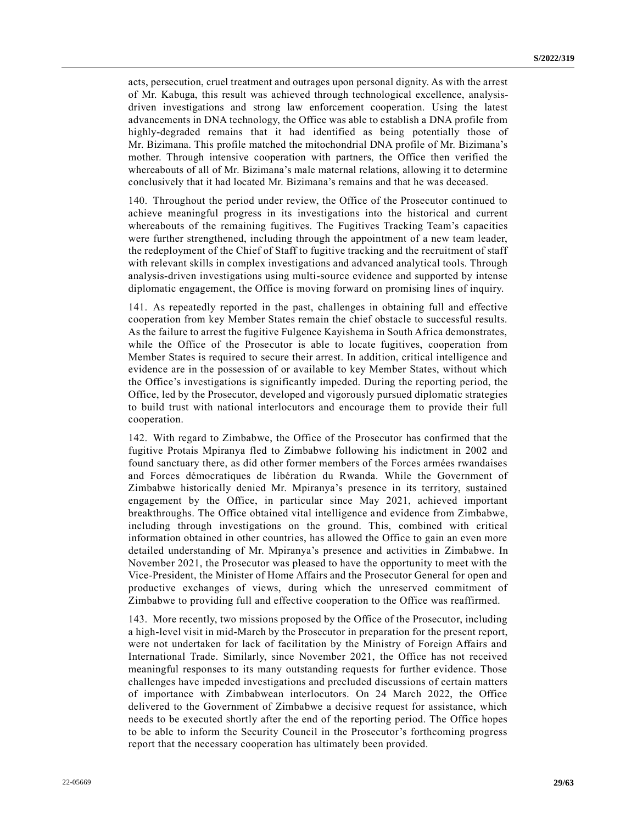acts, persecution, cruel treatment and outrages upon personal dignity. As with the arrest of Mr. Kabuga, this result was achieved through technological excellence, analysisdriven investigations and strong law enforcement cooperation. Using the latest advancements in DNA technology, the Office was able to establish a DNA profile from highly-degraded remains that it had identified as being potentially those of Mr. Bizimana. This profile matched the mitochondrial DNA profile of Mr. Bizimana's mother. Through intensive cooperation with partners, the Office then verified the whereabouts of all of Mr. Bizimana's male maternal relations, allowing it to determine conclusively that it had located Mr. Bizimana's remains and that he was deceased.

140. Throughout the period under review, the Office of the Prosecutor continued to achieve meaningful progress in its investigations into the historical and current whereabouts of the remaining fugitives. The Fugitives Tracking Team's capacities were further strengthened, including through the appointment of a new team leader, the redeployment of the Chief of Staff to fugitive tracking and the recruitment of staff with relevant skills in complex investigations and advanced analytical tools. Through analysis-driven investigations using multi-source evidence and supported by intense diplomatic engagement, the Office is moving forward on promising lines of inquiry.

141. As repeatedly reported in the past, challenges in obtaining full and effective cooperation from key Member States remain the chief obstacle to successful results. As the failure to arrest the fugitive Fulgence Kayishema in South Africa demonstrates, while the Office of the Prosecutor is able to locate fugitives, cooperation from Member States is required to secure their arrest. In addition, critical intelligence and evidence are in the possession of or available to key Member States, without which the Office's investigations is significantly impeded. During the reporting period, the Office, led by the Prosecutor, developed and vigorously pursued diplomatic strategies to build trust with national interlocutors and encourage them to provide their full cooperation.

142. With regard to Zimbabwe, the Office of the Prosecutor has confirmed that the fugitive Protais Mpiranya fled to Zimbabwe following his indictment in 2002 and found sanctuary there, as did other former members of the Forces armées rwandaises and Forces démocratiques de libération du Rwanda. While the Government of Zimbabwe historically denied Mr. Mpiranya's presence in its territory, sustained engagement by the Office, in particular since May 2021, achieved important breakthroughs. The Office obtained vital intelligence and evidence from Zimbabwe, including through investigations on the ground. This, combined with critical information obtained in other countries, has allowed the Office to gain an even more detailed understanding of Mr. Mpiranya's presence and activities in Zimbabwe. In November 2021, the Prosecutor was pleased to have the opportunity to meet with the Vice-President, the Minister of Home Affairs and the Prosecutor General for open and productive exchanges of views, during which the unreserved commitment of Zimbabwe to providing full and effective cooperation to the Office was reaffirmed.

143. More recently, two missions proposed by the Office of the Prosecutor, including a high-level visit in mid-March by the Prosecutor in preparation for the present report, were not undertaken for lack of facilitation by the Ministry of Foreign Affairs and International Trade. Similarly, since November 2021, the Office has not received meaningful responses to its many outstanding requests for further evidence. Those challenges have impeded investigations and precluded discussions of certain matters of importance with Zimbabwean interlocutors. On 24 March 2022, the Office delivered to the Government of Zimbabwe a decisive request for assistance, which needs to be executed shortly after the end of the reporting period. The Office hopes to be able to inform the Security Council in the Prosecutor's forthcoming progress report that the necessary cooperation has ultimately been provided.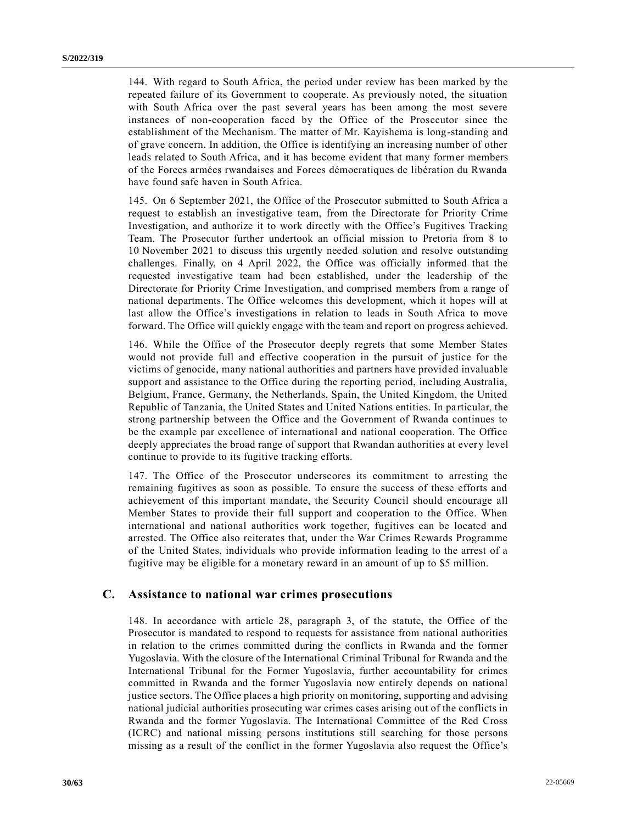144. With regard to South Africa, the period under review has been marked by the repeated failure of its Government to cooperate. As previously noted, the situation with South Africa over the past several years has been among the most severe instances of non-cooperation faced by the Office of the Prosecutor since the establishment of the Mechanism. The matter of Mr. Kayishema is long-standing and of grave concern. In addition, the Office is identifying an increasing number of other leads related to South Africa, and it has become evident that many former members of the Forces armées rwandaises and Forces démocratiques de libération du Rwanda have found safe haven in South Africa.

145. On 6 September 2021, the Office of the Prosecutor submitted to South Africa a request to establish an investigative team, from the Directorate for Priority Crime Investigation, and authorize it to work directly with the Office's Fugitives Tracking Team. The Prosecutor further undertook an official mission to Pretoria from 8 to 10 November 2021 to discuss this urgently needed solution and resolve outstanding challenges. Finally, on 4 April 2022, the Office was officially informed that the requested investigative team had been established, under the leadership of the Directorate for Priority Crime Investigation, and comprised members from a range of national departments. The Office welcomes this development, which it hopes will at last allow the Office's investigations in relation to leads in South Africa to move forward. The Office will quickly engage with the team and report on progress achieved.

146. While the Office of the Prosecutor deeply regrets that some Member States would not provide full and effective cooperation in the pursuit of justice for the victims of genocide, many national authorities and partners have provided invaluable support and assistance to the Office during the reporting period, including Australia, Belgium, France, Germany, the Netherlands, Spain, the United Kingdom, the United Republic of Tanzania, the United States and United Nations entities. In particular, the strong partnership between the Office and the Government of Rwanda continues to be the example par excellence of international and national cooperation. The Office deeply appreciates the broad range of support that Rwandan authorities at every level continue to provide to its fugitive tracking efforts.

147. The Office of the Prosecutor underscores its commitment to arresting the remaining fugitives as soon as possible. To ensure the success of these efforts and achievement of this important mandate, the Security Council should encourage all Member States to provide their full support and cooperation to the Office. When international and national authorities work together, fugitives can be located and arrested. The Office also reiterates that, under the War Crimes Rewards Programme of the United States, individuals who provide information leading to the arrest of a fugitive may be eligible for a monetary reward in an amount of up to \$5 million.

## **C. Assistance to national war crimes prosecutions**

148. In accordance with article 28, paragraph 3, of the statute, the Office of the Prosecutor is mandated to respond to requests for assistance from national authorities in relation to the crimes committed during the conflicts in Rwanda and the former Yugoslavia. With the closure of the International Criminal Tribunal for Rwanda and the International Tribunal for the Former Yugoslavia, further accountability for crimes committed in Rwanda and the former Yugoslavia now entirely depends on national justice sectors. The Office places a high priority on monitoring, supporting and advising national judicial authorities prosecuting war crimes cases arising out of the conflicts in Rwanda and the former Yugoslavia. The International Committee of the Red Cross (ICRC) and national missing persons institutions still searching for those persons missing as a result of the conflict in the former Yugoslavia also request the Office's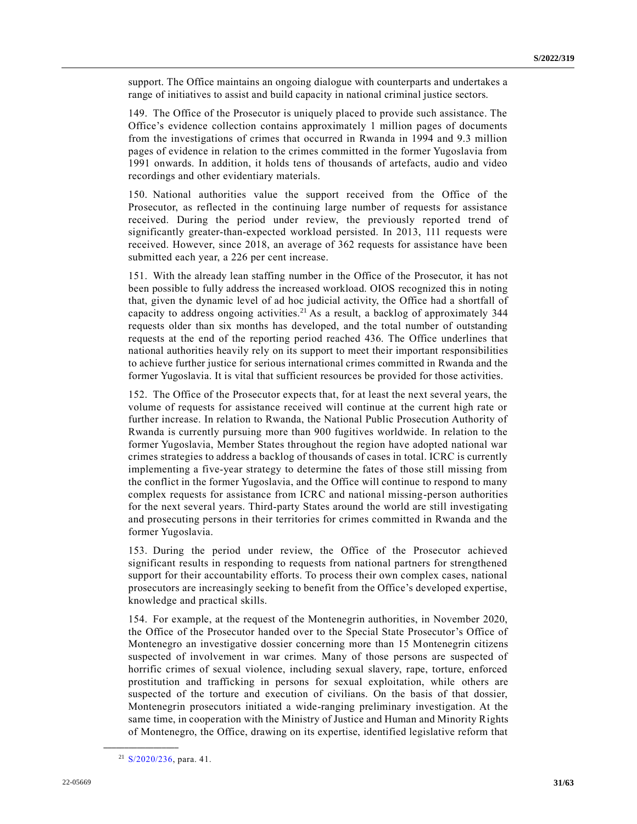support. The Office maintains an ongoing dialogue with counterparts and undertakes a range of initiatives to assist and build capacity in national criminal justice sectors.

149. The Office of the Prosecutor is uniquely placed to provide such assistance. The Office's evidence collection contains approximately 1 million pages of documents from the investigations of crimes that occurred in Rwanda in 1994 and 9.3 million pages of evidence in relation to the crimes committed in the former Yugoslavia from 1991 onwards. In addition, it holds tens of thousands of artefacts, audio and video recordings and other evidentiary materials.

150. National authorities value the support received from the Office of the Prosecutor, as reflected in the continuing large number of requests for assistance received. During the period under review, the previously reported trend of significantly greater-than-expected workload persisted. In 2013, 111 requests were received. However, since 2018, an average of 362 requests for assistance have been submitted each year, a 226 per cent increase.

151. With the already lean staffing number in the Office of the Prosecutor, it has not been possible to fully address the increased workload. OIOS recognized this in noting that, given the dynamic level of ad hoc judicial activity, the Office had a shortfall of capacity to address ongoing activities.<sup>21</sup> As a result, a backlog of approximately 344 requests older than six months has developed, and the total number of outstanding requests at the end of the reporting period reached 436. The Office underlines that national authorities heavily rely on its support to meet their important responsibilities to achieve further justice for serious international crimes committed in Rwanda and the former Yugoslavia. It is vital that sufficient resources be provided for those activities.

152. The Office of the Prosecutor expects that, for at least the next several years, the volume of requests for assistance received will continue at the current high rate or further increase. In relation to Rwanda, the National Public Prosecution Authority of Rwanda is currently pursuing more than 900 fugitives worldwide. In relation to the former Yugoslavia, Member States throughout the region have adopted national war crimes strategies to address a backlog of thousands of cases in total. ICRC is currently implementing a five-year strategy to determine the fates of those still missing from the conflict in the former Yugoslavia, and the Office will continue to respond to many complex requests for assistance from ICRC and national missing-person authorities for the next several years. Third-party States around the world are still investigating and prosecuting persons in their territories for crimes committed in Rwanda and the former Yugoslavia.

153. During the period under review, the Office of the Prosecutor achieved significant results in responding to requests from national partners for strengthened support for their accountability efforts. To process their own complex cases, national prosecutors are increasingly seeking to benefit from the Office's developed expertise, knowledge and practical skills.

154. For example, at the request of the Montenegrin authorities, in November 2020, the Office of the Prosecutor handed over to the Special State Prosecutor's Office of Montenegro an investigative dossier concerning more than 15 Montenegrin citizens suspected of involvement in war crimes. Many of those persons are suspected of horrific crimes of sexual violence, including sexual slavery, rape, torture, enforced prostitution and trafficking in persons for sexual exploitation, while others are suspected of the torture and execution of civilians. On the basis of that dossier, Montenegrin prosecutors initiated a wide-ranging preliminary investigation. At the same time, in cooperation with the Ministry of Justice and Human and Minority Rights of Montenegro, the Office, drawing on its expertise, identified legislative reform that

<sup>21</sup> [S/2020/236,](https://undocs.org/en/S/2020/236) para. 41.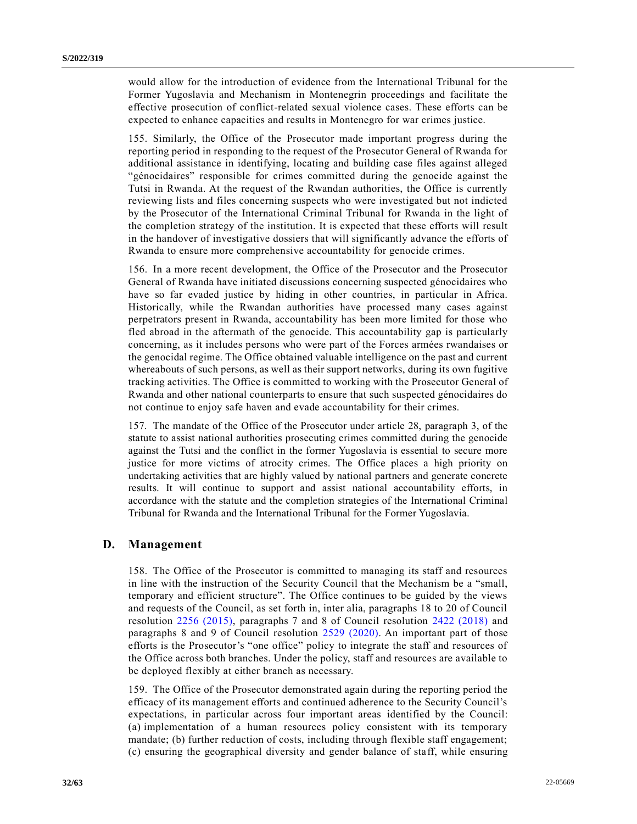would allow for the introduction of evidence from the International Tribunal for the Former Yugoslavia and Mechanism in Montenegrin proceedings and facilitate the effective prosecution of conflict-related sexual violence cases. These efforts can be expected to enhance capacities and results in Montenegro for war crimes justice.

155. Similarly, the Office of the Prosecutor made important progress during the reporting period in responding to the request of the Prosecutor General of Rwanda for additional assistance in identifying, locating and building case files against alleged "génocidaires" responsible for crimes committed during the genocide against the Tutsi in Rwanda. At the request of the Rwandan authorities, the Office is currently reviewing lists and files concerning suspects who were investigated but not indicted by the Prosecutor of the International Criminal Tribunal for Rwanda in the light of the completion strategy of the institution. It is expected that these efforts will result in the handover of investigative dossiers that will significantly advance the efforts of Rwanda to ensure more comprehensive accountability for genocide crimes.

156. In a more recent development, the Office of the Prosecutor and the Prosecutor General of Rwanda have initiated discussions concerning suspected génocidaires who have so far evaded justice by hiding in other countries, in particular in Africa. Historically, while the Rwandan authorities have processed many cases against perpetrators present in Rwanda, accountability has been more limited for those who fled abroad in the aftermath of the genocide. This accountability gap is particularly concerning, as it includes persons who were part of the Forces armées rwandaises or the genocidal regime. The Office obtained valuable intelligence on the past and current whereabouts of such persons, as well as their support networks, during its own fugitive tracking activities. The Office is committed to working with the Prosecutor General of Rwanda and other national counterparts to ensure that such suspected génocidaires do not continue to enjoy safe haven and evade accountability for their crimes.

157. The mandate of the Office of the Prosecutor under article 28, paragraph 3, of the statute to assist national authorities prosecuting crimes committed during the genocide against the Tutsi and the conflict in the former Yugoslavia is essential to secure more justice for more victims of atrocity crimes. The Office places a high priority on undertaking activities that are highly valued by national partners and generate concrete results. It will continue to support and assist national accountability efforts, in accordance with the statute and the completion strategies of the International Criminal Tribunal for Rwanda and the International Tribunal for the Former Yugoslavia.

## **D. Management**

158. The Office of the Prosecutor is committed to managing its staff and resources in line with the instruction of the Security Council that the Mechanism be a "small, temporary and efficient structure". The Office continues to be guided by the views and requests of the Council, as set forth in, inter alia, paragraphs 18 to 20 of Council resolution [2256 \(2015\),](https://undocs.org/en/S/RES/2256(2015)) paragraphs 7 and 8 of Council resolution [2422 \(2018\)](https://undocs.org/en/S/RES/2422(2018)) and paragraphs 8 and 9 of Council resolution [2529 \(2020\).](https://undocs.org/en/S/RES/2529(2020)) An important part of those efforts is the Prosecutor's "one office" policy to integrate the staff and resources of the Office across both branches. Under the policy, staff and resources are available to be deployed flexibly at either branch as necessary.

159. The Office of the Prosecutor demonstrated again during the reporting period the efficacy of its management efforts and continued adherence to the Security Council's expectations, in particular across four important areas identified by the Council: (a) implementation of a human resources policy consistent with its temporary mandate; (b) further reduction of costs, including through flexible staff engagement; (c) ensuring the geographical diversity and gender balance of staff, while ensuring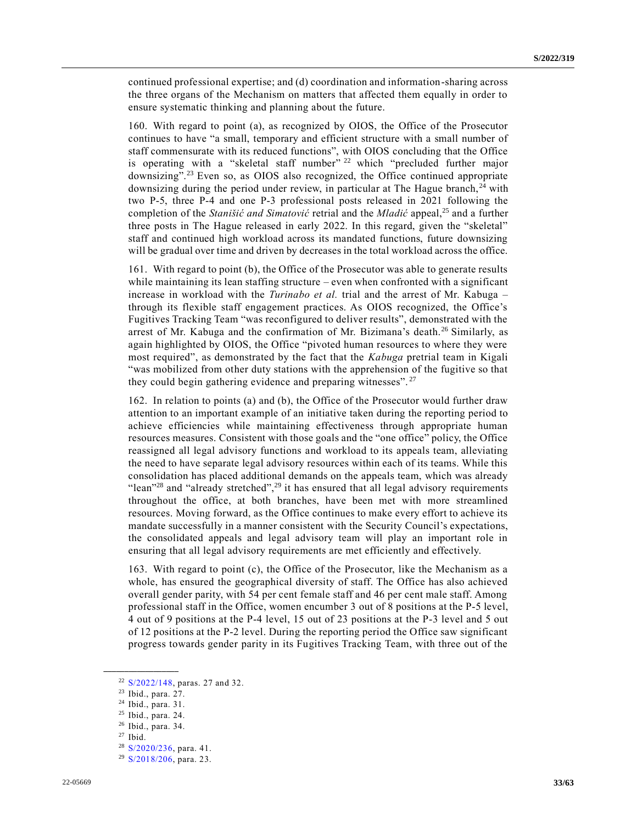continued professional expertise; and (d) coordination and information-sharing across the three organs of the Mechanism on matters that affected them equally in order to ensure systematic thinking and planning about the future.

160. With regard to point (a), as recognized by OIOS, the Office of the Prosecutor continues to have "a small, temporary and efficient structure with a small number of staff commensurate with its reduced functions", with OIOS concluding that the Office is operating with a "skeletal staff number"  $22$  which "precluded further major downsizing"<sup>23</sup> Even so, as OIOS also recognized, the Office continued appropriate downsizing during the period under review, in particular at The Hague branch, <sup>24</sup> with two P-5, three P-4 and one P-3 professional posts released in 2021 following the completion of the *Stanišić and Simatović* retrial and the *Mladić* appeal,<sup>25</sup> and a further three posts in The Hague released in early 2022. In this regard, given the "skeletal" staff and continued high workload across its mandated functions, future downsizing will be gradual over time and driven by decreases in the total workload across the office.

161. With regard to point (b), the Office of the Prosecutor was able to generate results while maintaining its lean staffing structure – even when confronted with a significant increase in workload with the *Turinabo et al.* trial and the arrest of Mr. Kabuga – through its flexible staff engagement practices. As OIOS recognized, the Office's Fugitives Tracking Team "was reconfigured to deliver results", demonstrated with the arrest of Mr. Kabuga and the confirmation of Mr. Bizimana's death.<sup>26</sup> Similarly, as again highlighted by OIOS, the Office "pivoted human resources to where they were most required", as demonstrated by the fact that the *Kabuga* pretrial team in Kigali "was mobilized from other duty stations with the apprehension of the fugitive so that they could begin gathering evidence and preparing witnesses". <sup>27</sup>

162. In relation to points (a) and (b), the Office of the Prosecutor would further draw attention to an important example of an initiative taken during the reporting period to achieve efficiencies while maintaining effectiveness through appropriate human resources measures. Consistent with those goals and the "one office" policy, the Office reassigned all legal advisory functions and workload to its appeals team, alleviating the need to have separate legal advisory resources within each of its teams. While this consolidation has placed additional demands on the appeals team, which was already "lean"<sup>28</sup> and "already stretched",<sup>29</sup> it has ensured that all legal advisory requirements throughout the office, at both branches, have been met with more streamlined resources. Moving forward, as the Office continues to make every effort to achieve its mandate successfully in a manner consistent with the Security Council's expectations, the consolidated appeals and legal advisory team will play an important role in ensuring that all legal advisory requirements are met efficiently and effectively.

163. With regard to point (c), the Office of the Prosecutor, like the Mechanism as a whole, has ensured the geographical diversity of staff. The Office has also achieved overall gender parity, with 54 per cent female staff and 46 per cent male staff. Among professional staff in the Office, women encumber 3 out of 8 positions at the P-5 level, 4 out of 9 positions at the P-4 level, 15 out of 23 positions at the P-3 level and 5 out of 12 positions at the P-2 level. During the reporting period the Office saw significant progress towards gender parity in its Fugitives Tracking Team, with three out of the

<sup>22</sup> [S/2022/148,](https://undocs.org/en/S/2022/148) paras. 27 and 32.

<sup>23</sup> Ibid., para. 27.

<sup>24</sup> Ibid., para. 31.

<sup>25</sup> Ibid., para. 24.

<sup>26</sup> Ibid., para. 34.

 $27$  Ibid.

<sup>28</sup> [S/2020/236,](https://undocs.org/en/S/2020/236) para. 41.

<sup>29</sup> [S/2018/206,](https://undocs.org/en/S/2018/206) para. 23.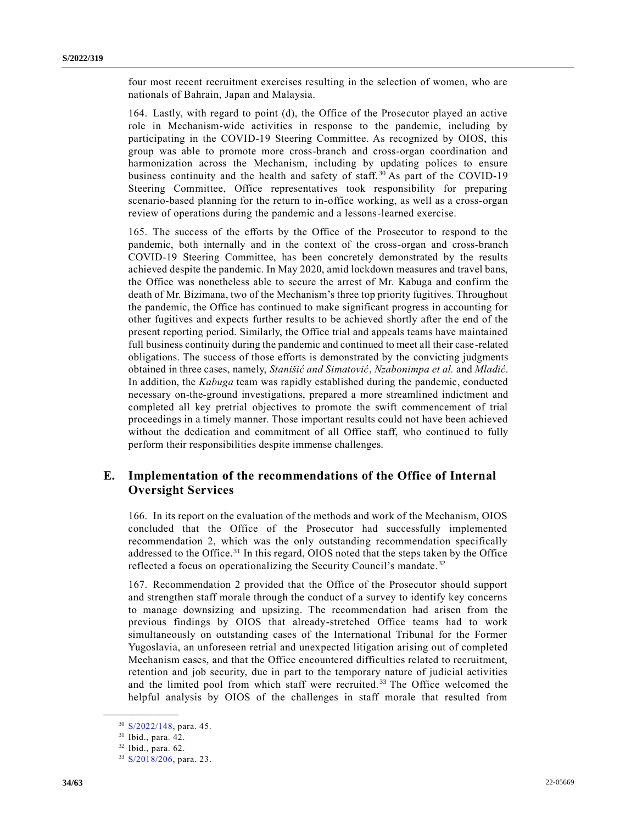four most recent recruitment exercises resulting in the selection of women, who are nationals of Bahrain, Japan and Malaysia.

164. Lastly, with regard to point (d), the Office of the Prosecutor played an active role in Mechanism-wide activities in response to the pandemic, including by participating in the COVID-19 Steering Committee. As recognized by OIOS, this group was able to promote more cross-branch and cross-organ coordination and harmonization across the Mechanism, including by updating polices to ensure business continuity and the health and safety of staff.<sup>30</sup> As part of the COVID-19 Steering Committee, Office representatives took responsibility for preparing scenario-based planning for the return to in-office working, as well as a cross-organ review of operations during the pandemic and a lessons-learned exercise.

165. The success of the efforts by the Office of the Prosecutor to respond to the pandemic, both internally and in the context of the cross-organ and cross-branch COVID-19 Steering Committee, has been concretely demonstrated by the results achieved despite the pandemic. In May 2020, amid lockdown measures and travel bans, the Office was nonetheless able to secure the arrest of Mr. Kabuga and confirm the death of Mr. Bizimana, two of the Mechanism's three top priority fugitives. Throughout the pandemic, the Office has continued to make significant progress in accounting for other fugitives and expects further results to be achieved shortly after the end of the present reporting period. Similarly, the Office trial and appeals teams have maintained full business continuity during the pandemic and continued to meet all their case-related obligations. The success of those efforts is demonstrated by the convicting judgments obtained in three cases, namely, *Stanišić and Simatović*, *Nzabonimpa et al.* and *Mladić*. In addition, the *Kabuga* team was rapidly established during the pandemic, conducted necessary on-the-ground investigations, prepared a more streamlined indictment and completed all key pretrial objectives to promote the swift commencement of trial proceedings in a timely manner. Those important results could not have been achieved without the dedication and commitment of all Office staff, who continued to fully perform their responsibilities despite immense challenges.

# **E. Implementation of the recommendations of the Office of Internal Oversight Services**

166. In its report on the evaluation of the methods and work of the Mechanism, OIOS concluded that the Office of the Prosecutor had successfully implemented recommendation 2, which was the only outstanding recommendation specifically addressed to the Office.<sup>31</sup> In this regard, OIOS noted that the steps taken by the Office reflected a focus on operationalizing the Security Council's mandate.<sup>32</sup>

167. Recommendation 2 provided that the Office of the Prosecutor should support and strengthen staff morale through the conduct of a survey to identify key concerns to manage downsizing and upsizing. The recommendation had arisen from the previous findings by OIOS that already-stretched Office teams had to work simultaneously on outstanding cases of the International Tribunal for the Former Yugoslavia, an unforeseen retrial and unexpected litigation arising out of completed Mechanism cases, and that the Office encountered difficulties related to recruitment, retention and job security, due in part to the temporary nature of judicial activities and the limited pool from which staff were recruited.<sup>33</sup> The Office welcomed the helpful analysis by OIOS of the challenges in staff morale that resulted from

<sup>30</sup> [S/2022/148,](https://undocs.org/en/S/2022/148) para. 45.

<sup>31</sup> Ibid., para. 42.

<sup>32</sup> Ibid., para. 62.

<sup>33</sup> [S/2018/206,](https://undocs.org/en/S/2018/206) para. 23.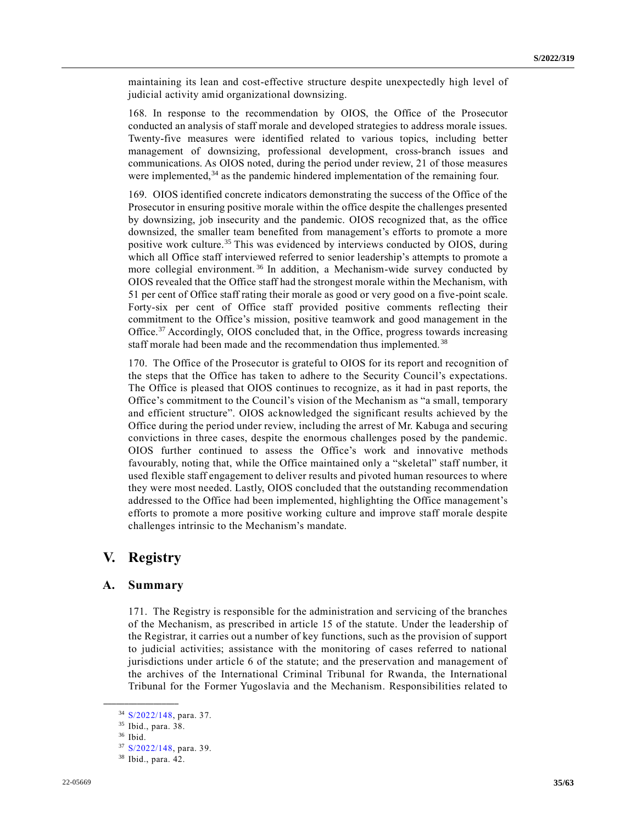maintaining its lean and cost-effective structure despite unexpectedly high level of judicial activity amid organizational downsizing.

168. In response to the recommendation by OIOS, the Office of the Prosecutor conducted an analysis of staff morale and developed strategies to address morale issues. Twenty-five measures were identified related to various topics, including better management of downsizing, professional development, cross-branch issues and communications. As OIOS noted, during the period under review, 21 of those measures were implemented,<sup>34</sup> as the pandemic hindered implementation of the remaining four.

169. OIOS identified concrete indicators demonstrating the success of the Office of the Prosecutor in ensuring positive morale within the office despite the challenges presented by downsizing, job insecurity and the pandemic. OIOS recognized that, as the office downsized, the smaller team benefited from management's efforts to promote a more positive work culture.<sup>35</sup> This was evidenced by interviews conducted by OIOS, during which all Office staff interviewed referred to senior leadership's attempts to promote a more collegial environment.<sup>36</sup> In addition, a Mechanism-wide survey conducted by OIOS revealed that the Office staff had the strongest morale within the Mechanism, with 51 per cent of Office staff rating their morale as good or very good on a five-point scale. Forty-six per cent of Office staff provided positive comments reflecting their commitment to the Office's mission, positive teamwork and good management in the Office.<sup>37</sup> Accordingly, OIOS concluded that, in the Office, progress towards increasing staff morale had been made and the recommendation thus implemented. <sup>38</sup>

170. The Office of the Prosecutor is grateful to OIOS for its report and recognition of the steps that the Office has taken to adhere to the Security Council's expectations. The Office is pleased that OIOS continues to recognize, as it had in past reports, the Office's commitment to the Council's vision of the Mechanism as "a small, temporary and efficient structure". OIOS acknowledged the significant results achieved by the Office during the period under review, including the arrest of Mr. Kabuga and securing convictions in three cases, despite the enormous challenges posed by the pandemic. OIOS further continued to assess the Office's work and innovative methods favourably, noting that, while the Office maintained only a "skeletal" staff number, it used flexible staff engagement to deliver results and pivoted human resources to where they were most needed. Lastly, OIOS concluded that the outstanding recommendation addressed to the Office had been implemented, highlighting the Office management's efforts to promote a more positive working culture and improve staff morale despite challenges intrinsic to the Mechanism's mandate.

# **V. Registry**

## **A. Summary**

171. The Registry is responsible for the administration and servicing of the branches of the Mechanism, as prescribed in article 15 of the statute. Under the leadership of the Registrar, it carries out a number of key functions, such as the provision of support to judicial activities; assistance with the monitoring of cases referred to national jurisdictions under article 6 of the statute; and the preservation and management of the archives of the International Criminal Tribunal for Rwanda, the International Tribunal for the Former Yugoslavia and the Mechanism. Responsibilities related to

<sup>34</sup> [S/2022/148,](https://undocs.org/en/S/2022/148) para. 37.

<sup>35</sup> Ibid., para. 38.

<sup>36</sup> Ibid.

<sup>37</sup> [S/2022/148,](https://undocs.org/en/S/2022/148) para. 39.

<sup>38</sup> Ibid., para. 42.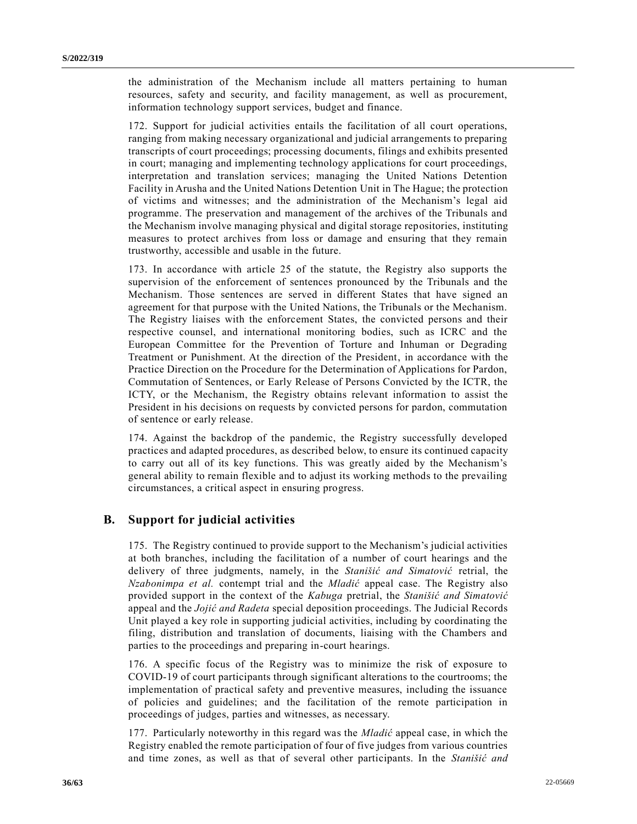the administration of the Mechanism include all matters pertaining to human resources, safety and security, and facility management, as well as procurement, information technology support services, budget and finance.

172. Support for judicial activities entails the facilitation of all court operations, ranging from making necessary organizational and judicial arrangements to preparing transcripts of court proceedings; processing documents, filings and exhibits presented in court; managing and implementing technology applications for court proceedings, interpretation and translation services; managing the United Nations Detention Facility in Arusha and the United Nations Detention Unit in The Hague; the protection of victims and witnesses; and the administration of the Mechanism's legal aid programme. The preservation and management of the archives of the Tribunals and the Mechanism involve managing physical and digital storage repositories, instituting measures to protect archives from loss or damage and ensuring that they remain trustworthy, accessible and usable in the future.

173. In accordance with article 25 of the statute, the Registry also supports the supervision of the enforcement of sentences pronounced by the Tribunals and the Mechanism. Those sentences are served in different States that have signed an agreement for that purpose with the United Nations, the Tribunals or the Mechanism. The Registry liaises with the enforcement States, the convicted persons and their respective counsel, and international monitoring bodies, such as ICRC and the European Committee for the Prevention of Torture and Inhuman or Degrading Treatment or Punishment. At the direction of the President, in accordance with the Practice Direction on the Procedure for the Determination of Applications for Pardon, Commutation of Sentences, or Early Release of Persons Convicted by the ICTR, the ICTY, or the Mechanism, the Registry obtains relevant information to assist the President in his decisions on requests by convicted persons for pardon, commutation of sentence or early release.

174. Against the backdrop of the pandemic, the Registry successfully developed practices and adapted procedures, as described below, to ensure its continued capacity to carry out all of its key functions. This was greatly aided by the Mechanism's general ability to remain flexible and to adjust its working methods to the prevailing circumstances, a critical aspect in ensuring progress.

# **B. Support for judicial activities**

175. The Registry continued to provide support to the Mechanism's judicial activities at both branches, including the facilitation of a number of court hearings and the delivery of three judgments, namely, in the *Stanišić and Simatović* retrial, the *Nzabonimpa et al.* contempt trial and the *Mladić* appeal case. The Registry also provided support in the context of the *Kabuga* pretrial, the *Stanišić and Simatović* appeal and the *Jojić and Radeta* special deposition proceedings. The Judicial Records Unit played a key role in supporting judicial activities, including by coordinating the filing, distribution and translation of documents, liaising with the Chambers and parties to the proceedings and preparing in-court hearings.

176. A specific focus of the Registry was to minimize the risk of exposure to COVID-19 of court participants through significant alterations to the courtrooms; the implementation of practical safety and preventive measures, including the issuance of policies and guidelines; and the facilitation of the remote participation in proceedings of judges, parties and witnesses, as necessary.

177. Particularly noteworthy in this regard was the *Mladić* appeal case, in which the Registry enabled the remote participation of four of five judges from various countries and time zones, as well as that of several other participants. In the *Stanišić and*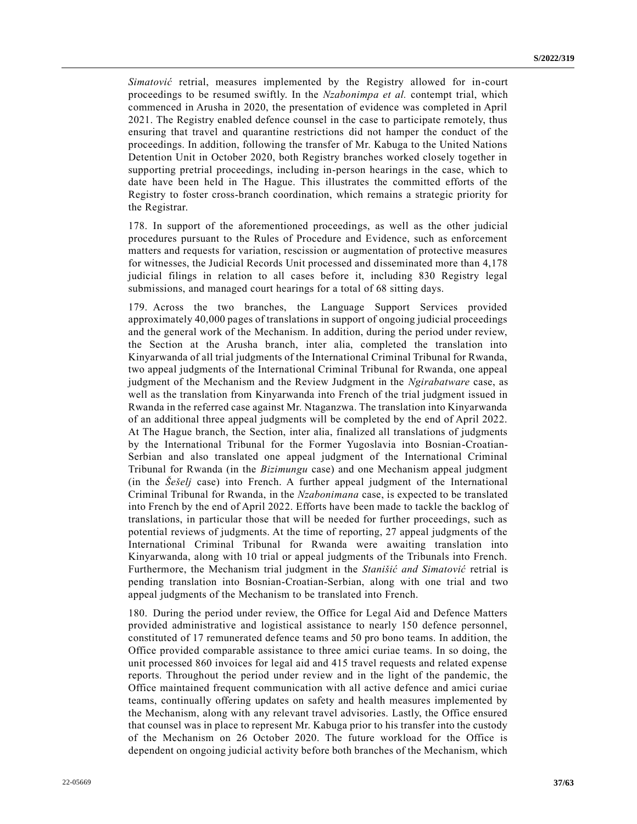*Simatović* retrial, measures implemented by the Registry allowed for in-court proceedings to be resumed swiftly. In the *Nzabonimpa et al.* contempt trial, which commenced in Arusha in 2020, the presentation of evidence was completed in April 2021. The Registry enabled defence counsel in the case to participate remotely, thus ensuring that travel and quarantine restrictions did not hamper the conduct of the proceedings. In addition, following the transfer of Mr. Kabuga to the United Nations Detention Unit in October 2020, both Registry branches worked closely together in supporting pretrial proceedings, including in-person hearings in the case, which to date have been held in The Hague. This illustrates the committed efforts of the Registry to foster cross-branch coordination, which remains a strategic priority for the Registrar.

178. In support of the aforementioned proceedings, as well as the other judicial procedures pursuant to the Rules of Procedure and Evidence, such as enforcement matters and requests for variation, rescission or augmentation of protective measures for witnesses, the Judicial Records Unit processed and disseminated more than 4,178 judicial filings in relation to all cases before it, including 830 Registry legal submissions, and managed court hearings for a total of 68 sitting days.

179. Across the two branches, the Language Support Services provided approximately 40,000 pages of translations in support of ongoing judicial proceedings and the general work of the Mechanism. In addition, during the period under review, the Section at the Arusha branch, inter alia, completed the translation into Kinyarwanda of all trial judgments of the International Criminal Tribunal for Rwanda, two appeal judgments of the International Criminal Tribunal for Rwanda, one appeal judgment of the Mechanism and the Review Judgment in the *Ngirabatware* case, as well as the translation from Kinyarwanda into French of the trial judgment issued in Rwanda in the referred case against Mr. Ntaganzwa. The translation into Kinyarwanda of an additional three appeal judgments will be completed by the end of April 2022. At The Hague branch, the Section, inter alia, finalized all translations of judgments by the International Tribunal for the Former Yugoslavia into Bosnian-Croatian-Serbian and also translated one appeal judgment of the International Criminal Tribunal for Rwanda (in the *Bizimungu* case) and one Mechanism appeal judgment (in the *Šešelj* case) into French. A further appeal judgment of the International Criminal Tribunal for Rwanda, in the *Nzabonimana* case, is expected to be translated into French by the end of April 2022. Efforts have been made to tackle the backlog of translations, in particular those that will be needed for further proceedings, such as potential reviews of judgments. At the time of reporting, 27 appeal judgments of the International Criminal Tribunal for Rwanda were awaiting translation into Kinyarwanda, along with 10 trial or appeal judgments of the Tribunals into French. Furthermore, the Mechanism trial judgment in the *Stanišić and Simatović* retrial is pending translation into Bosnian-Croatian-Serbian, along with one trial and two appeal judgments of the Mechanism to be translated into French.

180. During the period under review, the Office for Legal Aid and Defence Matters provided administrative and logistical assistance to nearly 150 defence personnel, constituted of 17 remunerated defence teams and 50 pro bono teams. In addition, the Office provided comparable assistance to three amici curiae teams. In so doing, the unit processed 860 invoices for legal aid and 415 travel requests and related expense reports. Throughout the period under review and in the light of the pandemic, the Office maintained frequent communication with all active defence and amici curiae teams, continually offering updates on safety and health measures implemented by the Mechanism, along with any relevant travel advisories. Lastly, the Office ensured that counsel was in place to represent Mr. Kabuga prior to his transfer into the custody of the Mechanism on 26 October 2020. The future workload for the Office is dependent on ongoing judicial activity before both branches of the Mechanism, which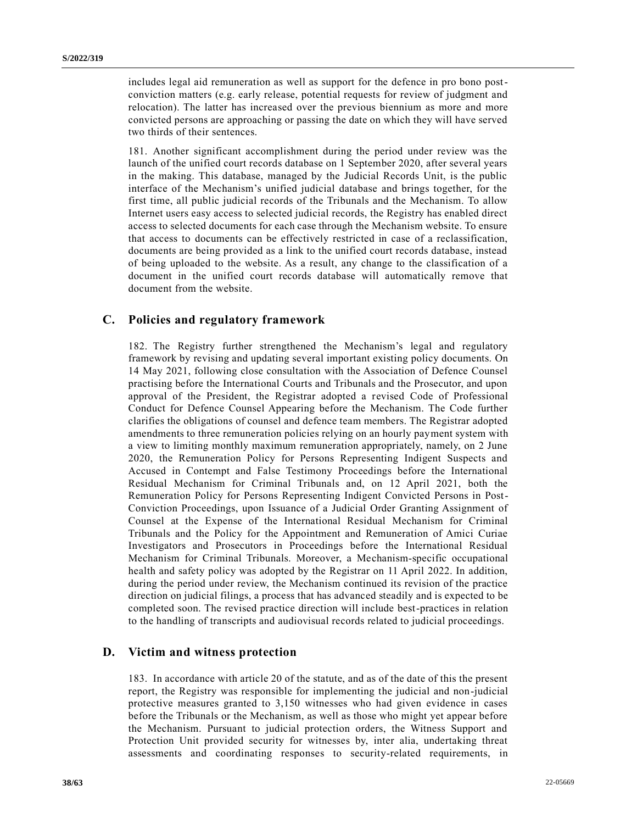includes legal aid remuneration as well as support for the defence in pro bono postconviction matters (e.g. early release, potential requests for review of judgment and relocation). The latter has increased over the previous biennium as more and more convicted persons are approaching or passing the date on which they will have served two thirds of their sentences.

181. Another significant accomplishment during the period under review was the launch of the unified court records database on 1 September 2020, after several years in the making. This database, managed by the Judicial Records Unit, is the public interface of the Mechanism's unified judicial database and brings together, for the first time, all public judicial records of the Tribunals and the Mechanism. To allow Internet users easy access to selected judicial records, the Registry has enabled direct access to selected documents for each case through the Mechanism website. To ensure that access to documents can be effectively restricted in case of a reclassification, documents are being provided as a link to the unified court records database, instead of being uploaded to the website. As a result, any change to the classification of a document in the unified court records database will automatically remove that document from the website.

# **C. Policies and regulatory framework**

182. The Registry further strengthened the Mechanism's legal and regulatory framework by revising and updating several important existing policy documents. On 14 May 2021, following close consultation with the Association of Defence Counsel practising before the International Courts and Tribunals and the Prosecutor, and upon approval of the President, the Registrar adopted a revised Code of Professional Conduct for Defence Counsel Appearing before the Mechanism. The Code further clarifies the obligations of counsel and defence team members. The Registrar adopted amendments to three remuneration policies relying on an hourly payment system with a view to limiting monthly maximum remuneration appropriately, namely, on 2 June 2020, the Remuneration Policy for Persons Representing Indigent Suspects and Accused in Contempt and False Testimony Proceedings before the International Residual Mechanism for Criminal Tribunals and, on 12 April 2021, both the Remuneration Policy for Persons Representing Indigent Convicted Persons in Post-Conviction Proceedings, upon Issuance of a Judicial Order Granting Assignment of Counsel at the Expense of the International Residual Mechanism for Criminal Tribunals and the Policy for the Appointment and Remuneration of Amici Curiae Investigators and Prosecutors in Proceedings before the International Residual Mechanism for Criminal Tribunals. Moreover, a Mechanism-specific occupational health and safety policy was adopted by the Registrar on 11 April 2022. In addition, during the period under review, the Mechanism continued its revision of the practice direction on judicial filings, a process that has advanced steadily and is expected to be completed soon. The revised practice direction will include best-practices in relation to the handling of transcripts and audiovisual records related to judicial proceedings.

# **D. Victim and witness protection**

183. In accordance with article 20 of the statute, and as of the date of this the present report, the Registry was responsible for implementing the judicial and non-judicial protective measures granted to 3,150 witnesses who had given evidence in cases before the Tribunals or the Mechanism, as well as those who might yet appear before the Mechanism. Pursuant to judicial protection orders, the Witness Support and Protection Unit provided security for witnesses by, inter alia, undertaking threat assessments and coordinating responses to security-related requirements, in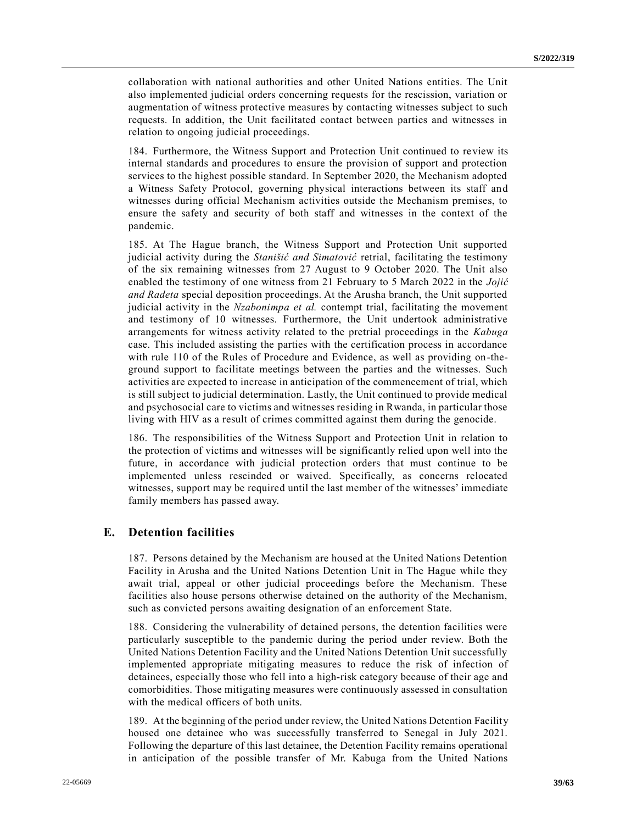collaboration with national authorities and other United Nations entities. The Unit also implemented judicial orders concerning requests for the rescission, variation or augmentation of witness protective measures by contacting witnesses subject to such requests. In addition, the Unit facilitated contact between parties and witnesses in relation to ongoing judicial proceedings.

184. Furthermore, the Witness Support and Protection Unit continued to review its internal standards and procedures to ensure the provision of support and protection services to the highest possible standard. In September 2020, the Mechanism adopted a Witness Safety Protocol, governing physical interactions between its staff and witnesses during official Mechanism activities outside the Mechanism premises, to ensure the safety and security of both staff and witnesses in the context of the pandemic.

185. At The Hague branch, the Witness Support and Protection Unit supported judicial activity during the *Stanišić and Simatović* retrial, facilitating the testimony of the six remaining witnesses from 27 August to 9 October 2020. The Unit also enabled the testimony of one witness from 21 February to 5 March 2022 in the *Jojić and Radeta* special deposition proceedings. At the Arusha branch, the Unit supported judicial activity in the *Nzabonimpa et al.* contempt trial, facilitating the movement and testimony of 10 witnesses. Furthermore, the Unit undertook administrative arrangements for witness activity related to the pretrial proceedings in the *Kabuga* case. This included assisting the parties with the certification process in accordance with rule 110 of the Rules of Procedure and Evidence, as well as providing on-theground support to facilitate meetings between the parties and the witnesses. Such activities are expected to increase in anticipation of the commencement of trial, which is still subject to judicial determination. Lastly, the Unit continued to provide medical and psychosocial care to victims and witnesses residing in Rwanda, in particular those living with HIV as a result of crimes committed against them during the genocide.

186. The responsibilities of the Witness Support and Protection Unit in relation to the protection of victims and witnesses will be significantly relied upon well into the future, in accordance with judicial protection orders that must continue to be implemented unless rescinded or waived. Specifically, as concerns relocated witnesses, support may be required until the last member of the witnesses' immediate family members has passed away.

# **E. Detention facilities**

187. Persons detained by the Mechanism are housed at the United Nations Detention Facility in Arusha and the United Nations Detention Unit in The Hague while they await trial, appeal or other judicial proceedings before the Mechanism. These facilities also house persons otherwise detained on the authority of the Mechanism, such as convicted persons awaiting designation of an enforcement State.

188. Considering the vulnerability of detained persons, the detention facilities were particularly susceptible to the pandemic during the period under review. Both the United Nations Detention Facility and the United Nations Detention Unit successfully implemented appropriate mitigating measures to reduce the risk of infection of detainees, especially those who fell into a high-risk category because of their age and comorbidities. Those mitigating measures were continuously assessed in consultation with the medical officers of both units.

189. At the beginning of the period under review, the United Nations Detention Facility housed one detainee who was successfully transferred to Senegal in July 2021. Following the departure of this last detainee, the Detention Facility remains operational in anticipation of the possible transfer of Mr. Kabuga from the United Nations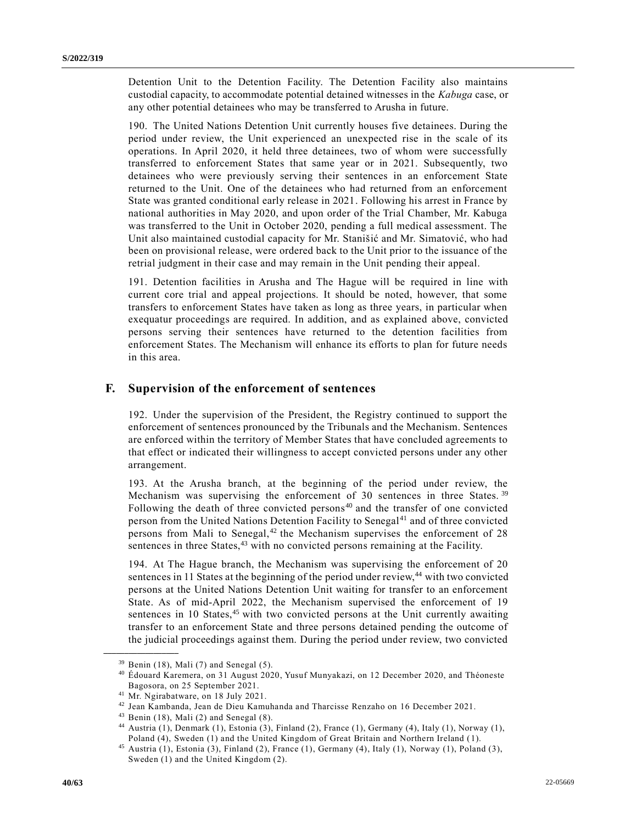Detention Unit to the Detention Facility. The Detention Facility also maintains custodial capacity, to accommodate potential detained witnesses in the *Kabuga* case, or any other potential detainees who may be transferred to Arusha in future.

190. The United Nations Detention Unit currently houses five detainees. During the period under review, the Unit experienced an unexpected rise in the scale of its operations. In April 2020, it held three detainees, two of whom were successfully transferred to enforcement States that same year or in 2021. Subsequently, two detainees who were previously serving their sentences in an enforcement State returned to the Unit. One of the detainees who had returned from an enforcement State was granted conditional early release in 2021. Following his arrest in France by national authorities in May 2020, and upon order of the Trial Chamber, Mr. Kabuga was transferred to the Unit in October 2020, pending a full medical assessment. The Unit also maintained custodial capacity for Mr. Stanišić and Mr. Simatović, who had been on provisional release, were ordered back to the Unit prior to the issuance of the retrial judgment in their case and may remain in the Unit pending their appeal.

191. Detention facilities in Arusha and The Hague will be required in line with current core trial and appeal projections. It should be noted, however, that some transfers to enforcement States have taken as long as three years, in particular when exequatur proceedings are required. In addition, and as explained above, convicted persons serving their sentences have returned to the detention facilities from enforcement States. The Mechanism will enhance its efforts to plan for future needs in this area.

## **F. Supervision of the enforcement of sentences**

192. Under the supervision of the President, the Registry continued to support the enforcement of sentences pronounced by the Tribunals and the Mechanism. Sentences are enforced within the territory of Member States that have concluded agreements to that effect or indicated their willingness to accept convicted persons under any other arrangement.

193. At the Arusha branch, at the beginning of the period under review, the Mechanism was supervising the enforcement of 30 sentences in three States. <sup>39</sup> Following the death of three convicted persons<sup>40</sup> and the transfer of one convicted person from the United Nations Detention Facility to Senegal<sup>41</sup> and of three convicted persons from Mali to Senegal, $42$  the Mechanism supervises the enforcement of 28 sentences in three States, $43$  with no convicted persons remaining at the Facility.

194. At The Hague branch, the Mechanism was supervising the enforcement of 20 sentences in 11 States at the beginning of the period under review,<sup>44</sup> with two convicted persons at the United Nations Detention Unit waiting for transfer to an enforcement State. As of mid-April 2022, the Mechanism supervised the enforcement of 19 sentences in 10 States,  $45$  with two convicted persons at the Unit currently awaiting transfer to an enforcement State and three persons detained pending the outcome of the judicial proceedings against them. During the period under review, two convicted

 $39$  Benin (18), Mali (7) and Senegal (5).

<sup>40</sup> Édouard Karemera, on 31 August 2020, Yusuf Munyakazi, on 12 December 2020, and Théoneste Bagosora, on 25 September 2021.

<sup>41</sup> Mr. Ngirabatware, on 18 July 2021.

<sup>42</sup> Jean Kambanda, Jean de Dieu Kamuhanda and Tharcisse Renzaho on 16 December 2021.

 $43$  Benin (18), Mali (2) and Senegal (8).

<sup>44</sup> Austria (1), Denmark (1), Estonia (3), Finland (2), France (1), Germany (4), Italy (1), Norway (1), Poland (4), Sweden (1) and the United Kingdom of Great Britain and Northern Ireland (1).

<sup>45</sup> Austria (1), Estonia (3), Finland (2), France (1), Germany (4), Italy (1), Norway (1), Poland (3), Sweden (1) and the United Kingdom (2).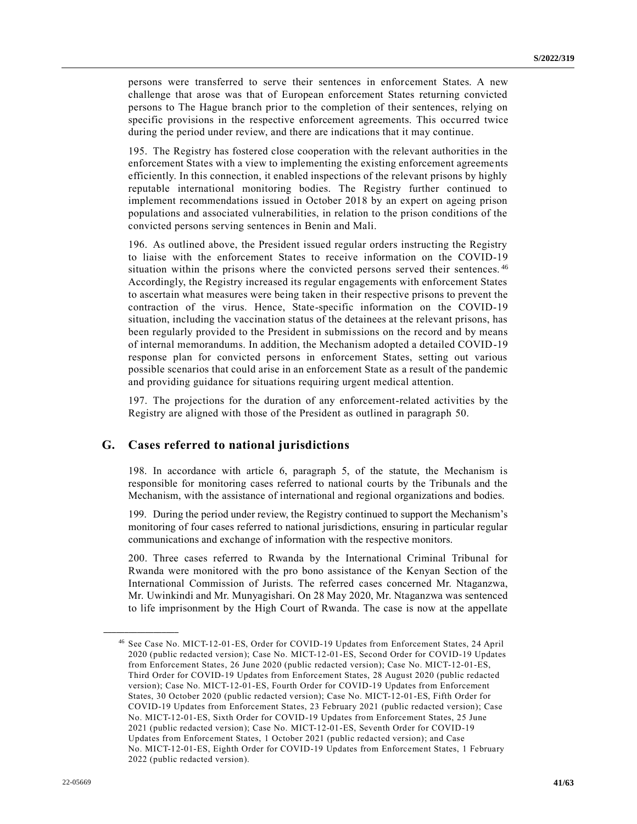persons were transferred to serve their sentences in enforcement States. A new challenge that arose was that of European enforcement States returning convicted persons to The Hague branch prior to the completion of their sentences, relying on specific provisions in the respective enforcement agreements. This occurred twice during the period under review, and there are indications that it may continue.

195. The Registry has fostered close cooperation with the relevant authorities in the enforcement States with a view to implementing the existing enforcement agreements efficiently. In this connection, it enabled inspections of the relevant prisons by highly reputable international monitoring bodies. The Registry further continued to implement recommendations issued in October 2018 by an expert on ageing prison populations and associated vulnerabilities, in relation to the prison conditions of the convicted persons serving sentences in Benin and Mali.

196. As outlined above, the President issued regular orders instructing the Registry to liaise with the enforcement States to receive information on the COVID-19 situation within the prisons where the convicted persons served their sentences.<sup>46</sup> Accordingly, the Registry increased its regular engagements with enforcement States to ascertain what measures were being taken in their respective prisons to prevent the contraction of the virus. Hence, State-specific information on the COVID-19 situation, including the vaccination status of the detainees at the relevant prisons, has been regularly provided to the President in submissions on the record and by means of internal memorandums. In addition, the Mechanism adopted a detailed COVID-19 response plan for convicted persons in enforcement States, setting out various possible scenarios that could arise in an enforcement State as a result of the pandemic and providing guidance for situations requiring urgent medical attention.

197. The projections for the duration of any enforcement-related activities by the Registry are aligned with those of the President as outlined in paragraph 50.

## **G. Cases referred to national jurisdictions**

198. In accordance with article 6, paragraph 5, of the statute, the Mechanism is responsible for monitoring cases referred to national courts by the Tribunals and the Mechanism, with the assistance of international and regional organizations and bodies.

199. During the period under review, the Registry continued to support the Mechanism's monitoring of four cases referred to national jurisdictions, ensuring in particular regular communications and exchange of information with the respective monitors.

200. Three cases referred to Rwanda by the International Criminal Tribunal for Rwanda were monitored with the pro bono assistance of the Kenyan Section of the International Commission of Jurists. The referred cases concerned Mr. Ntaganzwa, Mr. Uwinkindi and Mr. Munyagishari. On 28 May 2020, Mr. Ntaganzwa was sentenced to life imprisonment by the High Court of Rwanda. The case is now at the appellate

<sup>46</sup> See Case No. MICT-12-01-ES, Order for COVID-19 Updates from Enforcement States, 24 April 2020 (public redacted version); Case No. MICT-12-01-ES, Second Order for COVID-19 Updates from Enforcement States, 26 June 2020 (public redacted version); Case No. MICT-12-01-ES, Third Order for COVID-19 Updates from Enforcement States, 28 August 2020 (public redacted version); Case No. MICT-12-01-ES, Fourth Order for COVID-19 Updates from Enforcement States, 30 October 2020 (public redacted version); Case No. MICT-12-01-ES, Fifth Order for COVID-19 Updates from Enforcement States, 23 February 2021 (public redacted version); Case No. MICT-12-01-ES, Sixth Order for COVID-19 Updates from Enforcement States, 25 June 2021 (public redacted version); Case No. MICT-12-01-ES, Seventh Order for COVID-19 Updates from Enforcement States, 1 October 2021 (public redacted version); and Case No. MICT-12-01-ES, Eighth Order for COVID-19 Updates from Enforcement States, 1 February 2022 (public redacted version).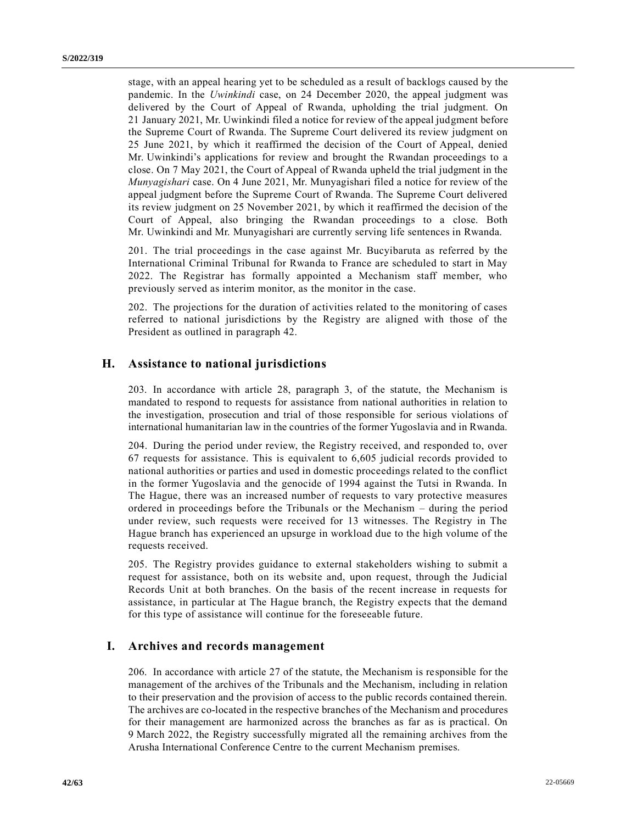stage, with an appeal hearing yet to be scheduled as a result of backlogs caused by the pandemic. In the *Uwinkindi* case, on 24 December 2020, the appeal judgment was delivered by the Court of Appeal of Rwanda, upholding the trial judgment. On 21 January 2021, Mr. Uwinkindi filed a notice for review of the appeal judgment before the Supreme Court of Rwanda. The Supreme Court delivered its review judgment on 25 June 2021, by which it reaffirmed the decision of the Court of Appeal, denied Mr. Uwinkindi's applications for review and brought the Rwandan proceedings to a close. On 7 May 2021, the Court of Appeal of Rwanda upheld the trial judgment in the *Munyagishari* case. On 4 June 2021, Mr. Munyagishari filed a notice for review of the appeal judgment before the Supreme Court of Rwanda. The Supreme Court delivered its review judgment on 25 November 2021, by which it reaffirmed the decision of the Court of Appeal, also bringing the Rwandan proceedings to a close. Both Mr. Uwinkindi and Mr. Munyagishari are currently serving life sentences in Rwanda.

201. The trial proceedings in the case against Mr. Bucyibaruta as referred by the International Criminal Tribunal for Rwanda to France are scheduled to start in May 2022. The Registrar has formally appointed a Mechanism staff member, who previously served as interim monitor, as the monitor in the case.

202. The projections for the duration of activities related to the monitoring of cases referred to national jurisdictions by the Registry are aligned with those of the President as outlined in paragraph 42.

# **H. Assistance to national jurisdictions**

203. In accordance with article 28, paragraph 3, of the statute, the Mechanism is mandated to respond to requests for assistance from national authorities in relation to the investigation, prosecution and trial of those responsible for serious violations of international humanitarian law in the countries of the former Yugoslavia and in Rwanda.

204. During the period under review, the Registry received, and responded to, over 67 requests for assistance. This is equivalent to 6,605 judicial records provided to national authorities or parties and used in domestic proceedings related to the conflict in the former Yugoslavia and the genocide of 1994 against the Tutsi in Rwanda. In The Hague, there was an increased number of requests to vary protective measures ordered in proceedings before the Tribunals or the Mechanism – during the period under review, such requests were received for 13 witnesses. The Registry in The Hague branch has experienced an upsurge in workload due to the high volume of the requests received.

205. The Registry provides guidance to external stakeholders wishing to submit a request for assistance, both on its website and, upon request, through the Judicial Records Unit at both branches. On the basis of the recent increase in requests for assistance, in particular at The Hague branch, the Registry expects that the demand for this type of assistance will continue for the foreseeable future.

## **I. Archives and records management**

206. In accordance with article 27 of the statute, the Mechanism is responsible for the management of the archives of the Tribunals and the Mechanism, including in relation to their preservation and the provision of access to the public records contained therein. The archives are co-located in the respective branches of the Mechanism and procedures for their management are harmonized across the branches as far as is practical. On 9 March 2022, the Registry successfully migrated all the remaining archives from the Arusha International Conference Centre to the current Mechanism premises.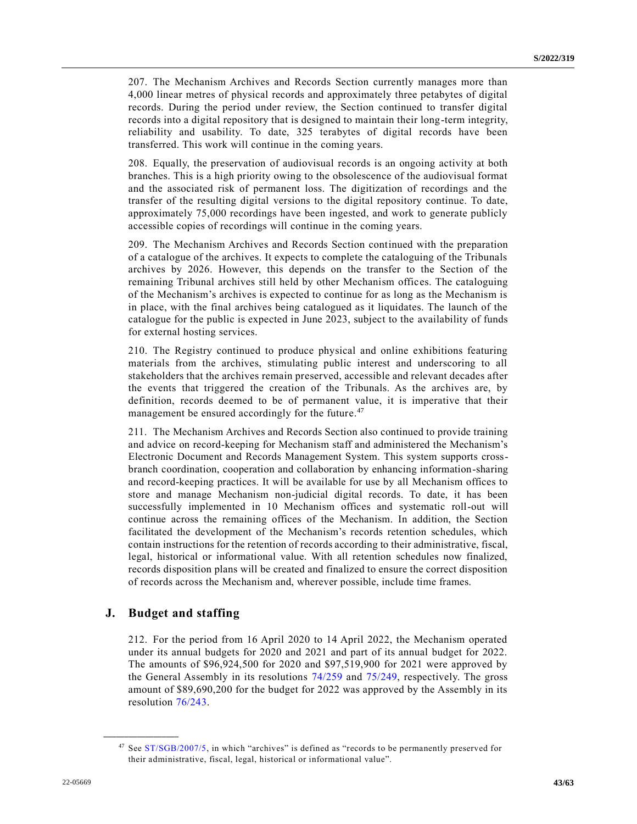207. The Mechanism Archives and Records Section currently manages more than 4,000 linear metres of physical records and approximately three petabytes of digital records. During the period under review, the Section continued to transfer digital records into a digital repository that is designed to maintain their long-term integrity, reliability and usability. To date, 325 terabytes of digital records have been transferred. This work will continue in the coming years.

208. Equally, the preservation of audiovisual records is an ongoing activity at both branches. This is a high priority owing to the obsolescence of the audiovisual format and the associated risk of permanent loss. The digitization of recordings and the transfer of the resulting digital versions to the digital repository continue. To date, approximately 75,000 recordings have been ingested, and work to generate publicly accessible copies of recordings will continue in the coming years.

209. The Mechanism Archives and Records Section continued with the preparation of a catalogue of the archives. It expects to complete the cataloguing of the Tribunals archives by 2026. However, this depends on the transfer to the Section of the remaining Tribunal archives still held by other Mechanism offices. The cataloguing of the Mechanism's archives is expected to continue for as long as the Mechanism is in place, with the final archives being catalogued as it liquidates. The launch of the catalogue for the public is expected in June 2023, subject to the availability of funds for external hosting services.

210. The Registry continued to produce physical and online exhibitions featuring materials from the archives, stimulating public interest and underscoring to all stakeholders that the archives remain preserved, accessible and relevant decades after the events that triggered the creation of the Tribunals. As the archives are, by definition, records deemed to be of permanent value, it is imperative that their management be ensured accordingly for the future.<sup>47</sup>

211. The Mechanism Archives and Records Section also continued to provide training and advice on record-keeping for Mechanism staff and administered the Mechanism's Electronic Document and Records Management System. This system supports crossbranch coordination, cooperation and collaboration by enhancing information-sharing and record-keeping practices. It will be available for use by all Mechanism offices to store and manage Mechanism non-judicial digital records. To date, it has been successfully implemented in 10 Mechanism offices and systematic roll-out will continue across the remaining offices of the Mechanism. In addition, the Section facilitated the development of the Mechanism's records retention schedules, which contain instructions for the retention of records according to their administrative, fiscal, legal, historical or informational value. With all retention schedules now finalized, records disposition plans will be created and finalized to ensure the correct disposition of records across the Mechanism and, wherever possible, include time frames.

## **J. Budget and staffing**

**\_\_\_\_\_\_\_\_\_\_\_\_\_\_\_\_\_\_**

212. For the period from 16 April 2020 to 14 April 2022, the Mechanism operated under its annual budgets for 2020 and 2021 and part of its annual budget for 2022. The amounts of \$96,924,500 for 2020 and \$97,519,900 for 2021 were approved by the General Assembly in its resolutions [74/259](https://undocs.org/en/A/RES/74/259) and [75/249,](https://undocs.org/en/A/RES/75/249) respectively. The gross amount of \$89,690,200 for the budget for 2022 was approved by the Assembly in its resolution [76/243.](https://undocs.org/en/A/RES/76/243)

<sup>&</sup>lt;sup>47</sup> See [ST/SGB/2007/5,](https://undocs.org/en/ST/SGB/2007/5) in which "archives" is defined as "records to be permanently preserved for their administrative, fiscal, legal, historical or informational value".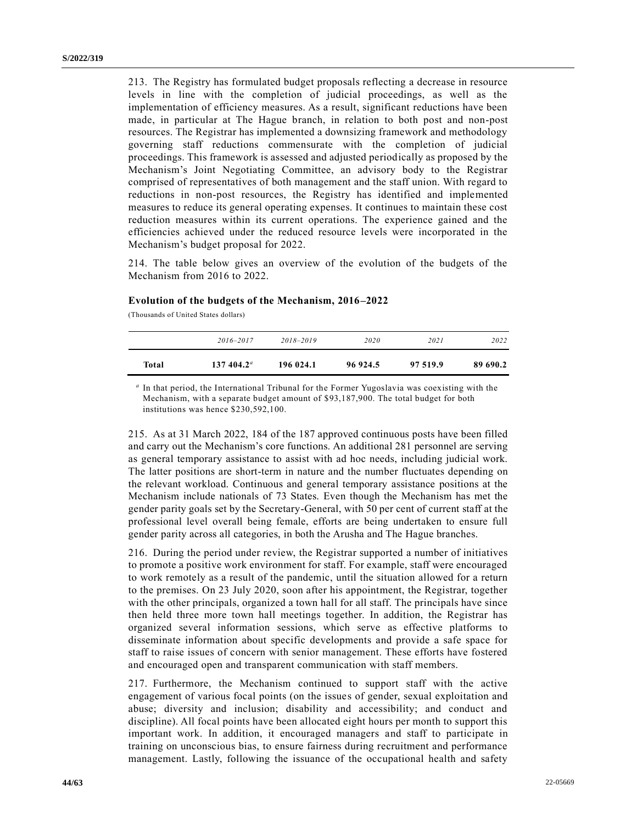213. The Registry has formulated budget proposals reflecting a decrease in resource levels in line with the completion of judicial proceedings, as well as the implementation of efficiency measures. As a result, significant reductions have been made, in particular at The Hague branch, in relation to both post and non-post resources. The Registrar has implemented a downsizing framework and methodology governing staff reductions commensurate with the completion of judicial proceedings. This framework is assessed and adjusted periodically as proposed by the Mechanism's Joint Negotiating Committee, an advisory body to the Registrar comprised of representatives of both management and the staff union. With regard to reductions in non-post resources, the Registry has identified and implemented measures to reduce its general operating expenses. It continues to maintain these cost reduction measures within its current operations. The experience gained and the efficiencies achieved under the reduced resource levels were incorporated in the Mechanism's budget proposal for 2022.

214. The table below gives an overview of the evolution of the budgets of the Mechanism from 2016 to 2022.

#### **Evolution of the budgets of the Mechanism, 2016–2022**

(Thousands of United States dollars)

|       | 2016-2017           | $2018 - 2019$ | 2020     | 2021     | 2022     |
|-------|---------------------|---------------|----------|----------|----------|
| Total | $137,404.2^{\circ}$ | 196 024.1     | 96 924.5 | 97 519.9 | 89 690.2 |

*a* In that period, the International Tribunal for the Former Yugoslavia was coexisting with the Mechanism, with a separate budget amount of \$93,187,900. The total budget for both institutions was hence \$230,592,100.

215. As at 31 March 2022, 184 of the 187 approved continuous posts have been filled and carry out the Mechanism's core functions. An additional 281 personnel are serving as general temporary assistance to assist with ad hoc needs, including judicial work. The latter positions are short-term in nature and the number fluctuates depending on the relevant workload. Continuous and general temporary assistance positions at the Mechanism include nationals of 73 States. Even though the Mechanism has met the gender parity goals set by the Secretary-General, with 50 per cent of current staff at the professional level overall being female, efforts are being undertaken to ensure full gender parity across all categories, in both the Arusha and The Hague branches.

216. During the period under review, the Registrar supported a number of initiatives to promote a positive work environment for staff. For example, staff were encouraged to work remotely as a result of the pandemic, until the situation allowed for a return to the premises. On 23 July 2020, soon after his appointment, the Registrar, together with the other principals, organized a town hall for all staff. The principals have since then held three more town hall meetings together. In addition, the Registrar has organized several information sessions, which serve as effective platforms to disseminate information about specific developments and provide a safe space for staff to raise issues of concern with senior management. These efforts have fostered and encouraged open and transparent communication with staff members.

217. Furthermore, the Mechanism continued to support staff with the active engagement of various focal points (on the issues of gender, sexual exploitation and abuse; diversity and inclusion; disability and accessibility; and conduct and discipline). All focal points have been allocated eight hours per month to support this important work. In addition, it encouraged managers and staff to participate in training on unconscious bias, to ensure fairness during recruitment and performance management. Lastly, following the issuance of the occupational health and safety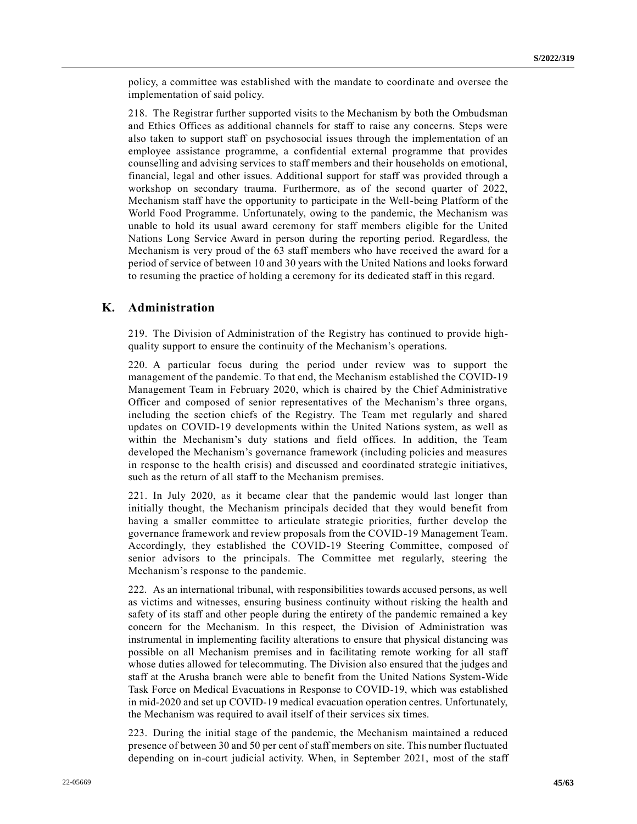policy, a committee was established with the mandate to coordinate and oversee the implementation of said policy.

218. The Registrar further supported visits to the Mechanism by both the Ombudsman and Ethics Offices as additional channels for staff to raise any concerns. Steps were also taken to support staff on psychosocial issues through the implementation of an employee assistance programme, a confidential external programme that provides counselling and advising services to staff members and their households on emotional, financial, legal and other issues. Additional support for staff was provided through a workshop on secondary trauma. Furthermore, as of the second quarter of 2022, Mechanism staff have the opportunity to participate in the Well-being Platform of the World Food Programme. Unfortunately, owing to the pandemic, the Mechanism was unable to hold its usual award ceremony for staff members eligible for the United Nations Long Service Award in person during the reporting period. Regardless, the Mechanism is very proud of the 63 staff members who have received the award for a period of service of between 10 and 30 years with the United Nations and looks forward to resuming the practice of holding a ceremony for its dedicated staff in this regard.

## **K. Administration**

219. The Division of Administration of the Registry has continued to provide highquality support to ensure the continuity of the Mechanism's operations.

220. A particular focus during the period under review was to support the management of the pandemic. To that end, the Mechanism established the COVID-19 Management Team in February 2020, which is chaired by the Chief Administrative Officer and composed of senior representatives of the Mechanism's three organs, including the section chiefs of the Registry. The Team met regularly and shared updates on COVID-19 developments within the United Nations system, as well as within the Mechanism's duty stations and field offices. In addition, the Team developed the Mechanism's governance framework (including policies and measures in response to the health crisis) and discussed and coordinated strategic initiatives, such as the return of all staff to the Mechanism premises.

221. In July 2020, as it became clear that the pandemic would last longer than initially thought, the Mechanism principals decided that they would benefit from having a smaller committee to articulate strategic priorities, further develop the governance framework and review proposals from the COVID-19 Management Team. Accordingly, they established the COVID-19 Steering Committee, composed of senior advisors to the principals. The Committee met regularly, steering the Mechanism's response to the pandemic.

222. As an international tribunal, with responsibilities towards accused persons, as well as victims and witnesses, ensuring business continuity without risking the health and safety of its staff and other people during the entirety of the pandemic remained a key concern for the Mechanism. In this respect, the Division of Administration was instrumental in implementing facility alterations to ensure that physical distancing was possible on all Mechanism premises and in facilitating remote working for all staff whose duties allowed for telecommuting. The Division also ensured that the judges and staff at the Arusha branch were able to benefit from the United Nations System-Wide Task Force on Medical Evacuations in Response to COVID-19, which was established in mid-2020 and set up COVID-19 medical evacuation operation centres. Unfortunately, the Mechanism was required to avail itself of their services six times.

223. During the initial stage of the pandemic, the Mechanism maintained a reduced presence of between 30 and 50 per cent of staff members on site. This number fluctuated depending on in-court judicial activity. When, in September 2021, most of the staff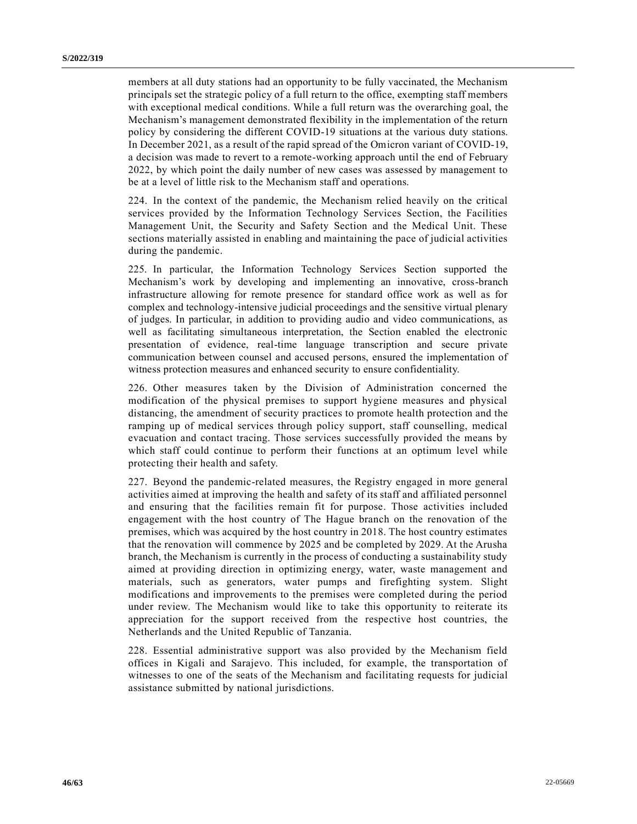members at all duty stations had an opportunity to be fully vaccinated, the Mechanism principals set the strategic policy of a full return to the office, exempting staff members with exceptional medical conditions. While a full return was the overarching goal, the Mechanism's management demonstrated flexibility in the implementation of the return policy by considering the different COVID-19 situations at the various duty stations. In December 2021, as a result of the rapid spread of the Omicron variant of COVID-19, a decision was made to revert to a remote-working approach until the end of February 2022, by which point the daily number of new cases was assessed by management to be at a level of little risk to the Mechanism staff and operations.

224. In the context of the pandemic, the Mechanism relied heavily on the critical services provided by the Information Technology Services Section, the Facilities Management Unit, the Security and Safety Section and the Medical Unit. These sections materially assisted in enabling and maintaining the pace of judicial activities during the pandemic.

225. In particular, the Information Technology Services Section supported the Mechanism's work by developing and implementing an innovative, cross-branch infrastructure allowing for remote presence for standard office work as well as for complex and technology-intensive judicial proceedings and the sensitive virtual plenary of judges. In particular, in addition to providing audio and video communications, as well as facilitating simultaneous interpretation, the Section enabled the electronic presentation of evidence, real-time language transcription and secure private communication between counsel and accused persons, ensured the implementation of witness protection measures and enhanced security to ensure confidentiality.

226. Other measures taken by the Division of Administration concerned the modification of the physical premises to support hygiene measures and physical distancing, the amendment of security practices to promote health protection and the ramping up of medical services through policy support, staff counselling, medical evacuation and contact tracing. Those services successfully provided the means by which staff could continue to perform their functions at an optimum level while protecting their health and safety.

227. Beyond the pandemic-related measures, the Registry engaged in more general activities aimed at improving the health and safety of its staff and affiliated personnel and ensuring that the facilities remain fit for purpose. Those activities included engagement with the host country of The Hague branch on the renovation of the premises, which was acquired by the host country in 2018. The host country estimates that the renovation will commence by 2025 and be completed by 2029. At the Arusha branch, the Mechanism is currently in the process of conducting a sustainability study aimed at providing direction in optimizing energy, water, waste management and materials, such as generators, water pumps and firefighting system. Slight modifications and improvements to the premises were completed during the period under review. The Mechanism would like to take this opportunity to reiterate its appreciation for the support received from the respective host countries, the Netherlands and the United Republic of Tanzania.

228. Essential administrative support was also provided by the Mechanism field offices in Kigali and Sarajevo. This included, for example, the transportation of witnesses to one of the seats of the Mechanism and facilitating requests for judicial assistance submitted by national jurisdictions.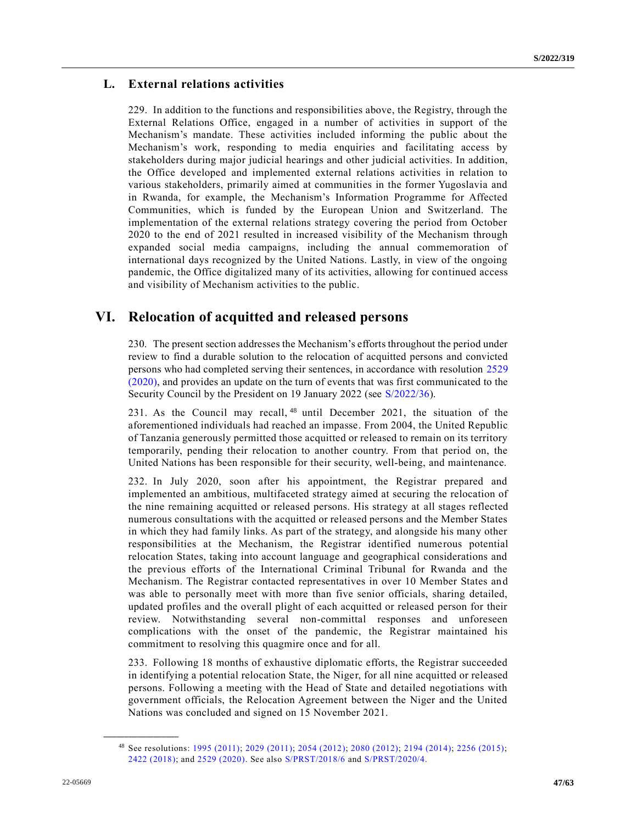# **L. External relations activities**

229. In addition to the functions and responsibilities above, the Registry, through the External Relations Office, engaged in a number of activities in support of the Mechanism's mandate. These activities included informing the public about the Mechanism's work, responding to media enquiries and facilitating access by stakeholders during major judicial hearings and other judicial activities. In addition, the Office developed and implemented external relations activities in relation to various stakeholders, primarily aimed at communities in the former Yugoslavia and in Rwanda, for example, the Mechanism's Information Programme for Affected Communities, which is funded by the European Union and Switzerland. The implementation of the external relations strategy covering the period from October 2020 to the end of 2021 resulted in increased visibility of the Mechanism through expanded social media campaigns, including the annual commemoration of international days recognized by the United Nations. Lastly, in view of the ongoing pandemic, the Office digitalized many of its activities, allowing for continued access and visibility of Mechanism activities to the public.

# **VI. Relocation of acquitted and released persons**

230. The present section addresses the Mechanism's efforts throughout the period under review to find a durable solution to the relocation of acquitted persons and convicted persons who had completed serving their sentences, in accordance with resolution [2529](https://undocs.org/en/S/RES/2529(2020))  [\(2020\),](https://undocs.org/en/S/RES/2529(2020)) and provides an update on the turn of events that was first communicated to the Security Council by the President on 19 January 2022 (see [S/2022/36\)](https://undocs.org/en/S/2022/36).

231. As the Council may recall, <sup>48</sup> until December 2021, the situation of the aforementioned individuals had reached an impasse. From 2004, the United Republic of Tanzania generously permitted those acquitted or released to remain on its territory temporarily, pending their relocation to another country. From that period on, the United Nations has been responsible for their security, well-being, and maintenance.

232. In July 2020, soon after his appointment, the Registrar prepared and implemented an ambitious, multifaceted strategy aimed at securing the relocation of the nine remaining acquitted or released persons. His strategy at all stages reflected numerous consultations with the acquitted or released persons and the Member States in which they had family links. As part of the strategy, and alongside his many other responsibilities at the Mechanism, the Registrar identified numerous potential relocation States, taking into account language and geographical considerations and the previous efforts of the International Criminal Tribunal for Rwanda and the Mechanism. The Registrar contacted representatives in over 10 Member States and was able to personally meet with more than five senior officials, sharing detailed, updated profiles and the overall plight of each acquitted or released person for their review. Notwithstanding several non-committal responses and unforeseen complications with the onset of the pandemic, the Registrar maintained his commitment to resolving this quagmire once and for all.

233. Following 18 months of exhaustive diplomatic efforts, the Registrar succeeded in identifying a potential relocation State, the Niger, for all nine acquitted or released persons. Following a meeting with the Head of State and detailed negotiations with government officials, the Relocation Agreement between the Niger and the United Nations was concluded and signed on 15 November 2021.

<sup>48</sup> See resolutions: [1995 \(2011\);](https://undocs.org/en/S/RES/1995(2011)) [2029 \(2011\);](https://undocs.org/en/S/RES/2029(2011)) [2054 \(2012\);](https://undocs.org/en/S/RES/2054(2012)) [2080 \(2012\);](https://undocs.org/en/S/RES/2080(2012)) [2194 \(2014\);](https://undocs.org/en/S/RES/2194(2014)) [2256 \(2015\);](https://undocs.org/en/S/RES/2256(2015)) [2422 \(2018\);](https://undocs.org/en/S/RES/2422(2018)) and [2529 \(2020\).](https://undocs.org/en/S/RES/2529(2020)) See also [S/PRST/2018/6](https://undocs.org/en/S/PRST/2018/6) and [S/PRST/2020/4.](https://undocs.org/en/S/PRST/2020/4)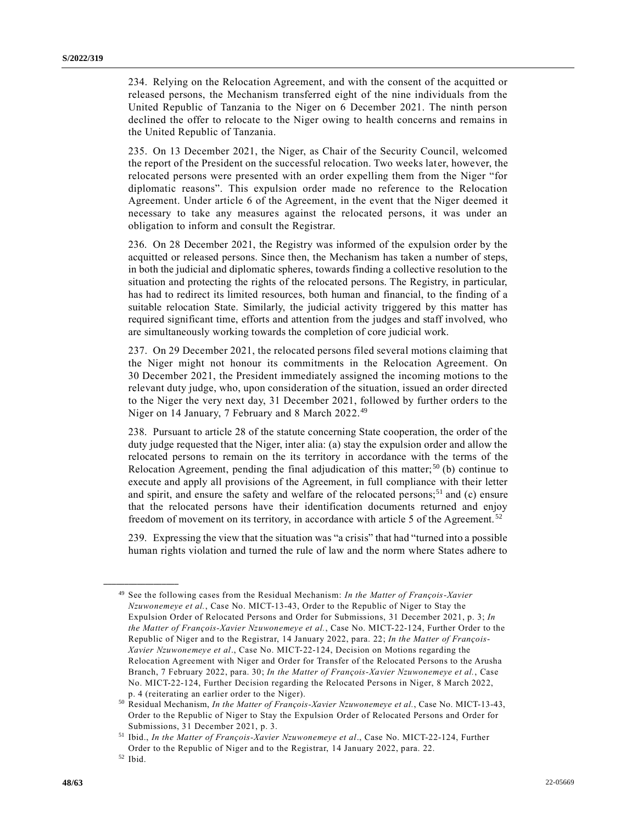234. Relying on the Relocation Agreement, and with the consent of the acquitted or released persons, the Mechanism transferred eight of the nine individuals from the United Republic of Tanzania to the Niger on 6 December 2021. The ninth person declined the offer to relocate to the Niger owing to health concerns and remains in the United Republic of Tanzania.

235. On 13 December 2021, the Niger, as Chair of the Security Council, welcomed the report of the President on the successful relocation. Two weeks later, however, the relocated persons were presented with an order expelling them from the Niger "for diplomatic reasons". This expulsion order made no reference to the Relocation Agreement. Under article 6 of the Agreement, in the event that the Niger deemed it necessary to take any measures against the relocated persons, it was under an obligation to inform and consult the Registrar.

236. On 28 December 2021, the Registry was informed of the expulsion order by the acquitted or released persons. Since then, the Mechanism has taken a number of steps, in both the judicial and diplomatic spheres, towards finding a collective resolution to the situation and protecting the rights of the relocated persons. The Registry, in particular, has had to redirect its limited resources, both human and financial, to the finding of a suitable relocation State. Similarly, the judicial activity triggered by this matter has required significant time, efforts and attention from the judges and staff involved, who are simultaneously working towards the completion of core judicial work.

237. On 29 December 2021, the relocated persons filed several motions claiming that the Niger might not honour its commitments in the Relocation Agreement. On 30 December 2021, the President immediately assigned the incoming motions to the relevant duty judge, who, upon consideration of the situation, issued an order directed to the Niger the very next day, 31 December 2021, followed by further orders to the Niger on 14 January, 7 February and 8 March 2022.<sup>49</sup>

238. Pursuant to article 28 of the statute concerning State cooperation, the order of the duty judge requested that the Niger, inter alia: (a) stay the expulsion order and allow the relocated persons to remain on the its territory in accordance with the terms of the Relocation Agreement, pending the final adjudication of this matter;<sup>50</sup> (b) continue to execute and apply all provisions of the Agreement, in full compliance with their letter and spirit, and ensure the safety and welfare of the relocated persons;<sup>51</sup> and (c) ensure that the relocated persons have their identification documents returned and enjoy freedom of movement on its territory, in accordance with article 5 of the Agreement.<sup>52</sup>

239. Expressing the view that the situation was "a crisis" that had "turned into a possible human rights violation and turned the rule of law and the norm where States adhere to

<sup>49</sup> See the following cases from the Residual Mechanism: *In the Matter of François-Xavier Nzuwonemeye et al.*, Case No. MICT-13-43, Order to the Republic of Niger to Stay the Expulsion Order of Relocated Persons and Order for Submissions, 31 December 2021, p. 3; *In the Matter of François-Xavier Nzuwonemeye et al.*, Case No. MICT-22-124, Further Order to the Republic of Niger and to the Registrar, 14 January 2022, para. 22; *In the Matter of François-Xavier Nzuwonemeye et al*., Case No. MICT-22-124, Decision on Motions regarding the Relocation Agreement with Niger and Order for Transfer of the Relocated Persons to the Arusha Branch, 7 February 2022, para. 30; *In the Matter of François-Xavier Nzuwonemeye et al.*, Case No. MICT-22-124, Further Decision regarding the Relocated Persons in Niger, 8 March 2022, p. 4 (reiterating an earlier order to the Niger).

<sup>50</sup> Residual Mechanism, *In the Matter of François-Xavier Nzuwonemeye et al.*, Case No. MICT-13-43, Order to the Republic of Niger to Stay the Expulsion Order of Relocated Persons and Order for Submissions, 31 December 2021, p. 3.

<sup>51</sup> Ibid., *In the Matter of François-Xavier Nzuwonemeye et al*., Case No. MICT-22-124, Further Order to the Republic of Niger and to the Registrar, 14 January 2022, para. 22.

<sup>52</sup> Ibid.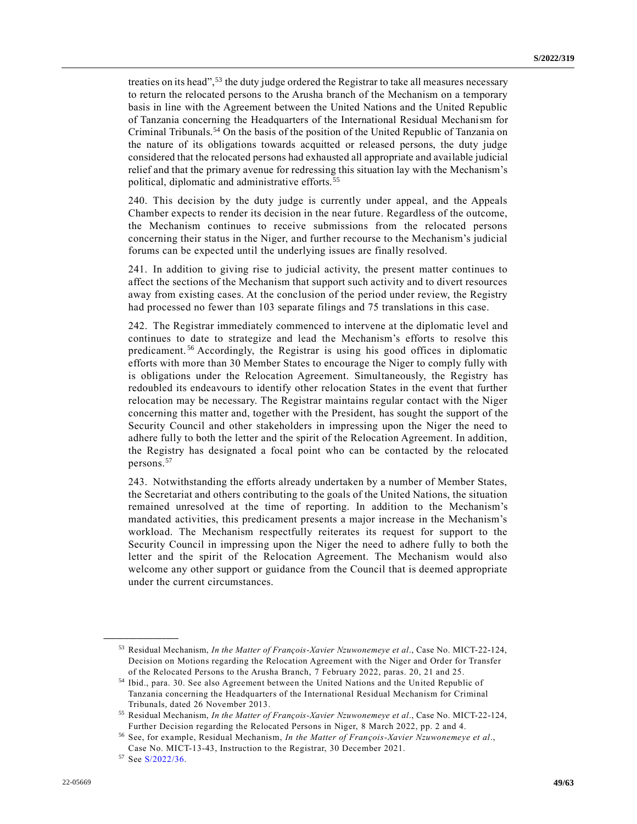treaties on its head",<sup>53</sup> the duty judge ordered the Registrar to take all measures necessary to return the relocated persons to the Arusha branch of the Mechanism on a temporary basis in line with the Agreement between the United Nations and the United Republic of Tanzania concerning the Headquarters of the International Residual Mechanism for Criminal Tribunals.<sup>54</sup> On the basis of the position of the United Republic of Tanzania on the nature of its obligations towards acquitted or released persons, the duty judge considered that the relocated persons had exhausted all appropriate and available judicial relief and that the primary avenue for redressing this situation lay with the Mechanism's political, diplomatic and administrative efforts.<sup>55</sup>

240. This decision by the duty judge is currently under appeal, and the Appeals Chamber expects to render its decision in the near future. Regardless of the outcome, the Mechanism continues to receive submissions from the relocated persons concerning their status in the Niger, and further recourse to the Mechanism's judicial forums can be expected until the underlying issues are finally resolved.

241. In addition to giving rise to judicial activity, the present matter continues to affect the sections of the Mechanism that support such activity and to divert resources away from existing cases. At the conclusion of the period under review, the Registry had processed no fewer than 103 separate filings and 75 translations in this case.

242. The Registrar immediately commenced to intervene at the diplomatic level and continues to date to strategize and lead the Mechanism's efforts to resolve this predicament.<sup>56</sup> Accordingly, the Registrar is using his good offices in diplomatic efforts with more than 30 Member States to encourage the Niger to comply fully with is obligations under the Relocation Agreement. Simultaneously, the Registry has redoubled its endeavours to identify other relocation States in the event that further relocation may be necessary. The Registrar maintains regular contact with the Niger concerning this matter and, together with the President, has sought the support of the Security Council and other stakeholders in impressing upon the Niger the need to adhere fully to both the letter and the spirit of the Relocation Agreement. In addition, the Registry has designated a focal point who can be contacted by the relocated persons.<sup>57</sup>

243. Notwithstanding the efforts already undertaken by a number of Member States, the Secretariat and others contributing to the goals of the United Nations, the situation remained unresolved at the time of reporting. In addition to the Mechanism's mandated activities, this predicament presents a major increase in the Mechanism's workload. The Mechanism respectfully reiterates its request for support to the Security Council in impressing upon the Niger the need to adhere fully to both the letter and the spirit of the Relocation Agreement. The Mechanism would also welcome any other support or guidance from the Council that is deemed appropriate under the current circumstances.

<sup>53</sup> Residual Mechanism, *In the Matter of François-Xavier Nzuwonemeye et al*., Case No. MICT-22-124, Decision on Motions regarding the Relocation Agreement with the Niger and Order for Transfer of the Relocated Persons to the Arusha Branch, 7 February 2022, paras. 20, 21 and 25.

<sup>54</sup> Ibid., para. 30. See also Agreement between the United Nations and the United Republic of Tanzania concerning the Headquarters of the International Residual Mechanism for Criminal Tribunals, dated 26 November 2013.

<sup>55</sup> Residual Mechanism, *In the Matter of François-Xavier Nzuwonemeye et al*., Case No. MICT-22-124, Further Decision regarding the Relocated Persons in Niger, 8 March 2022, pp. 2 and 4.

<sup>56</sup> See, for example, Residual Mechanism, *In the Matter of François-Xavier Nzuwonemeye et al*., Case No. MICT-13-43, Instruction to the Registrar, 30 December 2021.

<sup>57</sup> See [S/2022/36.](https://undocs.org/en/S/2022/36)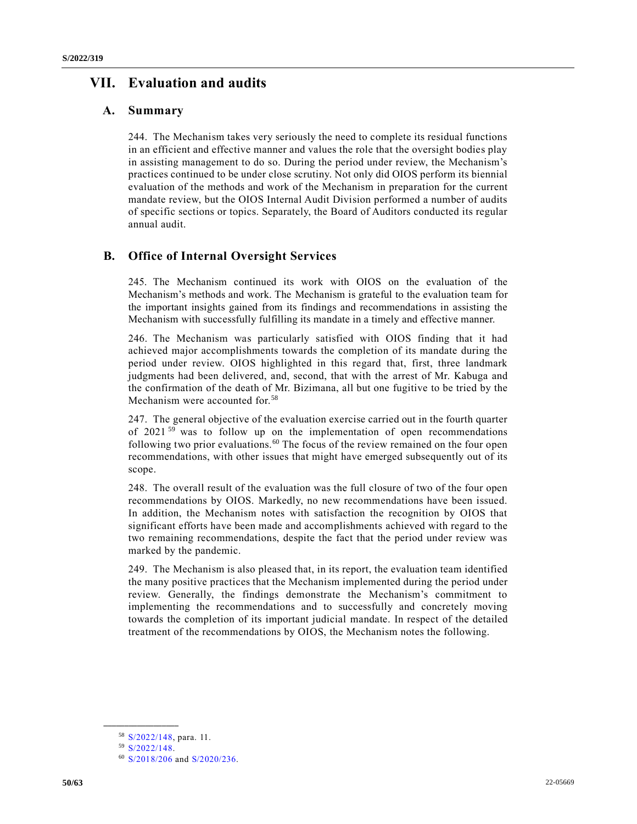# **VII. Evaluation and audits**

# **A. Summary**

244. The Mechanism takes very seriously the need to complete its residual functions in an efficient and effective manner and values the role that the oversight bodies play in assisting management to do so. During the period under review, the Mechanism's practices continued to be under close scrutiny. Not only did OIOS perform its biennial evaluation of the methods and work of the Mechanism in preparation for the current mandate review, but the OIOS Internal Audit Division performed a number of audits of specific sections or topics. Separately, the Board of Auditors conducted its regular annual audit.

# **B. Office of Internal Oversight Services**

245. The Mechanism continued its work with OIOS on the evaluation of the Mechanism's methods and work. The Mechanism is grateful to the evaluation team for the important insights gained from its findings and recommendations in assisting the Mechanism with successfully fulfilling its mandate in a timely and effective manner.

246. The Mechanism was particularly satisfied with OIOS finding that it had achieved major accomplishments towards the completion of its mandate during the period under review. OIOS highlighted in this regard that, first, three landmark judgments had been delivered, and, second, that with the arrest of Mr. Kabuga and the confirmation of the death of Mr. Bizimana, all but one fugitive to be tried by the Mechanism were accounted for.<sup>58</sup>

247. The general objective of the evaluation exercise carried out in the fourth quarter of 2021<sup>59</sup> was to follow up on the implementation of open recommendations following two prior evaluations.<sup>60</sup> The focus of the review remained on the four open recommendations, with other issues that might have emerged subsequently out of its scope.

248. The overall result of the evaluation was the full closure of two of the four open recommendations by OIOS. Markedly, no new recommendations have been issued. In addition, the Mechanism notes with satisfaction the recognition by OIOS that significant efforts have been made and accomplishments achieved with regard to the two remaining recommendations, despite the fact that the period under review was marked by the pandemic.

249. The Mechanism is also pleased that, in its report, the evaluation team identified the many positive practices that the Mechanism implemented during the period under review. Generally, the findings demonstrate the Mechanism's commitment to implementing the recommendations and to successfully and concretely moving towards the completion of its important judicial mandate. In respect of the detailed treatment of the recommendations by OIOS, the Mechanism notes the following.

<sup>58</sup> [S/2022/148,](https://undocs.org/en/S/2022/148) para. 11.

<sup>59</sup> [S/2022/148.](https://undocs.org/en/S/2022/148)

<sup>60</sup> [S/2018/206](https://undocs.org/en/S/2018/206) and [S/2020/236.](https://undocs.org/en/S/2020/236)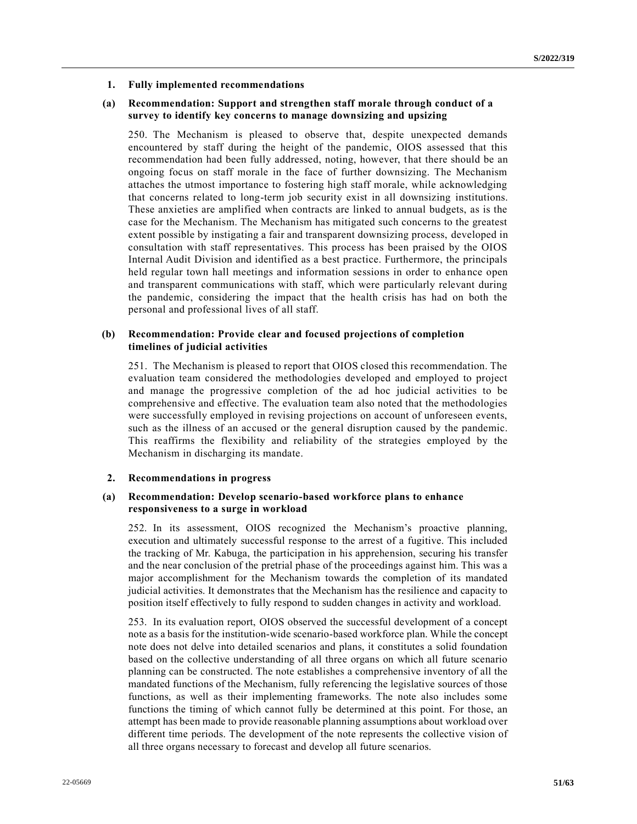#### **1. Fully implemented recommendations**

### **(a) Recommendation: Support and strengthen staff morale through conduct of a survey to identify key concerns to manage downsizing and upsizing**

250. The Mechanism is pleased to observe that, despite unexpected demands encountered by staff during the height of the pandemic, OIOS assessed that this recommendation had been fully addressed, noting, however, that there should be an ongoing focus on staff morale in the face of further downsizing. The Mechanism attaches the utmost importance to fostering high staff morale, while acknowledging that concerns related to long-term job security exist in all downsizing institutions. These anxieties are amplified when contracts are linked to annual budgets, as is the case for the Mechanism. The Mechanism has mitigated such concerns to the greatest extent possible by instigating a fair and transparent downsizing process, developed in consultation with staff representatives. This process has been praised by the OIOS Internal Audit Division and identified as a best practice. Furthermore, the principals held regular town hall meetings and information sessions in order to enhance open and transparent communications with staff, which were particularly relevant during the pandemic, considering the impact that the health crisis has had on both the personal and professional lives of all staff.

#### **(b) Recommendation: Provide clear and focused projections of completion timelines of judicial activities**

251. The Mechanism is pleased to report that OIOS closed this recommendation. The evaluation team considered the methodologies developed and employed to project and manage the progressive completion of the ad hoc judicial activities to be comprehensive and effective. The evaluation team also noted that the methodologies were successfully employed in revising projections on account of unforeseen events, such as the illness of an accused or the general disruption caused by the pandemic. This reaffirms the flexibility and reliability of the strategies employed by the Mechanism in discharging its mandate.

#### **2. Recommendations in progress**

### **(a) Recommendation: Develop scenario-based workforce plans to enhance responsiveness to a surge in workload**

252. In its assessment, OIOS recognized the Mechanism's proactive planning, execution and ultimately successful response to the arrest of a fugitive. This included the tracking of Mr. Kabuga, the participation in his apprehension, securing his transfer and the near conclusion of the pretrial phase of the proceedings against him. This was a major accomplishment for the Mechanism towards the completion of its mandated judicial activities. It demonstrates that the Mechanism has the resilience and capacity to position itself effectively to fully respond to sudden changes in activity and workload.

253. In its evaluation report, OIOS observed the successful development of a concept note as a basis for the institution-wide scenario-based workforce plan. While the concept note does not delve into detailed scenarios and plans, it constitutes a solid foundation based on the collective understanding of all three organs on which all future scenario planning can be constructed. The note establishes a comprehensive inventory of all the mandated functions of the Mechanism, fully referencing the legislative sources of those functions, as well as their implementing frameworks. The note also includes some functions the timing of which cannot fully be determined at this point. For those, an attempt has been made to provide reasonable planning assumptions about workload over different time periods. The development of the note represents the collective vision of all three organs necessary to forecast and develop all future scenarios.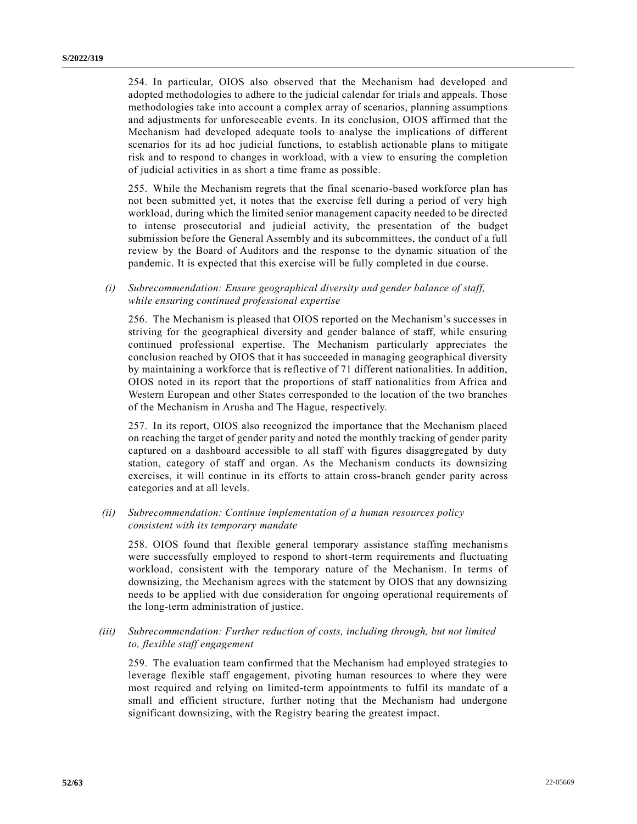254. In particular, OIOS also observed that the Mechanism had developed and adopted methodologies to adhere to the judicial calendar for trials and appeals. Those methodologies take into account a complex array of scenarios, planning assumptions and adjustments for unforeseeable events. In its conclusion, OIOS affirmed that the Mechanism had developed adequate tools to analyse the implications of different scenarios for its ad hoc judicial functions, to establish actionable plans to mitigate risk and to respond to changes in workload, with a view to ensuring the completion of judicial activities in as short a time frame as possible.

255. While the Mechanism regrets that the final scenario-based workforce plan has not been submitted yet, it notes that the exercise fell during a period of very high workload, during which the limited senior management capacity needed to be directed to intense prosecutorial and judicial activity, the presentation of the budget submission before the General Assembly and its subcommittees, the conduct of a full review by the Board of Auditors and the response to the dynamic situation of the pandemic. It is expected that this exercise will be fully completed in due course.

*(i) Subrecommendation: Ensure geographical diversity and gender balance of staff, while ensuring continued professional expertise*

256. The Mechanism is pleased that OIOS reported on the Mechanism's successes in striving for the geographical diversity and gender balance of staff, while ensuring continued professional expertise. The Mechanism particularly appreciates the conclusion reached by OIOS that it has succeeded in managing geographical diversity by maintaining a workforce that is reflective of 71 different nationalities. In addition, OIOS noted in its report that the proportions of staff nationalities from Africa and Western European and other States corresponded to the location of the two branches of the Mechanism in Arusha and The Hague, respectively.

257. In its report, OIOS also recognized the importance that the Mechanism placed on reaching the target of gender parity and noted the monthly tracking of gender parity captured on a dashboard accessible to all staff with figures disaggregated by duty station, category of staff and organ. As the Mechanism conducts its downsizing exercises, it will continue in its efforts to attain cross-branch gender parity across categories and at all levels.

*(ii) Subrecommendation: Continue implementation of a human resources policy consistent with its temporary mandate*

258. OIOS found that flexible general temporary assistance staffing mechanisms were successfully employed to respond to short-term requirements and fluctuating workload, consistent with the temporary nature of the Mechanism. In terms of downsizing, the Mechanism agrees with the statement by OIOS that any downsizing needs to be applied with due consideration for ongoing operational requirements of the long-term administration of justice.

*(iii) Subrecommendation: Further reduction of costs, including through, but not limited to, flexible staff engagement*

259. The evaluation team confirmed that the Mechanism had employed strategies to leverage flexible staff engagement, pivoting human resources to where they were most required and relying on limited-term appointments to fulfil its mandate of a small and efficient structure, further noting that the Mechanism had undergone significant downsizing, with the Registry bearing the greatest impact.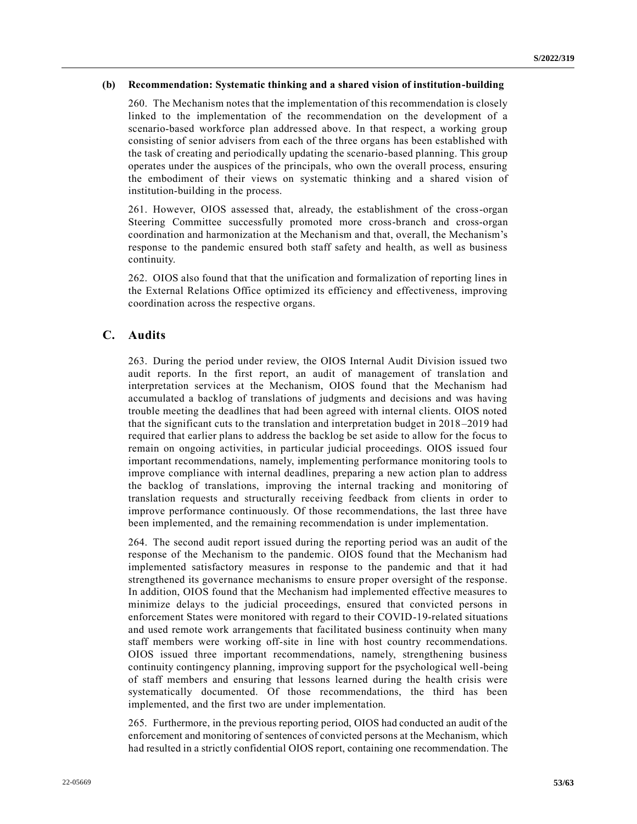#### **(b) Recommendation: Systematic thinking and a shared vision of institution-building**

260. The Mechanism notes that the implementation of this recommendation is closely linked to the implementation of the recommendation on the development of a scenario-based workforce plan addressed above. In that respect, a working group consisting of senior advisers from each of the three organs has been established with the task of creating and periodically updating the scenario-based planning. This group operates under the auspices of the principals, who own the overall process, ensuring the embodiment of their views on systematic thinking and a shared vision of institution-building in the process.

261. However, OIOS assessed that, already, the establishment of the cross-organ Steering Committee successfully promoted more cross-branch and cross-organ coordination and harmonization at the Mechanism and that, overall, the Mechanism's response to the pandemic ensured both staff safety and health, as well as business continuity.

262. OIOS also found that that the unification and formalization of reporting lines in the External Relations Office optimized its efficiency and effectiveness, improving coordination across the respective organs.

# **C. Audits**

263. During the period under review, the OIOS Internal Audit Division issued two audit reports. In the first report, an audit of management of translation and interpretation services at the Mechanism, OIOS found that the Mechanism had accumulated a backlog of translations of judgments and decisions and was having trouble meeting the deadlines that had been agreed with internal clients. OIOS noted that the significant cuts to the translation and interpretation budget in 2018–2019 had required that earlier plans to address the backlog be set aside to allow for the focus to remain on ongoing activities, in particular judicial proceedings. OIOS issued four important recommendations, namely, implementing performance monitoring tools to improve compliance with internal deadlines, preparing a new action plan to address the backlog of translations, improving the internal tracking and monitoring of translation requests and structurally receiving feedback from clients in order to improve performance continuously. Of those recommendations, the last three have been implemented, and the remaining recommendation is under implementation.

264. The second audit report issued during the reporting period was an audit of the response of the Mechanism to the pandemic. OIOS found that the Mechanism had implemented satisfactory measures in response to the pandemic and that it had strengthened its governance mechanisms to ensure proper oversight of the response. In addition, OIOS found that the Mechanism had implemented effective measures to minimize delays to the judicial proceedings, ensured that convicted persons in enforcement States were monitored with regard to their COVID-19-related situations and used remote work arrangements that facilitated business continuity when many staff members were working off-site in line with host country recommendations. OIOS issued three important recommendations, namely, strengthening business continuity contingency planning, improving support for the psychological well-being of staff members and ensuring that lessons learned during the health crisis were systematically documented. Of those recommendations, the third has been implemented, and the first two are under implementation.

265. Furthermore, in the previous reporting period, OIOS had conducted an audit of the enforcement and monitoring of sentences of convicted persons at the Mechanism, which had resulted in a strictly confidential OIOS report, containing one recommendation. The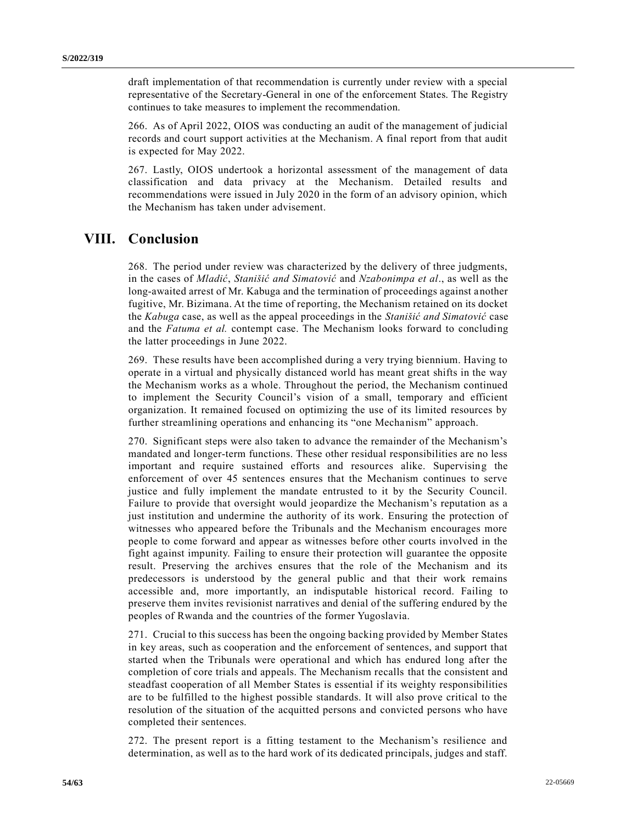draft implementation of that recommendation is currently under review with a special representative of the Secretary-General in one of the enforcement States. The Registry continues to take measures to implement the recommendation.

266. As of April 2022, OIOS was conducting an audit of the management of judicial records and court support activities at the Mechanism. A final report from that audit is expected for May 2022.

267. Lastly, OIOS undertook a horizontal assessment of the management of data classification and data privacy at the Mechanism. Detailed results and recommendations were issued in July 2020 in the form of an advisory opinion, which the Mechanism has taken under advisement.

# **VIII. Conclusion**

268. The period under review was characterized by the delivery of three judgments, in the cases of *Mladić*, *Stanišić and Simatović* and *Nzabonimpa et al*., as well as the long-awaited arrest of Mr. Kabuga and the termination of proceedings against another fugitive, Mr. Bizimana. At the time of reporting, the Mechanism retained on its docket the *Kabuga* case, as well as the appeal proceedings in the *Stanišić and Simatović* case and the *Fatuma et al.* contempt case. The Mechanism looks forward to concluding the latter proceedings in June 2022.

269. These results have been accomplished during a very trying biennium. Having to operate in a virtual and physically distanced world has meant great shifts in the way the Mechanism works as a whole. Throughout the period, the Mechanism continued to implement the Security Council's vision of a small, temporary and efficient organization. It remained focused on optimizing the use of its limited resources by further streamlining operations and enhancing its "one Mechanism" approach.

270. Significant steps were also taken to advance the remainder of the Mechanism's mandated and longer-term functions. These other residual responsibilities are no less important and require sustained efforts and resources alike. Supervising the enforcement of over 45 sentences ensures that the Mechanism continues to serve justice and fully implement the mandate entrusted to it by the Security Council. Failure to provide that oversight would jeopardize the Mechanism's reputation as a just institution and undermine the authority of its work. Ensuring the protection of witnesses who appeared before the Tribunals and the Mechanism encourages more people to come forward and appear as witnesses before other courts involved in the fight against impunity. Failing to ensure their protection will guarantee the opposite result. Preserving the archives ensures that the role of the Mechanism and its predecessors is understood by the general public and that their work remains accessible and, more importantly, an indisputable historical record. Failing to preserve them invites revisionist narratives and denial of the suffering endured by the peoples of Rwanda and the countries of the former Yugoslavia.

271. Crucial to this success has been the ongoing backing provided by Member States in key areas, such as cooperation and the enforcement of sentences, and support that started when the Tribunals were operational and which has endured long after the completion of core trials and appeals. The Mechanism recalls that the consistent and steadfast cooperation of all Member States is essential if its weighty responsibilities are to be fulfilled to the highest possible standards. It will also prove critical to the resolution of the situation of the acquitted persons and convicted persons who have completed their sentences.

272. The present report is a fitting testament to the Mechanism's resilience and determination, as well as to the hard work of its dedicated principals, judges and staff.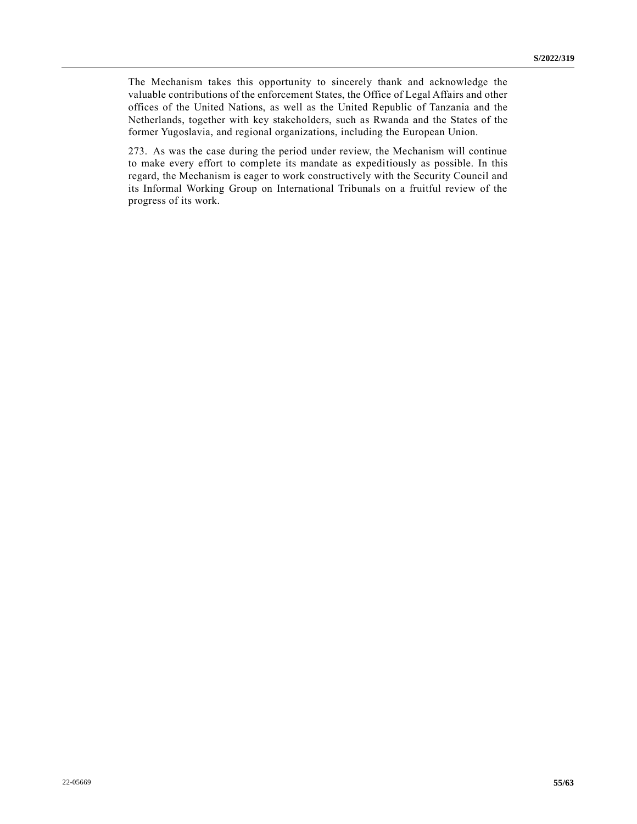The Mechanism takes this opportunity to sincerely thank and acknowledge the valuable contributions of the enforcement States, the Office of Legal Affairs and other offices of the United Nations, as well as the United Republic of Tanzania and the Netherlands, together with key stakeholders, such as Rwanda and the States of the former Yugoslavia, and regional organizations, including the European Union.

273. As was the case during the period under review, the Mechanism will continue to make every effort to complete its mandate as expeditiously as possible. In this regard, the Mechanism is eager to work constructively with the Security Council and its Informal Working Group on International Tribunals on a fruitful review of the progress of its work.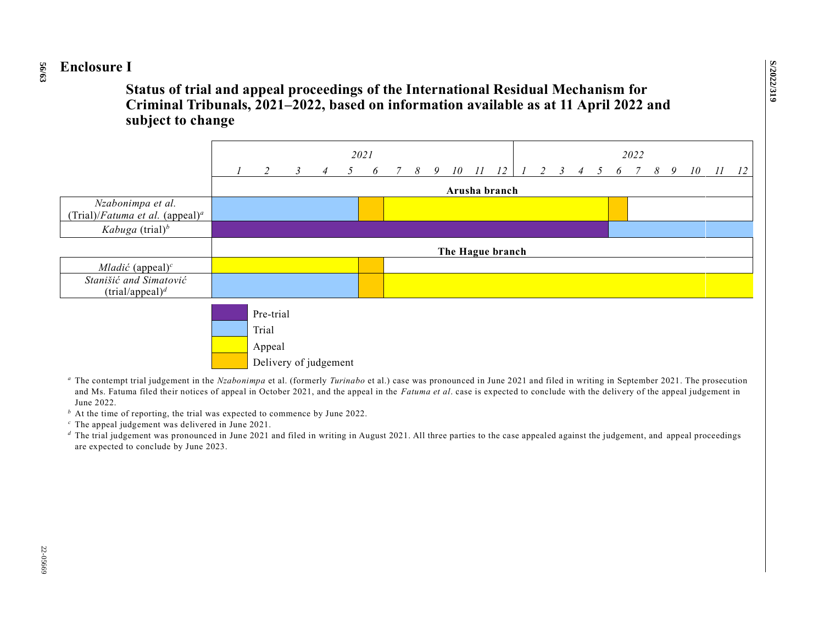#### **56 /63 Enclosure I**

**Status of trial and appeal proceedings of the International Residual Mechanism for Criminal Tribunals, 2021–2022, based on information available as at 11 April 2022 and subject to change**



<sup>a</sup> The contempt trial judgement in the *Nzabonimpa* et al. (formerly *Turinabo* et al.) case was pronounced in June 2021 and filed in writing in September 2021. The prosecution and Ms. Fatuma filed their notices of appeal in October 2021, and the appeal in the *Fatuma et al*. case is expected to conclude with the delivery of the appeal judgement in June 2022.

 $<sup>b</sup>$  At the time of reporting, the trial was expected to commence by June 2022.</sup>

*<sup>c</sup>* The appeal judgement was delivered in June 2021.

<sup>*d*</sup> The trial judgement was pronounced in June 2021 and filed in writing in August 2021. All three parties to the case appealed against the judgement, and appeal proceedings are expected to conclude by June 2023.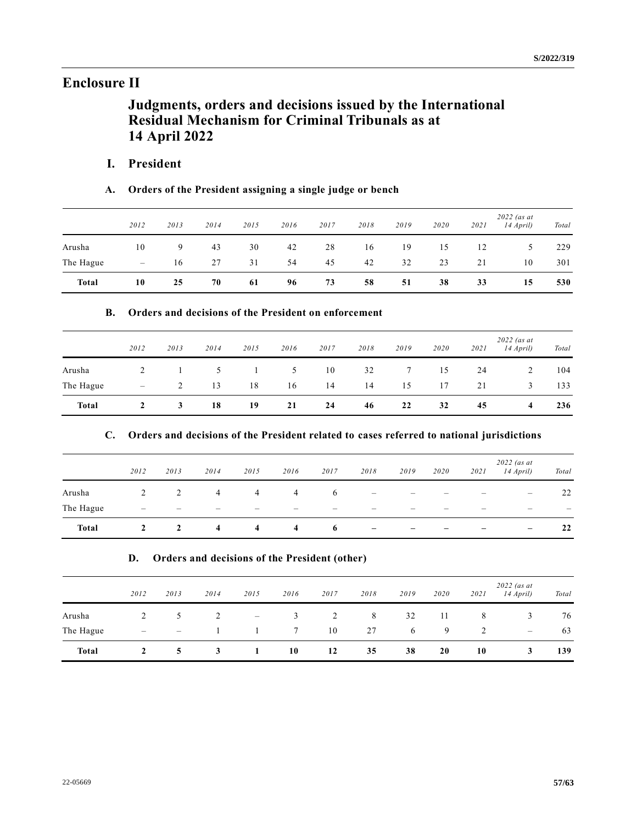# **Enclosure II**

# **Judgments, orders and decisions issued by the International Residual Mechanism for Criminal Tribunals as at 14 April 2022**

# **I. President**

# **A. Orders of the President assigning a single judge or bench**

|              | 2012                     | 2013 | 2014 | 2015 | 2016 | 2017 | 2018 | 2019 | 2020 | 2021 | $2022$ (as at<br>14 April) | Total |
|--------------|--------------------------|------|------|------|------|------|------|------|------|------|----------------------------|-------|
| Arusha       | 10                       | 9    | 43   | 30   | 42   | 28   | 16   | 19   | 15   | 12   |                            | 229   |
| The Hague    | $\overline{\phantom{m}}$ | 16   | 27   | 31   | 54   | 45   | 42   | 32   | 23   | 21   | 10                         | 301   |
| <b>Total</b> | 10                       | 25   | 70   | 61   | 96   | 73   | 58   | 51   | 38   | 33   | 15                         | 530   |

# **B. Orders and decisions of the President on enforcement**

|              | 2012                     | 2013 | 2014 | 2015 | 2016 | 2017 | 2018 | 2019        | 2020 | 2021 | $2022$ (as at<br>14 April) | Total |
|--------------|--------------------------|------|------|------|------|------|------|-------------|------|------|----------------------------|-------|
| Arusha       | 2                        |      | 5    |      | 5    | 10   | 32   | $7^{\circ}$ | 15   | 24   |                            | 104   |
| The Hague    | $\overline{\phantom{m}}$ |      | 13   | 18   | 16   | 14   | 14   | 15          | 17   | 21   | 3                          | 133   |
| <b>Total</b> | 2                        | 3    | 18   | 19   | 21   | 24   | 46   | 22          | 32   | 45   | 4                          | 236   |

## **C. Orders and decisions of the President related to cases referred to national jurisdictions**

|              | 2012                     | 2013           | 2014 | 2015           | 2016                    | 2017 | 2018              | 2019 | 2020 | 2021 | $2022$ (as at<br>$14$ April) | Total |
|--------------|--------------------------|----------------|------|----------------|-------------------------|------|-------------------|------|------|------|------------------------------|-------|
| Arusha       | 2                        | 2              | 4    | $\overline{4}$ | 4                       | 6    |                   | -    |      |      | $\overline{\phantom{m}}$     | 22    |
| The Hague    | $\overline{\phantom{0}}$ |                | -    | –              | –                       | –    | -                 |      |      | -    | $\overline{\phantom{0}}$     | –     |
| <b>Total</b> | $\mathbf{2}$             | $\overline{2}$ | 4    | $\overline{4}$ | $\overline{\mathbf{4}}$ | -6   | $\qquad \qquad -$ | -    |      | -    | $\qquad \qquad -$            | 22    |

## **D. Orders and decisions of the President (other)**

|              | 2012 | 2013                     | 2014        | 2015                     | 2016        | 2017 | 2018 | 2019 | 2020 | 2021 | $2022$ (as at<br>14 April) | Total |
|--------------|------|--------------------------|-------------|--------------------------|-------------|------|------|------|------|------|----------------------------|-------|
| Arusha       |      | $\mathcal{D}$            |             | $\overline{\phantom{m}}$ | 3           | 2    | 8    | 32   | -11  | 8    | 3                          | 76    |
| The Hague    | –    | $\overline{\phantom{0}}$ |             |                          | $7^{\circ}$ | 10   | 27   | 6    | 9    |      | $\qquad \qquad -$          | 63    |
| <b>Total</b> |      | 5.                       | $3^{\circ}$ |                          | 10          | 12   | 35   | 38   | 20   | 10   | 3                          | 139   |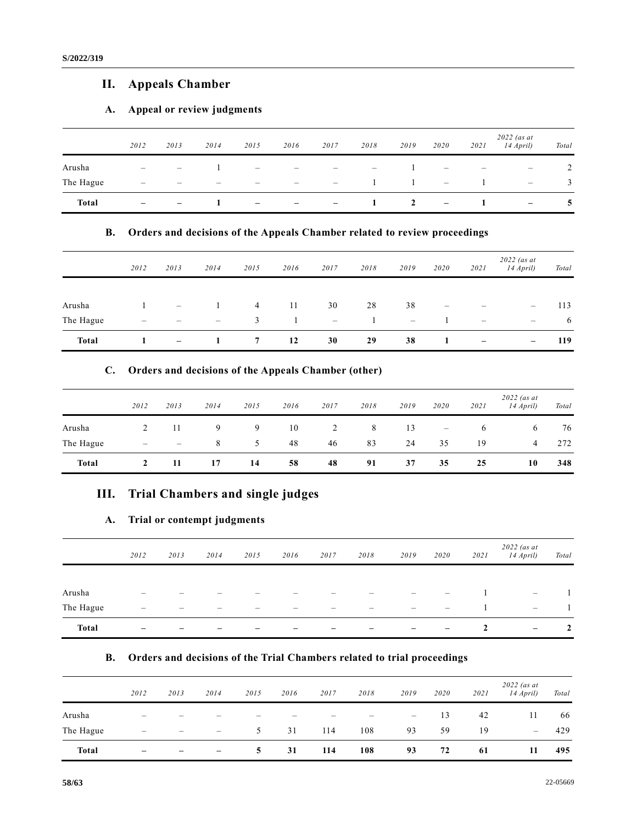# **II. Appeals Chamber**

# **A. Appeal or review judgments**

|              | 2012                            | 2013                     | 2014                     | 2015                                  | 2016                                                                      | 2017                            | 2018                            | 2019 | 2020                            | 2021                     | $2022$ (as at<br>14 April) | Total |
|--------------|---------------------------------|--------------------------|--------------------------|---------------------------------------|---------------------------------------------------------------------------|---------------------------------|---------------------------------|------|---------------------------------|--------------------------|----------------------------|-------|
| Arusha       | $\overline{\phantom{a}}$        | $\overline{\phantom{0}}$ |                          | $\hspace{0.1mm}-\hspace{0.1mm}$       | $\overline{\phantom{m}}$                                                  | $\overline{\phantom{a}}$        | $\hspace{0.1mm}-\hspace{0.1mm}$ |      | $\hspace{0.1mm}-\hspace{0.1mm}$ | $\overline{\phantom{a}}$ | $\overline{\phantom{m}}$   | 2     |
| The Hague    | $\hspace{0.1in} \hspace{0.1in}$ | $\overline{\phantom{0}}$ | $\overline{\phantom{0}}$ | $\hspace{1.0cm} \rule{1.5cm}{0.15cm}$ | $\hspace{1.0cm} \rule{1.5cm}{0.15cm} \hspace{1.0cm} \rule{1.5cm}{0.15cm}$ | $\hspace{0.1mm}-\hspace{0.1mm}$ |                                 |      | $\overline{\phantom{a}}$        |                          | $\overline{\phantom{m}}$   | 3     |
| <b>Total</b> |                                 | -                        |                          | $\overline{\phantom{0}}$              | -                                                                         | $\overline{\phantom{a}}$        |                                 | 2    | $\overline{\phantom{m}}$        |                          | -                          | 5     |

# **B. Orders and decisions of the Appeals Chamber related to review proceedings**

|           | 2012 | 2013              | 2014            | 2015           | 2016 | 2017                            | 2018 | 2019              | 2020                            | 2021                     | $2022$ (as at<br>14 April) | Total |
|-----------|------|-------------------|-----------------|----------------|------|---------------------------------|------|-------------------|---------------------------------|--------------------------|----------------------------|-------|
| Arusha    |      | $\bar{ }$         |                 | $\overline{4}$ | -11  | 30                              | 28   | 38                | $\hspace{0.1mm}-\hspace{0.1mm}$ | $\overline{\phantom{m}}$ | $\overline{\phantom{a}}$   | 113   |
| The Hague | -    | –                 | $\qquad \qquad$ | 3              |      | $\hspace{0.1mm}-\hspace{0.1mm}$ |      | $\qquad \qquad -$ |                                 | $\qquad \qquad -$        | $\qquad \qquad -$          | 6     |
| Total     |      | $\qquad \qquad -$ |                 | 7              | 12   | 30                              | 29   | 38                |                                 | -                        | $\qquad \qquad -$          | 119   |

### **C. Orders and decisions of the Appeals Chamber (other)**

|              | 2012 | 2013 | 2014 | 2015 | 2016 | 2017 | 2018 | 2019 | 2020                     | 2021 | $2022$ (as at<br>$14$ April) | Total |
|--------------|------|------|------|------|------|------|------|------|--------------------------|------|------------------------------|-------|
| Arusha       |      | 11   | 9    | 9    | 10   | 2    | 8    | 13   | $\overline{\phantom{a}}$ | 6    | 6                            | 76    |
| The Hague    | -    |      | 8    |      | 48   | 46   | 83   | 24   | 35                       | 19   | 4                            | 272   |
| <b>Total</b> |      | 11   | 17   | 14   | 58   | 48   | 91   | 37   | 35                       | 25   | 10                           | 348   |

# **III. Trial Chambers and single judges**

# **A. Trial or contempt judgments**

|              | 2012                     | 2013 | 2014 | 2015 | 2016 | 2017 | 2018 | 2019                     | 2020              | 2021 | $2022$ (as at<br>$14$ April)    | Total |
|--------------|--------------------------|------|------|------|------|------|------|--------------------------|-------------------|------|---------------------------------|-------|
|              |                          |      |      |      |      |      |      |                          |                   |      |                                 |       |
| Arusha       |                          |      |      |      |      |      |      |                          | $\qquad \qquad -$ |      | $\hspace{0.1mm}-\hspace{0.1mm}$ |       |
| The Hague    | $\overline{\phantom{0}}$ | –    | –    | -    |      | –    |      | $\overline{\phantom{0}}$ | $\qquad \qquad$   |      | $\hspace{0.1mm}-\hspace{0.1mm}$ |       |
| <b>Total</b> | -                        | -    | -    |      |      |      |      | -                        | $\qquad \qquad -$ | 2    | $\overline{\phantom{m}}$        | 2     |

# **B. Orders and decisions of the Trial Chambers related to trial proceedings**

|              | 2012                     | 2013                     | 2014                         | 2015                     | 2016 | 2017                     | 2018                     | 2019                     | 2020 | 2021 | $2022$ (as at<br>14 April) | Total |
|--------------|--------------------------|--------------------------|------------------------------|--------------------------|------|--------------------------|--------------------------|--------------------------|------|------|----------------------------|-------|
| Arusha       | $\overline{\phantom{0}}$ |                          | -                            | $\overline{\phantom{0}}$ | -    | $\overline{\phantom{0}}$ | $\overline{\phantom{0}}$ | $\overline{\phantom{m}}$ | 13   | 42   | 11                         | 66    |
| The Hague    | -                        | $\overline{\phantom{0}}$ | -                            | 5                        | 31   | 114                      | 108                      | 93                       | 59   | 19   | $\overline{\phantom{0}}$   | 429   |
| <b>Total</b> | -                        | -                        | $\qquad \qquad \blacksquare$ | 5                        | 31   | 114                      | 108                      | 93                       | 72   | 61   | 11                         | 495   |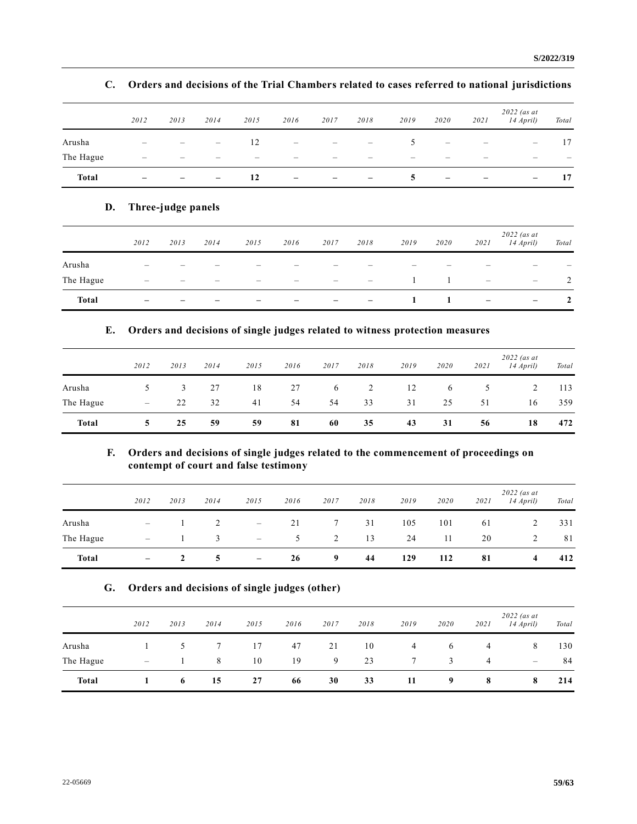|              | 2012            | 2013                     | 2014                     | 2015                     | 2016 | 2017                     | 2018                                                                      | 2019          | 2020                     | 2021 | $2022$ (as at<br>14 April) | Total                    |
|--------------|-----------------|--------------------------|--------------------------|--------------------------|------|--------------------------|---------------------------------------------------------------------------|---------------|--------------------------|------|----------------------------|--------------------------|
| Arusha       |                 |                          | $\overline{\phantom{m}}$ | 12                       | -    |                          | $\hspace{1.0cm} \rule{1.5cm}{0.15cm} \hspace{1.0cm} \rule{1.5cm}{0.15cm}$ | $\mathcal{D}$ | $\qquad \qquad$          |      | $\overline{\phantom{m}}$   | 17                       |
| The Hague    | -               | $\overline{\phantom{a}}$ | $\overline{\phantom{0}}$ | $\overline{\phantom{0}}$ | -    | $\overline{\phantom{a}}$ | -                                                                         | –             | $\overline{\phantom{0}}$ | -    | $\overline{\phantom{a}}$   | $\overline{\phantom{a}}$ |
| <b>Total</b> | $\qquad \qquad$ | $\overline{\phantom{a}}$ | $\overline{\phantom{a}}$ | 12                       | -    | $\qquad \qquad -$        | $\overline{\phantom{m}}$                                                  | 5             | -                        | -    | $\qquad \qquad -$          | 17                       |

# **C. Orders and decisions of the Trial Chambers related to cases referred to national jurisdictions**

# **D. Three-judge panels**

|              | 2012                     | 2013                     | 2014                     | 2015                     | 2016                     | 2017                     | 2018                            | 2019                     | 2020                     | 2021                            | $2022$ (as at<br>14 April) | Total                    |
|--------------|--------------------------|--------------------------|--------------------------|--------------------------|--------------------------|--------------------------|---------------------------------|--------------------------|--------------------------|---------------------------------|----------------------------|--------------------------|
| Arusha       | $\overline{\phantom{a}}$ | $\overline{\phantom{a}}$ | $\overline{\phantom{0}}$ | $\overline{\phantom{0}}$ | $\overline{\phantom{0}}$ |                          | $\overline{\phantom{0}}$        | $\overline{\phantom{0}}$ | $\overline{\phantom{0}}$ | $\overline{\phantom{0}}$        |                            | $\overline{\phantom{0}}$ |
| The Hague    | $\overline{\phantom{0}}$ | –                        |                          | -                        |                          | $\overline{\phantom{0}}$ | $\hspace{0.1mm}-\hspace{0.1mm}$ |                          |                          | $\hspace{0.1mm}-\hspace{0.1mm}$ | $\overline{\phantom{a}}$   |                          |
| <b>Total</b> | -                        | -                        | -                        | -                        | -                        | $\overline{\phantom{m}}$ | $\hspace{0.1mm}-\hspace{0.1mm}$ | 1                        |                          | $\overline{\phantom{m}}$        | $\overline{\phantom{a}}$   | $\mathbf{2}$             |

# **E. Orders and decisions of single judges related to witness protection measures**

|              | 2012                     | 2013 | 2014 | 2015 | 2016 | 2017 | 2018 | 2019 | 2020 | 2021 | $2022$ (as at<br>14 April) | Total |
|--------------|--------------------------|------|------|------|------|------|------|------|------|------|----------------------------|-------|
| Arusha       | $\ddot{\phantom{1}}$     | 3    | 27   | 18   | 27   | 6    | 2    | 12   | 6    | 5.   |                            | 113   |
| The Hague    | $\overline{\phantom{m}}$ | 22   | 32   | 41   | 54   | 54   | 33   | 31   | 25   | 51   | 16                         | 359   |
| <b>Total</b> | 5                        | 25   | 59   | 59   | 81   | 60   | 35   | 43   | 31   | 56   | 18                         | 472   |

# **F. Orders and decisions of single judges related to the commencement of proceedings on contempt of court and false testimony**

|              | 2012                     | 2013 | 2014 | 2015                     | 2016 | 2017           | 2018 | 2019 | 2020 | 2021 | $2022$ (as at<br>14 April) | Total |
|--------------|--------------------------|------|------|--------------------------|------|----------------|------|------|------|------|----------------------------|-------|
| Arusha       | $\overline{\phantom{m}}$ |      |      | $\overline{\phantom{m}}$ | 21   | $7^{\circ}$    | 31   | 105  | 101  | 61   | 2                          | 331   |
| The Hague    | $\overline{\phantom{0}}$ |      | 3    | $\overline{\phantom{m}}$ | 5    | $\overline{2}$ | 13   | 24   | 11   | 20   |                            | 81    |
| <b>Total</b> | $\overline{\phantom{a}}$ |      |      | $\overline{\phantom{m}}$ | 26   | 9              | 44   | 129  | 112  | 81   | 4                          | 412   |

### **G. Orders and decisions of single judges (other)**

|              | 2012 | 2013 | 2014 | 2015 | 2016 | 2017 | 2018 | 2019 | 2020     | 2021 | $2022$ (as at<br>14 April) | Total |
|--------------|------|------|------|------|------|------|------|------|----------|------|----------------------------|-------|
| Arusha       |      |      |      | 17   | 47   | 21   | 10   | 4    | $\sigma$ | 4    | 8                          | 130   |
| The Hague    |      |      | 8    | 10   | 19   | 9    | 23   | 7    | 3        | 4    | $\overline{\phantom{a}}$   | 84    |
| <b>Total</b> |      | 6    | 15   | 27   | 66   | 30   | 33   | 11   | 9        | 8    | 8                          | 214   |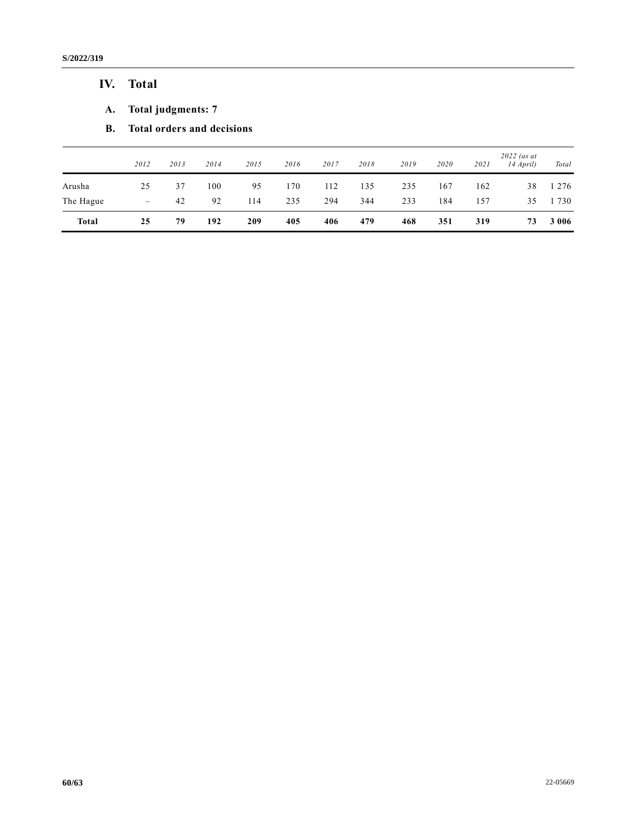**S/2022/319**

# **IV. Total**

- **A. Total judgments: 7**
- **B. Total orders and decisions**

|              | 2012                     | 2013 | 2014 | 2015 | 2016 | 2017 | 2018 | 2019 | 2020 | 2021 | $2022$ (as at<br>$14$ April) | Total   |
|--------------|--------------------------|------|------|------|------|------|------|------|------|------|------------------------------|---------|
| Arusha       | 25                       | 37   | 100  | 95   | 170  | 112  | 135  | 235  | 167  | 162  | 38                           | 276     |
| The Hague    | $\overline{\phantom{m}}$ | 42   | 92   | 114  | 235  | 294  | 344  | 233  | 184  | 157  | 35                           | 730     |
| <b>Total</b> | 25                       | 79   | 192  | 209  | 405  | 406  | 479  | 468  | 351  | 319  | 73                           | 3 0 0 6 |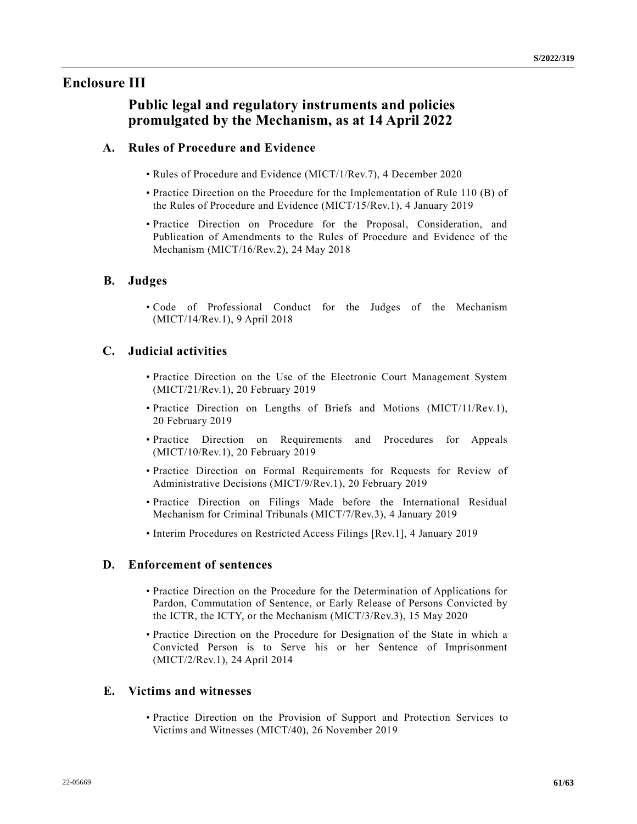# **Enclosure III**

# **Public legal and regulatory instruments and policies promulgated by the Mechanism, as at 14 April 2022**

# **A. Rules of Procedure and Evidence**

- Rules of Procedure and Evidence (MICT/1/Rev.7), 4 December 2020
- Practice Direction on the Procedure for the Implementation of Rule 110 (B) of the Rules of Procedure and Evidence (MICT/15/Rev.1), 4 January 2019
- Practice Direction on Procedure for the Proposal, Consideration, and Publication of Amendments to the Rules of Procedure and Evidence of the Mechanism (MICT/16/Rev.2), 24 May 2018

# **B. Judges**

• Code of Professional Conduct for the Judges of the Mechanism (MICT/14/Rev.1), 9 April 2018

# **C. Judicial activities**

- Practice Direction on the Use of the Electronic Court Management System (MICT/21/Rev.1), 20 February 2019
- Practice Direction on Lengths of Briefs and Motions (MICT/11/Rev.1), 20 February 2019
- Practice Direction on Requirements and Procedures for Appeals (MICT/10/Rev.1), 20 February 2019
- Practice Direction on Formal Requirements for Requests for Review of Administrative Decisions (MICT/9/Rev.1), 20 February 2019
- Practice Direction on Filings Made before the International Residual Mechanism for Criminal Tribunals (MICT/7/Rev.3), 4 January 2019
- Interim Procedures on Restricted Access Filings [Rev.1], 4 January 2019

# **D. Enforcement of sentences**

- Practice Direction on the Procedure for the Determination of Applications for Pardon, Commutation of Sentence, or Early Release of Persons Convicted by the ICTR, the ICTY, or the Mechanism (MICT/3/Rev.3), 15 May 2020
- Practice Direction on the Procedure for Designation of the State in which a Convicted Person is to Serve his or her Sentence of Imprisonment (MICT/2/Rev.1), 24 April 2014

# **E. Victims and witnesses**

• Practice Direction on the Provision of Support and Protection Services to Victims and Witnesses (MICT/40), 26 November 2019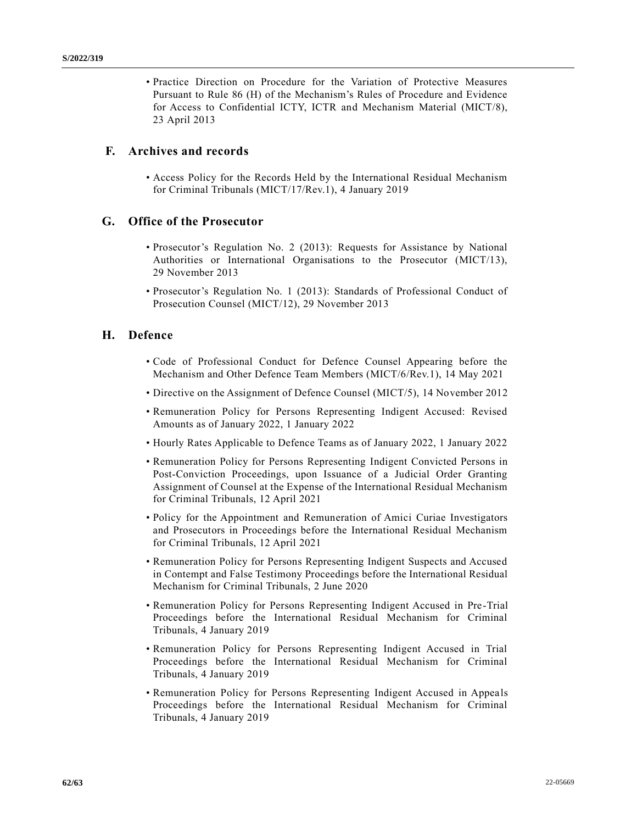• Practice Direction on Procedure for the Variation of Protective Measures Pursuant to Rule 86 (H) of the Mechanism's Rules of Procedure and Evidence for Access to Confidential ICTY, ICTR and Mechanism Material (MICT/8), 23 April 2013

## **F. Archives and records**

• Access Policy for the Records Held by the International Residual Mechanism for Criminal Tribunals (MICT/17/Rev.1), 4 January 2019

### **G. Office of the Prosecutor**

- Prosecutor's Regulation No. 2 (2013): Requests for Assistance by National Authorities or International Organisations to the Prosecutor (MICT/13), 29 November 2013
- Prosecutor's Regulation No. 1 (2013): Standards of Professional Conduct of Prosecution Counsel (MICT/12), 29 November 2013

### **H. Defence**

- Code of Professional Conduct for Defence Counsel Appearing before the Mechanism and Other Defence Team Members (MICT/6/Rev.1), 14 May 2021
- Directive on the Assignment of Defence Counsel (MICT/5), 14 November 2012
- Remuneration Policy for Persons Representing Indigent Accused: Revised Amounts as of January 2022, 1 January 2022
- Hourly Rates Applicable to Defence Teams as of January 2022, 1 January 2022
- Remuneration Policy for Persons Representing Indigent Convicted Persons in Post-Conviction Proceedings, upon Issuance of a Judicial Order Granting Assignment of Counsel at the Expense of the International Residual Mechanism for Criminal Tribunals, 12 April 2021
- Policy for the Appointment and Remuneration of Amici Curiae Investigators and Prosecutors in Proceedings before the International Residual Mechanism for Criminal Tribunals, 12 April 2021
- Remuneration Policy for Persons Representing Indigent Suspects and Accused in Contempt and False Testimony Proceedings before the International Residual Mechanism for Criminal Tribunals, 2 June 2020
- Remuneration Policy for Persons Representing Indigent Accused in Pre-Trial Proceedings before the International Residual Mechanism for Criminal Tribunals, 4 January 2019
- Remuneration Policy for Persons Representing Indigent Accused in Trial Proceedings before the International Residual Mechanism for Criminal Tribunals, 4 January 2019
- Remuneration Policy for Persons Representing Indigent Accused in Appeals Proceedings before the International Residual Mechanism for Criminal Tribunals, 4 January 2019